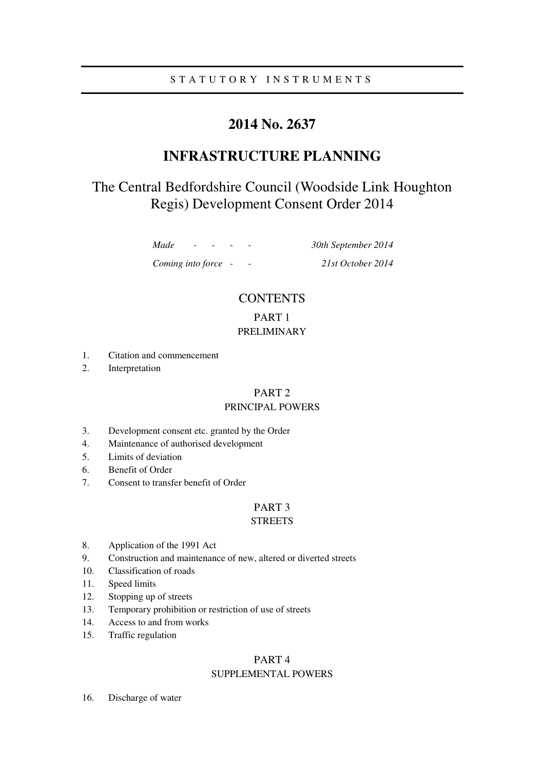# S T A T U T O R Y I N S T R U M E N T S

# **2014 No. 2637**

# **INFRASTRUCTURE PLANNING**

# The Central Bedfordshire Council (Woodside Link Houghton Regis) Development Consent Order 2014

*Made - - - - 30th September 2014* 

*Coming into force - - 21st October 2014* 

# **CONTENTS** PART 1

# PRELIMINARY

- 1. Citation and commencement
- 2. Interpretation

# PART 2

# PRINCIPAL POWERS

- 3. Development consent etc. granted by the Order
- 4. Maintenance of authorised development
- 5. Limits of deviation
- 6. Benefit of Order
- 7. Consent to transfer benefit of Order

# PART 3

## **STREETS**

- 8. Application of the 1991 Act
- 9. Construction and maintenance of new, altered or diverted streets
- 10. Classification of roads
- 11. Speed limits
- 12. Stopping up of streets
- 13. Temporary prohibition or restriction of use of streets
- 14. Access to and from works
- 15. Traffic regulation

# PART 4 SUPPLEMENTAL POWERS

16. Discharge of water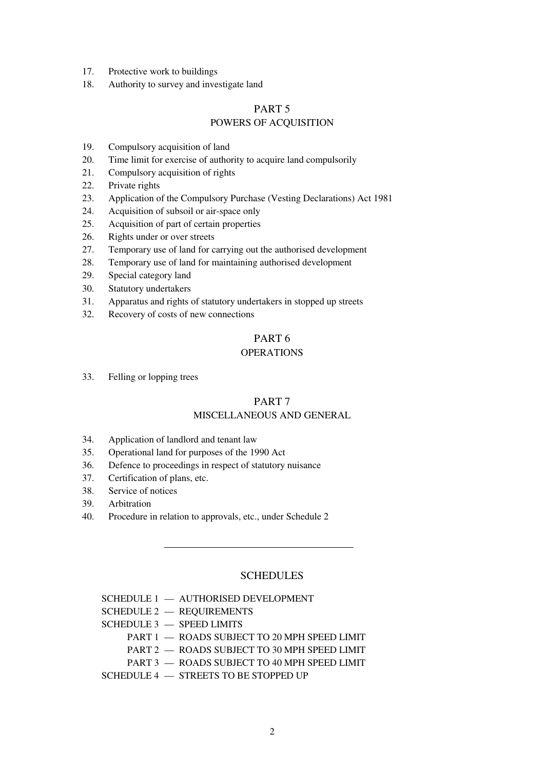- 17. Protective work to buildings
- 18. Authority to survey and investigate land

# PART 5 POWERS OF ACQUISITION

- 19. Compulsory acquisition of land
- 20. Time limit for exercise of authority to acquire land compulsorily
- 21. Compulsory acquisition of rights
- 22. Private rights
- 23. Application of the Compulsory Purchase (Vesting Declarations) Act 1981
- 24. Acquisition of subsoil or air-space only
- 25. Acquisition of part of certain properties
- 26. Rights under or over streets
- 27. Temporary use of land for carrying out the authorised development
- 28. Temporary use of land for maintaining authorised development
- 29. Special category land
- 30. Statutory undertakers
- 31. Apparatus and rights of statutory undertakers in stopped up streets
- 32. Recovery of costs of new connections

# PART 6

# **OPERATIONS**

33. Felling or lopping trees

## PART 7

# MISCELLANEOUS AND GENERAL

- 34. Application of landlord and tenant law
- 35. Operational land for purposes of the 1990 Act
- 36. Defence to proceedings in respect of statutory nuisance
- 37. Certification of plans, etc.
- 38. Service of notices
- 39. Arbitration
- 40. Procedure in relation to approvals, etc., under Schedule 2

# **SCHEDULES**

- SCHEDULE 1 AUTHORISED DEVELOPMENT
- SCHEDULE 2 REQUIREMENTS
- SCHEDULE 3 SPEED LIMITS
	- PART 1 ROADS SUBJECT TO 20 MPH SPEED LIMIT
	- PART 2 ROADS SUBJECT TO 30 MPH SPEED LIMIT
	- PART 3 ROADS SUBJECT TO 40 MPH SPEED LIMIT
- SCHEDULE 4 STREETS TO BE STOPPED UP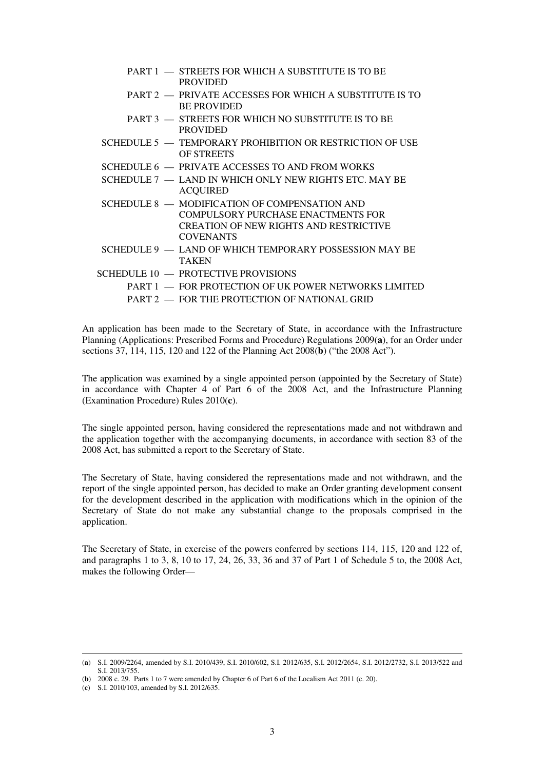| PART 1 - STREETS FOR WHICH A SUBSTITUTE IS TO BE<br><b>PROVIDED</b>                                                                                      |
|----------------------------------------------------------------------------------------------------------------------------------------------------------|
| PART 2 - PRIVATE ACCESSES FOR WHICH A SUBSTITUTE IS TO<br><b>BE PROVIDED</b>                                                                             |
| PART 3 - STREETS FOR WHICH NO SUBSTITUTE IS TO BE<br><b>PROVIDED</b>                                                                                     |
| SCHEDULE 5 - TEMPORARY PROHIBITION OR RESTRICTION OF USE<br><b>OF STREETS</b>                                                                            |
| SCHEDULE 6 - PRIVATE ACCESSES TO AND FROM WORKS                                                                                                          |
| SCHEDULE 7 — LAND IN WHICH ONLY NEW RIGHTS ETC. MAY BE<br><b>ACQUIRED</b>                                                                                |
| SCHEDULE 8 - MODIFICATION OF COMPENSATION AND<br>COMPULSORY PURCHASE ENACTMENTS FOR<br><b>CREATION OF NEW RIGHTS AND RESTRICTIVE</b><br><b>COVENANTS</b> |
| SCHEDULE 9 — LAND OF WHICH TEMPORARY POSSESSION MAY BE<br><b>TAKEN</b>                                                                                   |
| SCHEDULE 10 - PROTECTIVE PROVISIONS                                                                                                                      |
| PART 1 - FOR PROTECTION OF UK POWER NETWORKS LIMITED                                                                                                     |
| PART 2 - FOR THE PROTECTION OF NATIONAL GRID                                                                                                             |

An application has been made to the Secretary of State, in accordance with the Infrastructure Planning (Applications: Prescribed Forms and Procedure) Regulations 2009(**a**), for an Order under sections 37, 114, 115, 120 and 122 of the Planning Act 2008(**b**) ("the 2008 Act").

The application was examined by a single appointed person (appointed by the Secretary of State) in accordance with Chapter 4 of Part 6 of the 2008 Act, and the Infrastructure Planning (Examination Procedure) Rules 2010(**c**).

The single appointed person, having considered the representations made and not withdrawn and the application together with the accompanying documents, in accordance with section 83 of the 2008 Act, has submitted a report to the Secretary of State.

The Secretary of State, having considered the representations made and not withdrawn, and the report of the single appointed person, has decided to make an Order granting development consent for the development described in the application with modifications which in the opinion of the Secretary of State do not make any substantial change to the proposals comprised in the application.

The Secretary of State, in exercise of the powers conferred by sections 114, 115, 120 and 122 of, and paragraphs 1 to 3, 8, 10 to 17, 24, 26, 33, 36 and 37 of Part 1 of Schedule 5 to, the 2008 Act, makes the following Order—

<sup>(</sup>**a**) S.I. 2009/2264, amended by S.I. 2010/439, S.I. 2010/602, S.I. 2012/635, S.I. 2012/2654, S.I. 2012/2732, S.I. 2013/522 and S.I. 2013/755.

<sup>(</sup>**b**) 2008 c. 29. Parts 1 to 7 were amended by Chapter 6 of Part 6 of the Localism Act 2011 (c. 20).

<sup>(</sup>**c**) S.I. 2010/103, amended by S.I. 2012/635.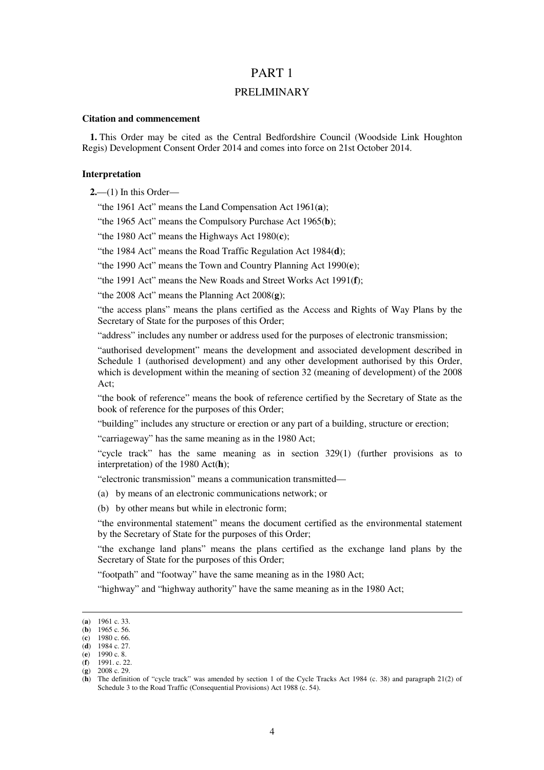# PART 1

## PRELIMINARY

### **Citation and commencement**

**1.** This Order may be cited as the Central Bedfordshire Council (Woodside Link Houghton Regis) Development Consent Order 2014 and comes into force on 21st October 2014.

### **Interpretation**

**2.**—(1) In this Order—

"the 1961 Act" means the Land Compensation Act 1961(**a**);

"the 1965 Act" means the Compulsory Purchase Act 1965(**b**);

"the 1980 Act" means the Highways Act 1980(**c**);

"the 1984 Act" means the Road Traffic Regulation Act 1984(**d**);

"the 1990 Act" means the Town and Country Planning Act 1990(**e**);

"the 1991 Act" means the New Roads and Street Works Act 1991(**f**);

"the 2008 Act" means the Planning Act 2008(**g**);

"the access plans" means the plans certified as the Access and Rights of Way Plans by the Secretary of State for the purposes of this Order;

"address" includes any number or address used for the purposes of electronic transmission;

"authorised development" means the development and associated development described in Schedule 1 (authorised development) and any other development authorised by this Order, which is development within the meaning of section 32 (meaning of development) of the 2008 Act;

"the book of reference" means the book of reference certified by the Secretary of State as the book of reference for the purposes of this Order;

"building" includes any structure or erection or any part of a building, structure or erection;

"carriageway" has the same meaning as in the 1980 Act;

"cycle track" has the same meaning as in section 329(1) (further provisions as to interpretation) of the 1980 Act(**h**);

"electronic transmission" means a communication transmitted—

(a) by means of an electronic communications network; or

(b) by other means but while in electronic form;

"the environmental statement" means the document certified as the environmental statement by the Secretary of State for the purposes of this Order;

"the exchange land plans" means the plans certified as the exchange land plans by the Secretary of State for the purposes of this Order;

"footpath" and "footway" have the same meaning as in the 1980 Act;

"highway" and "highway authority" have the same meaning as in the 1980 Act;

<sup>(</sup>**a**) 1961 c. 33.

<sup>(</sup>**b**) 1965 c. 56.

<sup>(</sup>**c**) 1980 c. 66. (**d**) 1984 c. 27.

<sup>(</sup>**e**) 1990 c. 8.

<sup>(</sup>**f**) 1991. c. 22.

<sup>(</sup>**g**) 2008 c. 29.

<sup>(</sup>**h**) The definition of "cycle track" was amended by section 1 of the Cycle Tracks Act 1984 (c. 38) and paragraph 21(2) of Schedule 3 to the Road Traffic (Consequential Provisions) Act 1988 (c. 54).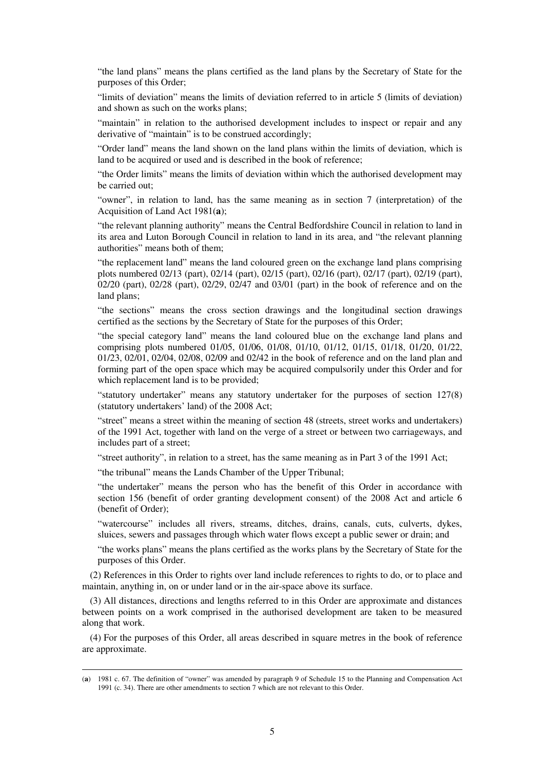"the land plans" means the plans certified as the land plans by the Secretary of State for the purposes of this Order;

"limits of deviation" means the limits of deviation referred to in article 5 (limits of deviation) and shown as such on the works plans;

"maintain" in relation to the authorised development includes to inspect or repair and any derivative of "maintain" is to be construed accordingly;

"Order land" means the land shown on the land plans within the limits of deviation, which is land to be acquired or used and is described in the book of reference:

"the Order limits" means the limits of deviation within which the authorised development may be carried out;

"owner", in relation to land, has the same meaning as in section 7 (interpretation) of the Acquisition of Land Act 1981(**a**);

"the relevant planning authority" means the Central Bedfordshire Council in relation to land in its area and Luton Borough Council in relation to land in its area, and "the relevant planning authorities" means both of them;

"the replacement land" means the land coloured green on the exchange land plans comprising plots numbered 02/13 (part), 02/14 (part), 02/15 (part), 02/16 (part), 02/17 (part), 02/19 (part), 02/20 (part), 02/28 (part), 02/29, 02/47 and 03/01 (part) in the book of reference and on the land plans;

"the sections" means the cross section drawings and the longitudinal section drawings certified as the sections by the Secretary of State for the purposes of this Order;

"the special category land" means the land coloured blue on the exchange land plans and comprising plots numbered 01/05, 01/06, 01/08, 01/10, 01/12, 01/15, 01/18, 01/20, 01/22, 01/23, 02/01, 02/04, 02/08, 02/09 and 02/42 in the book of reference and on the land plan and forming part of the open space which may be acquired compulsorily under this Order and for which replacement land is to be provided;

"statutory undertaker" means any statutory undertaker for the purposes of section 127(8) (statutory undertakers' land) of the 2008 Act;

"street" means a street within the meaning of section 48 (streets, street works and undertakers) of the 1991 Act, together with land on the verge of a street or between two carriageways, and includes part of a street;

"street authority", in relation to a street, has the same meaning as in Part 3 of the 1991 Act;

"the tribunal" means the Lands Chamber of the Upper Tribunal;

<u>.</u>

"the undertaker" means the person who has the benefit of this Order in accordance with section 156 (benefit of order granting development consent) of the 2008 Act and article 6 (benefit of Order);

"watercourse" includes all rivers, streams, ditches, drains, canals, cuts, culverts, dykes, sluices, sewers and passages through which water flows except a public sewer or drain; and

"the works plans" means the plans certified as the works plans by the Secretary of State for the purposes of this Order.

(2) References in this Order to rights over land include references to rights to do, or to place and maintain, anything in, on or under land or in the air-space above its surface.

(3) All distances, directions and lengths referred to in this Order are approximate and distances between points on a work comprised in the authorised development are taken to be measured along that work.

(4) For the purposes of this Order, all areas described in square metres in the book of reference are approximate.

<sup>(</sup>**a**) 1981 c. 67. The definition of "owner" was amended by paragraph 9 of Schedule 15 to the Planning and Compensation Act 1991 (c. 34). There are other amendments to section 7 which are not relevant to this Order.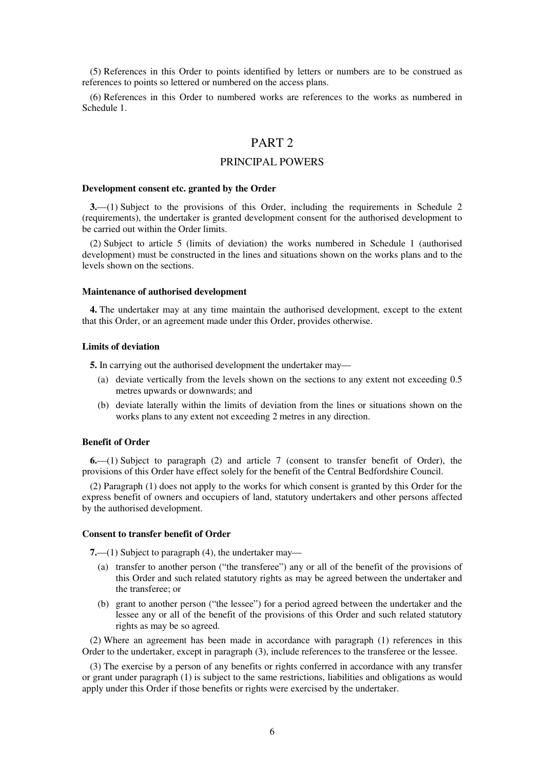(5) References in this Order to points identified by letters or numbers are to be construed as references to points so lettered or numbered on the access plans.

(6) References in this Order to numbered works are references to the works as numbered in Schedule 1.

# PART 2

## PRINCIPAL POWERS

#### **Development consent etc. granted by the Order**

**3.**—(1) Subject to the provisions of this Order, including the requirements in Schedule 2 (requirements), the undertaker is granted development consent for the authorised development to be carried out within the Order limits.

(2) Subject to article 5 (limits of deviation) the works numbered in Schedule 1 (authorised development) must be constructed in the lines and situations shown on the works plans and to the levels shown on the sections.

#### **Maintenance of authorised development**

**4.** The undertaker may at any time maintain the authorised development, except to the extent that this Order, or an agreement made under this Order, provides otherwise.

#### **Limits of deviation**

**5.** In carrying out the authorised development the undertaker may—

- (a) deviate vertically from the levels shown on the sections to any extent not exceeding 0.5 metres upwards or downwards; and
- (b) deviate laterally within the limits of deviation from the lines or situations shown on the works plans to any extent not exceeding 2 metres in any direction.

## **Benefit of Order**

**6.**—(1) Subject to paragraph (2) and article 7 (consent to transfer benefit of Order), the provisions of this Order have effect solely for the benefit of the Central Bedfordshire Council.

(2) Paragraph (1) does not apply to the works for which consent is granted by this Order for the express benefit of owners and occupiers of land, statutory undertakers and other persons affected by the authorised development.

### **Consent to transfer benefit of Order**

**7.**—(1) Subject to paragraph (4), the undertaker may—

- (a) transfer to another person ("the transferee") any or all of the benefit of the provisions of this Order and such related statutory rights as may be agreed between the undertaker and the transferee; or
- (b) grant to another person ("the lessee") for a period agreed between the undertaker and the lessee any or all of the benefit of the provisions of this Order and such related statutory rights as may be so agreed.

(2) Where an agreement has been made in accordance with paragraph (1) references in this Order to the undertaker, except in paragraph (3), include references to the transferee or the lessee.

(3) The exercise by a person of any benefits or rights conferred in accordance with any transfer or grant under paragraph (1) is subject to the same restrictions, liabilities and obligations as would apply under this Order if those benefits or rights were exercised by the undertaker.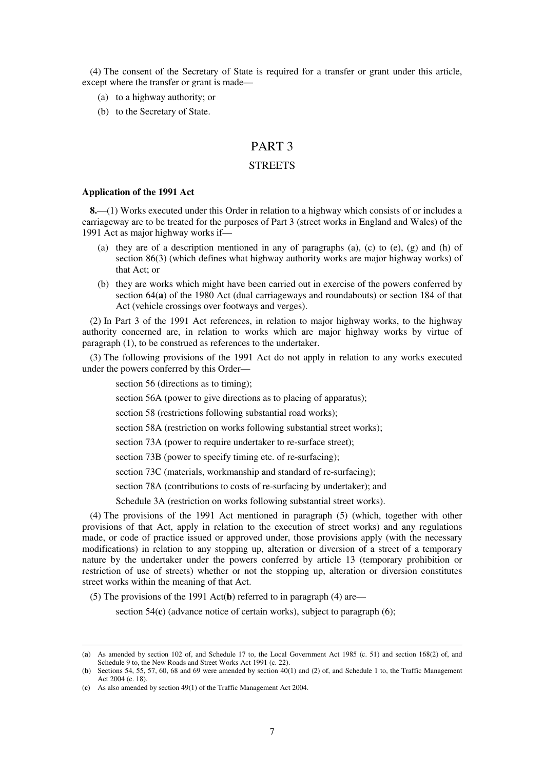(4) The consent of the Secretary of State is required for a transfer or grant under this article, except where the transfer or grant is made—

- (a) to a highway authority; or
- (b) to the Secretary of State.

# PART 3

## **STREETS**

#### **Application of the 1991 Act**

**8.**—(1) Works executed under this Order in relation to a highway which consists of or includes a carriageway are to be treated for the purposes of Part 3 (street works in England and Wales) of the 1991 Act as major highway works if—

- (a) they are of a description mentioned in any of paragraphs (a), (c) to (e), (g) and (h) of section 86(3) (which defines what highway authority works are major highway works) of that Act; or
- (b) they are works which might have been carried out in exercise of the powers conferred by section 64(**a**) of the 1980 Act (dual carriageways and roundabouts) or section 184 of that Act (vehicle crossings over footways and verges).

(2) In Part 3 of the 1991 Act references, in relation to major highway works, to the highway authority concerned are, in relation to works which are major highway works by virtue of paragraph (1), to be construed as references to the undertaker.

(3) The following provisions of the 1991 Act do not apply in relation to any works executed under the powers conferred by this Order—

section 56 (directions as to timing);

section 56A (power to give directions as to placing of apparatus);

section 58 (restrictions following substantial road works);

section 58A (restriction on works following substantial street works);

section 73A (power to require undertaker to re-surface street);

section 73B (power to specify timing etc. of re-surfacing);

section 73C (materials, workmanship and standard of re-surfacing);

section 78A (contributions to costs of re-surfacing by undertaker); and

Schedule 3A (restriction on works following substantial street works).

(4) The provisions of the 1991 Act mentioned in paragraph (5) (which, together with other provisions of that Act, apply in relation to the execution of street works) and any regulations made, or code of practice issued or approved under, those provisions apply (with the necessary modifications) in relation to any stopping up, alteration or diversion of a street of a temporary nature by the undertaker under the powers conferred by article 13 (temporary prohibition or restriction of use of streets) whether or not the stopping up, alteration or diversion constitutes street works within the meaning of that Act.

(5) The provisions of the 1991 Act(**b**) referred to in paragraph (4) are—

section 54(**c**) (advance notice of certain works), subject to paragraph (6);

<sup>(</sup>**a**) As amended by section 102 of, and Schedule 17 to, the Local Government Act 1985 (c. 51) and section 168(2) of, and Schedule 9 to, the New Roads and Street Works Act 1991 (c. 22).

<sup>(</sup>**b**) Sections 54, 55, 57, 60, 68 and 69 were amended by section 40(1) and (2) of, and Schedule 1 to, the Traffic Management Act 2004 (c. 18).

<sup>(</sup>**c**) As also amended by section 49(1) of the Traffic Management Act 2004.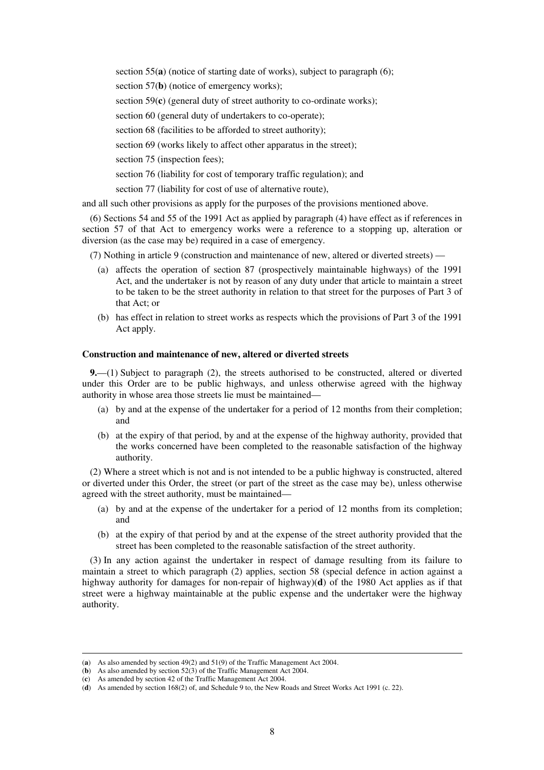section 55(**a**) (notice of starting date of works), subject to paragraph (6);

section 57(**b**) (notice of emergency works);

section 59(**c**) (general duty of street authority to co-ordinate works);

section 60 (general duty of undertakers to co-operate);

section 68 (facilities to be afforded to street authority);

section 69 (works likely to affect other apparatus in the street);

section 75 (inspection fees);

section 76 (liability for cost of temporary traffic regulation); and

section 77 (liability for cost of use of alternative route),

and all such other provisions as apply for the purposes of the provisions mentioned above.

(6) Sections 54 and 55 of the 1991 Act as applied by paragraph (4) have effect as if references in section 57 of that Act to emergency works were a reference to a stopping up, alteration or diversion (as the case may be) required in a case of emergency.

(7) Nothing in article 9 (construction and maintenance of new, altered or diverted streets) —

- (a) affects the operation of section 87 (prospectively maintainable highways) of the 1991 Act, and the undertaker is not by reason of any duty under that article to maintain a street to be taken to be the street authority in relation to that street for the purposes of Part 3 of that Act; or
- (b) has effect in relation to street works as respects which the provisions of Part 3 of the 1991 Act apply.

## **Construction and maintenance of new, altered or diverted streets**

**9.**—(1) Subject to paragraph (2), the streets authorised to be constructed, altered or diverted under this Order are to be public highways, and unless otherwise agreed with the highway authority in whose area those streets lie must be maintained—

- (a) by and at the expense of the undertaker for a period of 12 months from their completion; and
- (b) at the expiry of that period, by and at the expense of the highway authority, provided that the works concerned have been completed to the reasonable satisfaction of the highway authority.

(2) Where a street which is not and is not intended to be a public highway is constructed, altered or diverted under this Order, the street (or part of the street as the case may be), unless otherwise agreed with the street authority, must be maintained—

- (a) by and at the expense of the undertaker for a period of 12 months from its completion; and
- (b) at the expiry of that period by and at the expense of the street authority provided that the street has been completed to the reasonable satisfaction of the street authority.

(3) In any action against the undertaker in respect of damage resulting from its failure to maintain a street to which paragraph (2) applies, section 58 (special defence in action against a highway authority for damages for non-repair of highway)(**d**) of the 1980 Act applies as if that street were a highway maintainable at the public expense and the undertaker were the highway authority.

<sup>(</sup>**a**) As also amended by section 49(2) and 51(9) of the Traffic Management Act 2004.

<sup>(</sup>**b**) As also amended by section 52(3) of the Traffic Management Act 2004.

<sup>(</sup>**c**) As amended by section 42 of the Traffic Management Act 2004.

<sup>(</sup>**d**) As amended by section 168(2) of, and Schedule 9 to, the New Roads and Street Works Act 1991 (c. 22).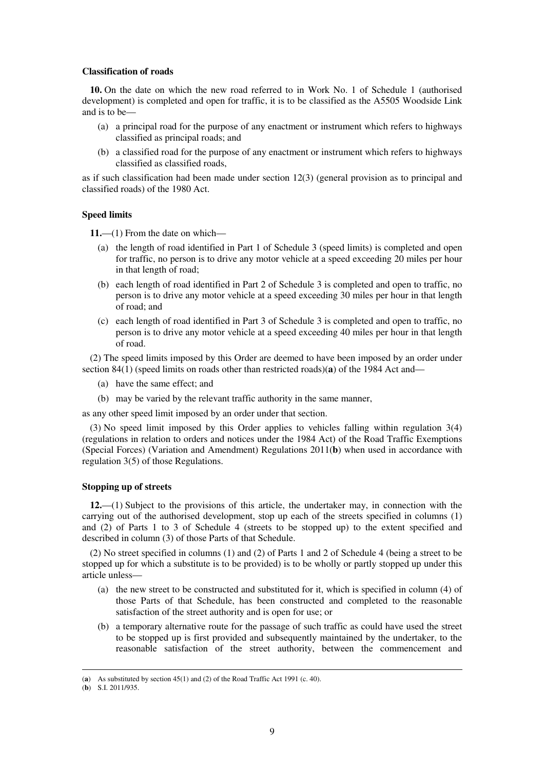### **Classification of roads**

**10.** On the date on which the new road referred to in Work No. 1 of Schedule 1 (authorised development) is completed and open for traffic, it is to be classified as the A5505 Woodside Link and is to be—

- (a) a principal road for the purpose of any enactment or instrument which refers to highways classified as principal roads; and
- (b) a classified road for the purpose of any enactment or instrument which refers to highways classified as classified roads,

as if such classification had been made under section 12(3) (general provision as to principal and classified roads) of the 1980 Act.

### **Speed limits**

**11.**—(1) From the date on which—

- (a) the length of road identified in Part 1 of Schedule 3 (speed limits) is completed and open for traffic, no person is to drive any motor vehicle at a speed exceeding 20 miles per hour in that length of road;
- (b) each length of road identified in Part 2 of Schedule 3 is completed and open to traffic, no person is to drive any motor vehicle at a speed exceeding 30 miles per hour in that length of road; and
- (c) each length of road identified in Part 3 of Schedule 3 is completed and open to traffic, no person is to drive any motor vehicle at a speed exceeding 40 miles per hour in that length of road.

(2) The speed limits imposed by this Order are deemed to have been imposed by an order under section 84(1) (speed limits on roads other than restricted roads)(**a**) of the 1984 Act and—

- (a) have the same effect; and
- (b) may be varied by the relevant traffic authority in the same manner,

as any other speed limit imposed by an order under that section.

(3) No speed limit imposed by this Order applies to vehicles falling within regulation 3(4) (regulations in relation to orders and notices under the 1984 Act) of the Road Traffic Exemptions (Special Forces) (Variation and Amendment) Regulations 2011(**b**) when used in accordance with regulation 3(5) of those Regulations.

#### **Stopping up of streets**

**12.**—(1) Subject to the provisions of this article, the undertaker may, in connection with the carrying out of the authorised development, stop up each of the streets specified in columns (1) and (2) of Parts 1 to 3 of Schedule 4 (streets to be stopped up) to the extent specified and described in column (3) of those Parts of that Schedule.

(2) No street specified in columns (1) and (2) of Parts 1 and 2 of Schedule 4 (being a street to be stopped up for which a substitute is to be provided) is to be wholly or partly stopped up under this article unless—

- (a) the new street to be constructed and substituted for it, which is specified in column (4) of those Parts of that Schedule, has been constructed and completed to the reasonable satisfaction of the street authority and is open for use; or
- (b) a temporary alternative route for the passage of such traffic as could have used the street to be stopped up is first provided and subsequently maintained by the undertaker, to the reasonable satisfaction of the street authority, between the commencement and

<sup>&</sup>lt;u>.</u> (**a**) As substituted by section 45(1) and (2) of the Road Traffic Act 1991 (c. 40).

<sup>(</sup>**b**) S.I. 2011/935.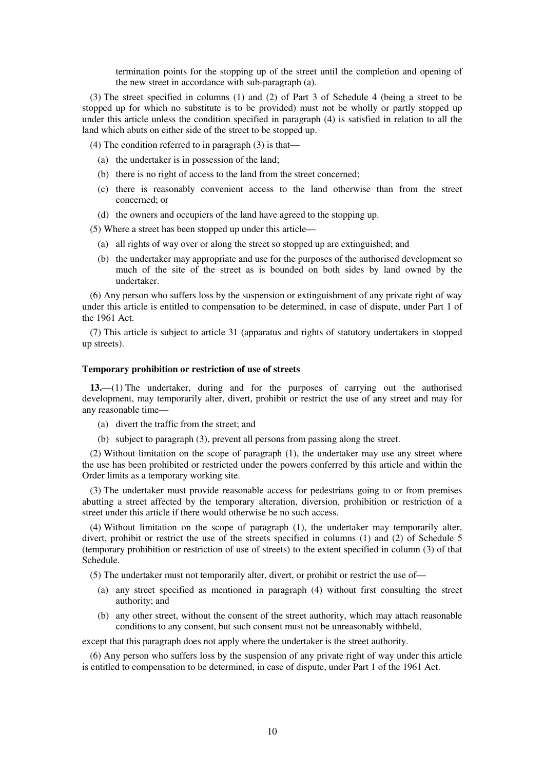termination points for the stopping up of the street until the completion and opening of the new street in accordance with sub-paragraph (a).

(3) The street specified in columns (1) and (2) of Part 3 of Schedule 4 (being a street to be stopped up for which no substitute is to be provided) must not be wholly or partly stopped up under this article unless the condition specified in paragraph (4) is satisfied in relation to all the land which abuts on either side of the street to be stopped up.

(4) The condition referred to in paragraph (3) is that—

- (a) the undertaker is in possession of the land;
- (b) there is no right of access to the land from the street concerned;
- (c) there is reasonably convenient access to the land otherwise than from the street concerned; or
- (d) the owners and occupiers of the land have agreed to the stopping up.

(5) Where a street has been stopped up under this article—

- (a) all rights of way over or along the street so stopped up are extinguished; and
- (b) the undertaker may appropriate and use for the purposes of the authorised development so much of the site of the street as is bounded on both sides by land owned by the undertaker.

(6) Any person who suffers loss by the suspension or extinguishment of any private right of way under this article is entitled to compensation to be determined, in case of dispute, under Part 1 of the 1961 Act.

(7) This article is subject to article 31 (apparatus and rights of statutory undertakers in stopped up streets).

#### **Temporary prohibition or restriction of use of streets**

**13.**—(1) The undertaker, during and for the purposes of carrying out the authorised development, may temporarily alter, divert, prohibit or restrict the use of any street and may for any reasonable time—

- (a) divert the traffic from the street; and
- (b) subject to paragraph (3), prevent all persons from passing along the street.

(2) Without limitation on the scope of paragraph (1), the undertaker may use any street where the use has been prohibited or restricted under the powers conferred by this article and within the Order limits as a temporary working site.

(3) The undertaker must provide reasonable access for pedestrians going to or from premises abutting a street affected by the temporary alteration, diversion, prohibition or restriction of a street under this article if there would otherwise be no such access.

(4) Without limitation on the scope of paragraph (1), the undertaker may temporarily alter, divert, prohibit or restrict the use of the streets specified in columns (1) and (2) of Schedule 5 (temporary prohibition or restriction of use of streets) to the extent specified in column (3) of that Schedule.

(5) The undertaker must not temporarily alter, divert, or prohibit or restrict the use of—

- (a) any street specified as mentioned in paragraph (4) without first consulting the street authority; and
- (b) any other street, without the consent of the street authority, which may attach reasonable conditions to any consent, but such consent must not be unreasonably withheld,

except that this paragraph does not apply where the undertaker is the street authority.

(6) Any person who suffers loss by the suspension of any private right of way under this article is entitled to compensation to be determined, in case of dispute, under Part 1 of the 1961 Act.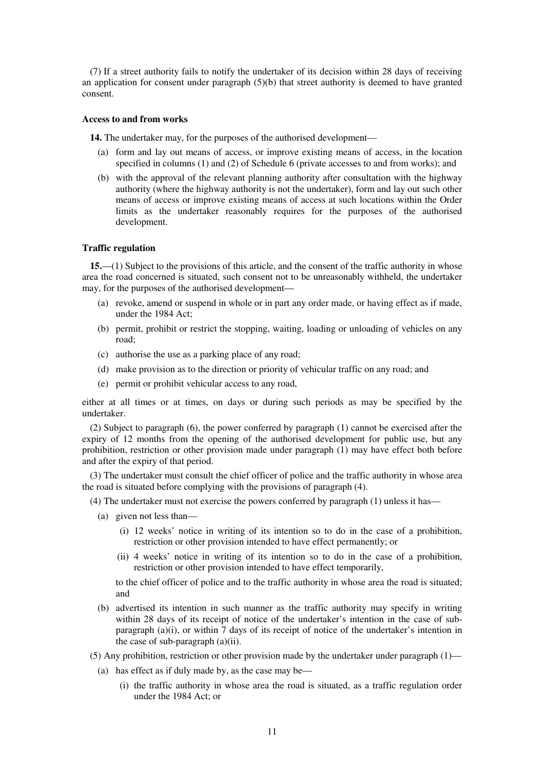(7) If a street authority fails to notify the undertaker of its decision within 28 days of receiving an application for consent under paragraph  $(5)(b)$  that street authority is deemed to have granted consent.

#### **Access to and from works**

**14.** The undertaker may, for the purposes of the authorised development—

- (a) form and lay out means of access, or improve existing means of access, in the location specified in columns (1) and (2) of Schedule 6 (private accesses to and from works); and
- (b) with the approval of the relevant planning authority after consultation with the highway authority (where the highway authority is not the undertaker), form and lay out such other means of access or improve existing means of access at such locations within the Order limits as the undertaker reasonably requires for the purposes of the authorised development.

### **Traffic regulation**

**15.**—(1) Subject to the provisions of this article, and the consent of the traffic authority in whose area the road concerned is situated, such consent not to be unreasonably withheld, the undertaker may, for the purposes of the authorised development—

- (a) revoke, amend or suspend in whole or in part any order made, or having effect as if made, under the 1984 Act;
- (b) permit, prohibit or restrict the stopping, waiting, loading or unloading of vehicles on any road;
- (c) authorise the use as a parking place of any road;
- (d) make provision as to the direction or priority of vehicular traffic on any road; and
- (e) permit or prohibit vehicular access to any road,

either at all times or at times, on days or during such periods as may be specified by the undertaker.

(2) Subject to paragraph (6), the power conferred by paragraph (1) cannot be exercised after the expiry of 12 months from the opening of the authorised development for public use, but any prohibition, restriction or other provision made under paragraph (1) may have effect both before and after the expiry of that period.

(3) The undertaker must consult the chief officer of police and the traffic authority in whose area the road is situated before complying with the provisions of paragraph (4).

(4) The undertaker must not exercise the powers conferred by paragraph (1) unless it has—

- (a) given not less than—
	- (i) 12 weeks' notice in writing of its intention so to do in the case of a prohibition, restriction or other provision intended to have effect permanently; or
	- (ii) 4 weeks' notice in writing of its intention so to do in the case of a prohibition, restriction or other provision intended to have effect temporarily,

to the chief officer of police and to the traffic authority in whose area the road is situated; and

- (b) advertised its intention in such manner as the traffic authority may specify in writing within 28 days of its receipt of notice of the undertaker's intention in the case of subparagraph (a)(i), or within 7 days of its receipt of notice of the undertaker's intention in the case of sub-paragraph (a)(ii).
- (5) Any prohibition, restriction or other provision made by the undertaker under paragraph  $(1)$ 
	- (a) has effect as if duly made by, as the case may be—
		- (i) the traffic authority in whose area the road is situated, as a traffic regulation order under the 1984 Act; or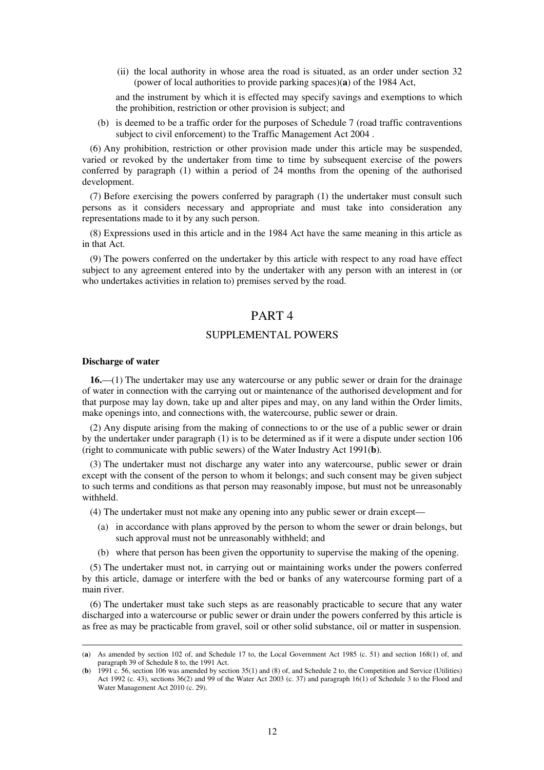(ii) the local authority in whose area the road is situated, as an order under section 32 (power of local authorities to provide parking spaces)(**a**) of the 1984 Act,

and the instrument by which it is effected may specify savings and exemptions to which the prohibition, restriction or other provision is subject; and

(b) is deemed to be a traffic order for the purposes of Schedule 7 (road traffic contraventions subject to civil enforcement) to the Traffic Management Act 2004 .

(6) Any prohibition, restriction or other provision made under this article may be suspended, varied or revoked by the undertaker from time to time by subsequent exercise of the powers conferred by paragraph (1) within a period of 24 months from the opening of the authorised development.

(7) Before exercising the powers conferred by paragraph (1) the undertaker must consult such persons as it considers necessary and appropriate and must take into consideration any representations made to it by any such person.

(8) Expressions used in this article and in the 1984 Act have the same meaning in this article as in that Act.

(9) The powers conferred on the undertaker by this article with respect to any road have effect subject to any agreement entered into by the undertaker with any person with an interest in (or who undertakes activities in relation to) premises served by the road.

# PART 4

## SUPPLEMENTAL POWERS

#### **Discharge of water**

<u>.</u>

**16.**—(1) The undertaker may use any watercourse or any public sewer or drain for the drainage of water in connection with the carrying out or maintenance of the authorised development and for that purpose may lay down, take up and alter pipes and may, on any land within the Order limits, make openings into, and connections with, the watercourse, public sewer or drain.

(2) Any dispute arising from the making of connections to or the use of a public sewer or drain by the undertaker under paragraph (1) is to be determined as if it were a dispute under section 106 (right to communicate with public sewers) of the Water Industry Act 1991(**b**).

(3) The undertaker must not discharge any water into any watercourse, public sewer or drain except with the consent of the person to whom it belongs; and such consent may be given subject to such terms and conditions as that person may reasonably impose, but must not be unreasonably withheld.

(4) The undertaker must not make any opening into any public sewer or drain except—

- (a) in accordance with plans approved by the person to whom the sewer or drain belongs, but such approval must not be unreasonably withheld; and
- (b) where that person has been given the opportunity to supervise the making of the opening.

(5) The undertaker must not, in carrying out or maintaining works under the powers conferred by this article, damage or interfere with the bed or banks of any watercourse forming part of a main river.

(6) The undertaker must take such steps as are reasonably practicable to secure that any water discharged into a watercourse or public sewer or drain under the powers conferred by this article is as free as may be practicable from gravel, soil or other solid substance, oil or matter in suspension.

<sup>(</sup>**a**) As amended by section 102 of, and Schedule 17 to, the Local Government Act 1985 (c. 51) and section 168(1) of, and paragraph 39 of Schedule 8 to, the 1991 Act.

<sup>(</sup>**b**) 1991 c. 56, section 106 was amended by section 35(1) and (8) of, and Schedule 2 to, the Competition and Service (Utilities) Act 1992 (c. 43), sections 36(2) and 99 of the Water Act 2003 (c. 37) and paragraph 16(1) of Schedule 3 to the Flood and Water Management Act 2010 (c. 29).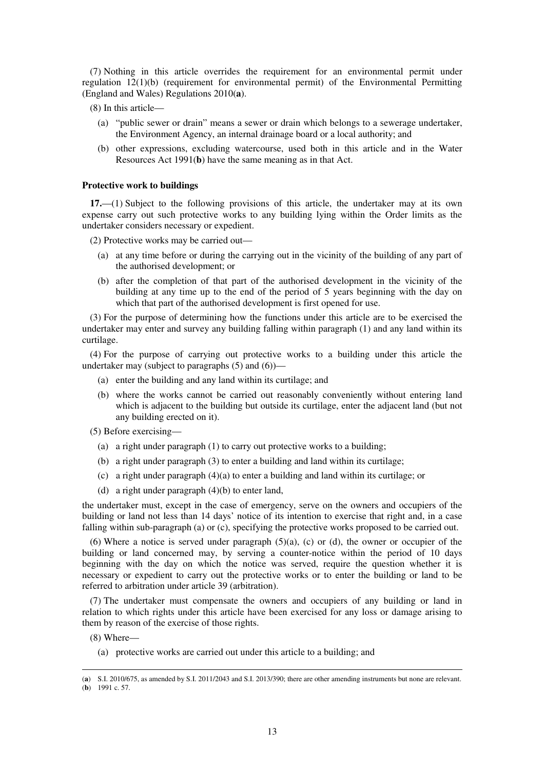(7) Nothing in this article overrides the requirement for an environmental permit under regulation 12(1)(b) (requirement for environmental permit) of the Environmental Permitting (England and Wales) Regulations 2010(**a**).

- (8) In this article—
	- (a) "public sewer or drain" means a sewer or drain which belongs to a sewerage undertaker, the Environment Agency, an internal drainage board or a local authority; and
	- (b) other expressions, excluding watercourse, used both in this article and in the Water Resources Act 1991(**b**) have the same meaning as in that Act.

## **Protective work to buildings**

**17.**—(1) Subject to the following provisions of this article, the undertaker may at its own expense carry out such protective works to any building lying within the Order limits as the undertaker considers necessary or expedient.

(2) Protective works may be carried out—

- (a) at any time before or during the carrying out in the vicinity of the building of any part of the authorised development; or
- (b) after the completion of that part of the authorised development in the vicinity of the building at any time up to the end of the period of 5 years beginning with the day on which that part of the authorised development is first opened for use.

(3) For the purpose of determining how the functions under this article are to be exercised the undertaker may enter and survey any building falling within paragraph (1) and any land within its curtilage.

(4) For the purpose of carrying out protective works to a building under this article the undertaker may (subject to paragraphs (5) and (6))—

- (a) enter the building and any land within its curtilage; and
- (b) where the works cannot be carried out reasonably conveniently without entering land which is adjacent to the building but outside its curtilage, enter the adjacent land (but not any building erected on it).
- (5) Before exercising—
	- (a) a right under paragraph (1) to carry out protective works to a building;
	- (b) a right under paragraph (3) to enter a building and land within its curtilage;
	- (c) a right under paragraph (4)(a) to enter a building and land within its curtilage; or
	- (d) a right under paragraph (4)(b) to enter land,

the undertaker must, except in the case of emergency, serve on the owners and occupiers of the building or land not less than 14 days' notice of its intention to exercise that right and, in a case falling within sub-paragraph (a) or (c), specifying the protective works proposed to be carried out.

(6) Where a notice is served under paragraph  $(5)(a)$ , (c) or (d), the owner or occupier of the building or land concerned may, by serving a counter-notice within the period of 10 days beginning with the day on which the notice was served, require the question whether it is necessary or expedient to carry out the protective works or to enter the building or land to be referred to arbitration under article 39 (arbitration).

(7) The undertaker must compensate the owners and occupiers of any building or land in relation to which rights under this article have been exercised for any loss or damage arising to them by reason of the exercise of those rights.

(8) Where—

<u>.</u>

(a) protective works are carried out under this article to a building; and

<sup>(</sup>**a**) S.I. 2010/675, as amended by S.I. 2011/2043 and S.I. 2013/390; there are other amending instruments but none are relevant. (**b**) 1991 c. 57.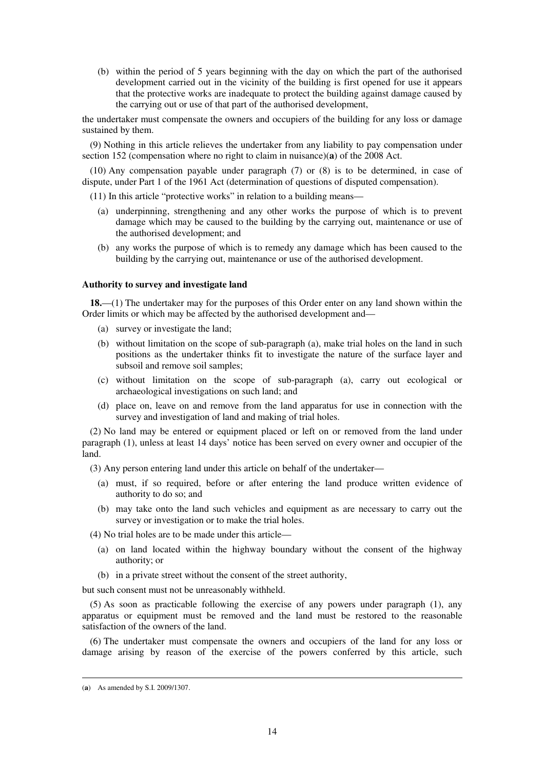(b) within the period of 5 years beginning with the day on which the part of the authorised development carried out in the vicinity of the building is first opened for use it appears that the protective works are inadequate to protect the building against damage caused by the carrying out or use of that part of the authorised development,

the undertaker must compensate the owners and occupiers of the building for any loss or damage sustained by them.

(9) Nothing in this article relieves the undertaker from any liability to pay compensation under section 152 (compensation where no right to claim in nuisance)(**a**) of the 2008 Act.

(10) Any compensation payable under paragraph (7) or (8) is to be determined, in case of dispute, under Part 1 of the 1961 Act (determination of questions of disputed compensation).

(11) In this article "protective works" in relation to a building means—

- (a) underpinning, strengthening and any other works the purpose of which is to prevent damage which may be caused to the building by the carrying out, maintenance or use of the authorised development; and
- (b) any works the purpose of which is to remedy any damage which has been caused to the building by the carrying out, maintenance or use of the authorised development.

### **Authority to survey and investigate land**

**18.**—(1) The undertaker may for the purposes of this Order enter on any land shown within the Order limits or which may be affected by the authorised development and—

- (a) survey or investigate the land;
- (b) without limitation on the scope of sub-paragraph (a), make trial holes on the land in such positions as the undertaker thinks fit to investigate the nature of the surface layer and subsoil and remove soil samples;
- (c) without limitation on the scope of sub-paragraph (a), carry out ecological or archaeological investigations on such land; and
- (d) place on, leave on and remove from the land apparatus for use in connection with the survey and investigation of land and making of trial holes.

(2) No land may be entered or equipment placed or left on or removed from the land under paragraph (1), unless at least 14 days' notice has been served on every owner and occupier of the land.

(3) Any person entering land under this article on behalf of the undertaker—

- (a) must, if so required, before or after entering the land produce written evidence of authority to do so; and
- (b) may take onto the land such vehicles and equipment as are necessary to carry out the survey or investigation or to make the trial holes.

(4) No trial holes are to be made under this article—

- (a) on land located within the highway boundary without the consent of the highway authority; or
- (b) in a private street without the consent of the street authority,

but such consent must not be unreasonably withheld.

(5) As soon as practicable following the exercise of any powers under paragraph (1), any apparatus or equipment must be removed and the land must be restored to the reasonable satisfaction of the owners of the land.

(6) The undertaker must compensate the owners and occupiers of the land for any loss or damage arising by reason of the exercise of the powers conferred by this article, such

<sup>(</sup>**a**) As amended by S.I. 2009/1307.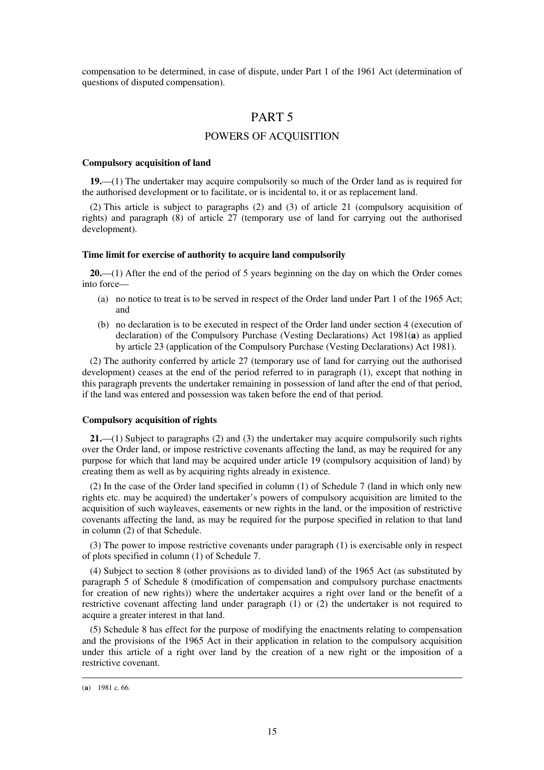compensation to be determined, in case of dispute, under Part 1 of the 1961 Act (determination of questions of disputed compensation).

# PART 5

# POWERS OF ACQUISITION

### **Compulsory acquisition of land**

**19.**—(1) The undertaker may acquire compulsorily so much of the Order land as is required for the authorised development or to facilitate, or is incidental to, it or as replacement land.

(2) This article is subject to paragraphs (2) and (3) of article 21 (compulsory acquisition of rights) and paragraph (8) of article 27 (temporary use of land for carrying out the authorised development).

## **Time limit for exercise of authority to acquire land compulsorily**

**20.**—(1) After the end of the period of 5 years beginning on the day on which the Order comes into force—

- (a) no notice to treat is to be served in respect of the Order land under Part 1 of the 1965 Act; and
- (b) no declaration is to be executed in respect of the Order land under section 4 (execution of declaration) of the Compulsory Purchase (Vesting Declarations) Act 1981(**a**) as applied by article 23 (application of the Compulsory Purchase (Vesting Declarations) Act 1981).

(2) The authority conferred by article 27 (temporary use of land for carrying out the authorised development) ceases at the end of the period referred to in paragraph (1), except that nothing in this paragraph prevents the undertaker remaining in possession of land after the end of that period, if the land was entered and possession was taken before the end of that period.

## **Compulsory acquisition of rights**

**21.**—(1) Subject to paragraphs (2) and (3) the undertaker may acquire compulsorily such rights over the Order land, or impose restrictive covenants affecting the land, as may be required for any purpose for which that land may be acquired under article 19 (compulsory acquisition of land) by creating them as well as by acquiring rights already in existence.

(2) In the case of the Order land specified in column (1) of Schedule 7 (land in which only new rights etc. may be acquired) the undertaker's powers of compulsory acquisition are limited to the acquisition of such wayleaves, easements or new rights in the land, or the imposition of restrictive covenants affecting the land, as may be required for the purpose specified in relation to that land in column (2) of that Schedule.

(3) The power to impose restrictive covenants under paragraph (1) is exercisable only in respect of plots specified in column (1) of Schedule 7.

(4) Subject to section 8 (other provisions as to divided land) of the 1965 Act (as substituted by paragraph 5 of Schedule 8 (modification of compensation and compulsory purchase enactments for creation of new rights)) where the undertaker acquires a right over land or the benefit of a restrictive covenant affecting land under paragraph (1) or (2) the undertaker is not required to acquire a greater interest in that land.

(5) Schedule 8 has effect for the purpose of modifying the enactments relating to compensation and the provisions of the 1965 Act in their application in relation to the compulsory acquisition under this article of a right over land by the creation of a new right or the imposition of a restrictive covenant.

<sup>(</sup>**a**) 1981 c. 66.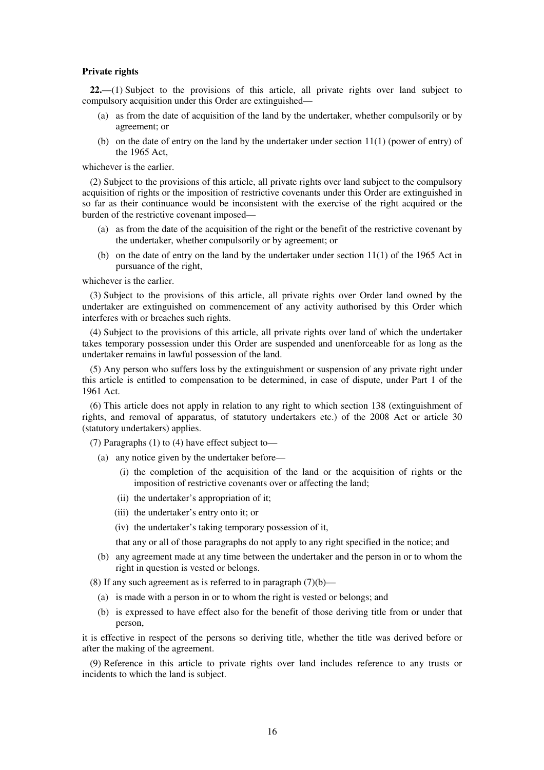#### **Private rights**

**22.**—(1) Subject to the provisions of this article, all private rights over land subject to compulsory acquisition under this Order are extinguished—

- (a) as from the date of acquisition of the land by the undertaker, whether compulsorily or by agreement; or
- (b) on the date of entry on the land by the undertaker under section  $11(1)$  (power of entry) of the 1965 Act,

whichever is the earlier.

(2) Subject to the provisions of this article, all private rights over land subject to the compulsory acquisition of rights or the imposition of restrictive covenants under this Order are extinguished in so far as their continuance would be inconsistent with the exercise of the right acquired or the burden of the restrictive covenant imposed—

- (a) as from the date of the acquisition of the right or the benefit of the restrictive covenant by the undertaker, whether compulsorily or by agreement; or
- (b) on the date of entry on the land by the undertaker under section 11(1) of the 1965 Act in pursuance of the right,

whichever is the earlier.

(3) Subject to the provisions of this article, all private rights over Order land owned by the undertaker are extinguished on commencement of any activity authorised by this Order which interferes with or breaches such rights.

(4) Subject to the provisions of this article, all private rights over land of which the undertaker takes temporary possession under this Order are suspended and unenforceable for as long as the undertaker remains in lawful possession of the land.

(5) Any person who suffers loss by the extinguishment or suspension of any private right under this article is entitled to compensation to be determined, in case of dispute, under Part 1 of the 1961 Act.

(6) This article does not apply in relation to any right to which section 138 (extinguishment of rights, and removal of apparatus, of statutory undertakers etc.) of the 2008 Act or article 30 (statutory undertakers) applies.

(7) Paragraphs (1) to (4) have effect subject to—

- (a) any notice given by the undertaker before—
	- (i) the completion of the acquisition of the land or the acquisition of rights or the imposition of restrictive covenants over or affecting the land;
	- (ii) the undertaker's appropriation of it;
	- (iii) the undertaker's entry onto it; or
	- (iv) the undertaker's taking temporary possession of it,
	- that any or all of those paragraphs do not apply to any right specified in the notice; and
- (b) any agreement made at any time between the undertaker and the person in or to whom the right in question is vested or belongs.

(8) If any such agreement as is referred to in paragraph  $(7)(b)$ —

- (a) is made with a person in or to whom the right is vested or belongs; and
- (b) is expressed to have effect also for the benefit of those deriving title from or under that person,

it is effective in respect of the persons so deriving title, whether the title was derived before or after the making of the agreement.

(9) Reference in this article to private rights over land includes reference to any trusts or incidents to which the land is subject.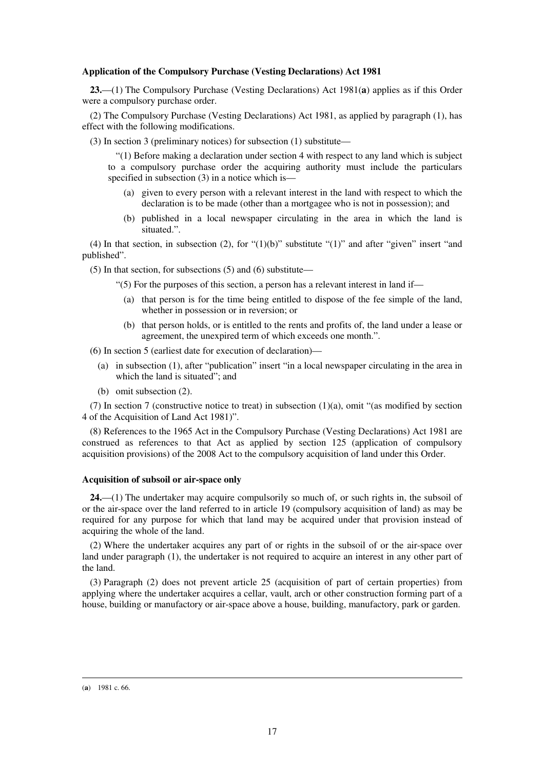### **Application of the Compulsory Purchase (Vesting Declarations) Act 1981**

**23.**—(1) The Compulsory Purchase (Vesting Declarations) Act 1981(**a**) applies as if this Order were a compulsory purchase order.

(2) The Compulsory Purchase (Vesting Declarations) Act 1981, as applied by paragraph (1), has effect with the following modifications.

(3) In section 3 (preliminary notices) for subsection (1) substitute—

"(1) Before making a declaration under section 4 with respect to any land which is subject to a compulsory purchase order the acquiring authority must include the particulars specified in subsection (3) in a notice which is—

- (a) given to every person with a relevant interest in the land with respect to which the declaration is to be made (other than a mortgagee who is not in possession); and
- (b) published in a local newspaper circulating in the area in which the land is situated."

(4) In that section, in subsection (2), for " $(1)(b)$ " substitute " $(1)$ " and after "given" insert "and published".

(5) In that section, for subsections (5) and (6) substitute—

"(5) For the purposes of this section, a person has a relevant interest in land if—

- (a) that person is for the time being entitled to dispose of the fee simple of the land, whether in possession or in reversion; or
- (b) that person holds, or is entitled to the rents and profits of, the land under a lease or agreement, the unexpired term of which exceeds one month.".

(6) In section 5 (earliest date for execution of declaration)—

- (a) in subsection (1), after "publication" insert "in a local newspaper circulating in the area in which the land is situated"; and
- (b) omit subsection (2).

(7) In section 7 (constructive notice to treat) in subsection  $(1)(a)$ , omit "(as modified by section 4 of the Acquisition of Land Act 1981)".

(8) References to the 1965 Act in the Compulsory Purchase (Vesting Declarations) Act 1981 are construed as references to that Act as applied by section 125 (application of compulsory acquisition provisions) of the 2008 Act to the compulsory acquisition of land under this Order.

### **Acquisition of subsoil or air-space only**

**24.**—(1) The undertaker may acquire compulsorily so much of, or such rights in, the subsoil of or the air-space over the land referred to in article 19 (compulsory acquisition of land) as may be required for any purpose for which that land may be acquired under that provision instead of acquiring the whole of the land.

(2) Where the undertaker acquires any part of or rights in the subsoil of or the air-space over land under paragraph (1), the undertaker is not required to acquire an interest in any other part of the land.

(3) Paragraph (2) does not prevent article 25 (acquisition of part of certain properties) from applying where the undertaker acquires a cellar, vault, arch or other construction forming part of a house, building or manufactory or air-space above a house, building, manufactory, park or garden.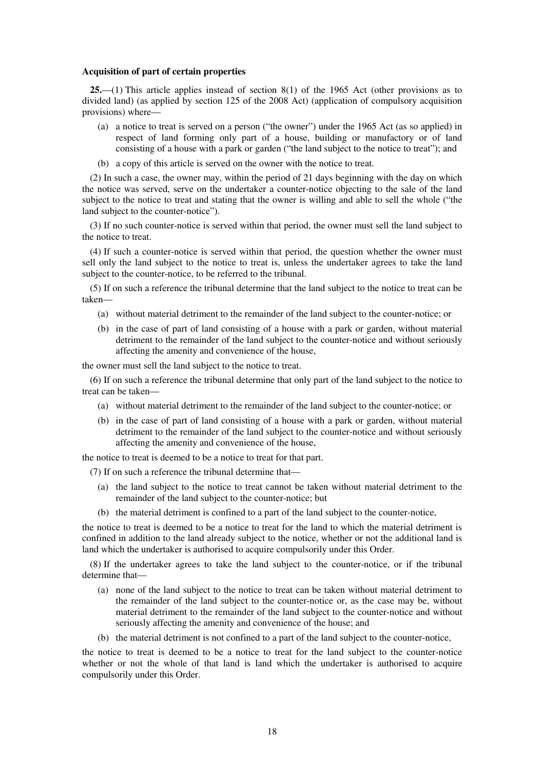#### **Acquisition of part of certain properties**

**25.**—(1) This article applies instead of section 8(1) of the 1965 Act (other provisions as to divided land) (as applied by section 125 of the 2008 Act) (application of compulsory acquisition provisions) where—

- (a) a notice to treat is served on a person ("the owner") under the 1965 Act (as so applied) in respect of land forming only part of a house, building or manufactory or of land consisting of a house with a park or garden ("the land subject to the notice to treat"); and
- (b) a copy of this article is served on the owner with the notice to treat.

(2) In such a case, the owner may, within the period of 21 days beginning with the day on which the notice was served, serve on the undertaker a counter-notice objecting to the sale of the land subject to the notice to treat and stating that the owner is willing and able to sell the whole ("the land subject to the counter-notice").

(3) If no such counter-notice is served within that period, the owner must sell the land subject to the notice to treat.

(4) If such a counter-notice is served within that period, the question whether the owner must sell only the land subject to the notice to treat is, unless the undertaker agrees to take the land subject to the counter-notice, to be referred to the tribunal.

(5) If on such a reference the tribunal determine that the land subject to the notice to treat can be taken—

- (a) without material detriment to the remainder of the land subject to the counter-notice; or
- (b) in the case of part of land consisting of a house with a park or garden, without material detriment to the remainder of the land subject to the counter-notice and without seriously affecting the amenity and convenience of the house,

the owner must sell the land subject to the notice to treat.

(6) If on such a reference the tribunal determine that only part of the land subject to the notice to treat can be taken—

- (a) without material detriment to the remainder of the land subject to the counter-notice; or
- (b) in the case of part of land consisting of a house with a park or garden, without material detriment to the remainder of the land subject to the counter-notice and without seriously affecting the amenity and convenience of the house,

the notice to treat is deemed to be a notice to treat for that part.

(7) If on such a reference the tribunal determine that—

- (a) the land subject to the notice to treat cannot be taken without material detriment to the remainder of the land subject to the counter-notice; but
- (b) the material detriment is confined to a part of the land subject to the counter-notice,

the notice to treat is deemed to be a notice to treat for the land to which the material detriment is confined in addition to the land already subject to the notice, whether or not the additional land is land which the undertaker is authorised to acquire compulsorily under this Order.

(8) If the undertaker agrees to take the land subject to the counter-notice, or if the tribunal determine that—

- (a) none of the land subject to the notice to treat can be taken without material detriment to the remainder of the land subject to the counter-notice or, as the case may be, without material detriment to the remainder of the land subject to the counter-notice and without seriously affecting the amenity and convenience of the house; and
- (b) the material detriment is not confined to a part of the land subject to the counter-notice,

the notice to treat is deemed to be a notice to treat for the land subject to the counter-notice whether or not the whole of that land is land which the undertaker is authorised to acquire compulsorily under this Order.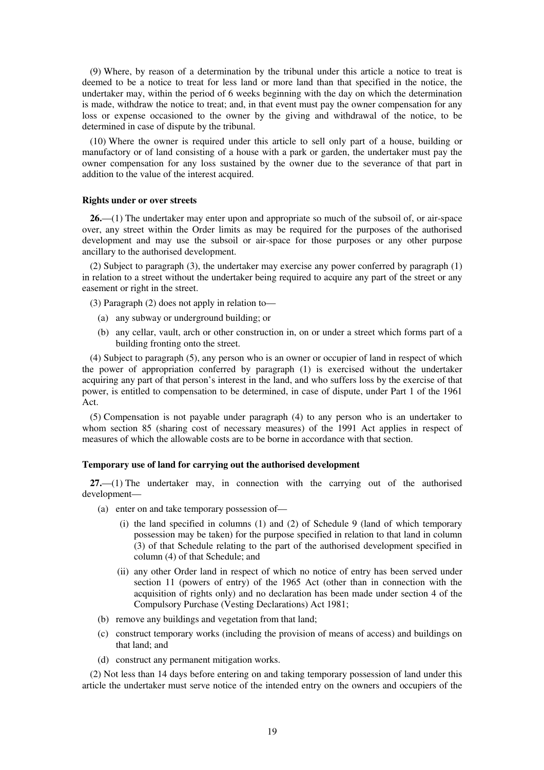(9) Where, by reason of a determination by the tribunal under this article a notice to treat is deemed to be a notice to treat for less land or more land than that specified in the notice, the undertaker may, within the period of 6 weeks beginning with the day on which the determination is made, withdraw the notice to treat; and, in that event must pay the owner compensation for any loss or expense occasioned to the owner by the giving and withdrawal of the notice, to be determined in case of dispute by the tribunal.

(10) Where the owner is required under this article to sell only part of a house, building or manufactory or of land consisting of a house with a park or garden, the undertaker must pay the owner compensation for any loss sustained by the owner due to the severance of that part in addition to the value of the interest acquired.

#### **Rights under or over streets**

**26.**—(1) The undertaker may enter upon and appropriate so much of the subsoil of, or air-space over, any street within the Order limits as may be required for the purposes of the authorised development and may use the subsoil or air-space for those purposes or any other purpose ancillary to the authorised development.

(2) Subject to paragraph (3), the undertaker may exercise any power conferred by paragraph (1) in relation to a street without the undertaker being required to acquire any part of the street or any easement or right in the street.

(3) Paragraph (2) does not apply in relation to—

- (a) any subway or underground building; or
- (b) any cellar, vault, arch or other construction in, on or under a street which forms part of a building fronting onto the street.

(4) Subject to paragraph (5), any person who is an owner or occupier of land in respect of which the power of appropriation conferred by paragraph (1) is exercised without the undertaker acquiring any part of that person's interest in the land, and who suffers loss by the exercise of that power, is entitled to compensation to be determined, in case of dispute, under Part 1 of the 1961 Act.

(5) Compensation is not payable under paragraph (4) to any person who is an undertaker to whom section 85 (sharing cost of necessary measures) of the 1991 Act applies in respect of measures of which the allowable costs are to be borne in accordance with that section.

## **Temporary use of land for carrying out the authorised development**

**27.**—(1) The undertaker may, in connection with the carrying out of the authorised development—

- (a) enter on and take temporary possession of—
	- (i) the land specified in columns (1) and (2) of Schedule 9 (land of which temporary possession may be taken) for the purpose specified in relation to that land in column (3) of that Schedule relating to the part of the authorised development specified in column (4) of that Schedule; and
	- (ii) any other Order land in respect of which no notice of entry has been served under section 11 (powers of entry) of the 1965 Act (other than in connection with the acquisition of rights only) and no declaration has been made under section 4 of the Compulsory Purchase (Vesting Declarations) Act 1981;
- (b) remove any buildings and vegetation from that land;
- (c) construct temporary works (including the provision of means of access) and buildings on that land; and
- (d) construct any permanent mitigation works.

(2) Not less than 14 days before entering on and taking temporary possession of land under this article the undertaker must serve notice of the intended entry on the owners and occupiers of the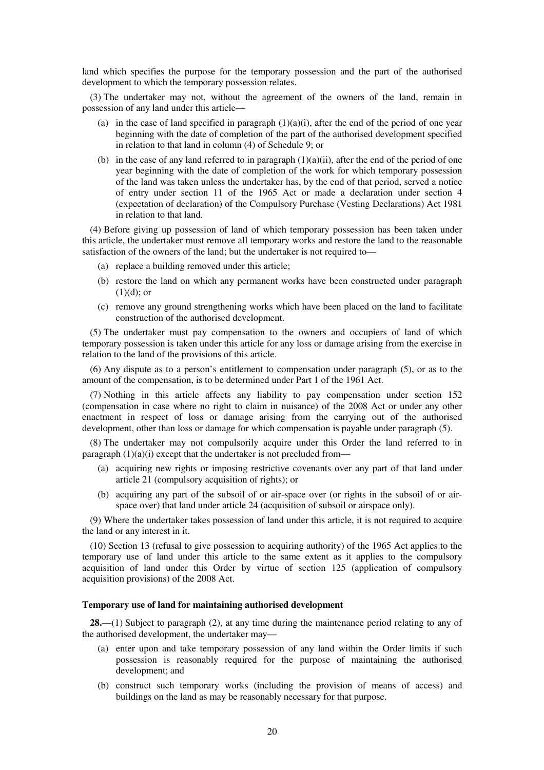land which specifies the purpose for the temporary possession and the part of the authorised development to which the temporary possession relates.

(3) The undertaker may not, without the agreement of the owners of the land, remain in possession of any land under this article—

- (a) in the case of land specified in paragraph  $(1)(a)(i)$ , after the end of the period of one year beginning with the date of completion of the part of the authorised development specified in relation to that land in column (4) of Schedule 9; or
- (b) in the case of any land referred to in paragraph  $(1)(a)(ii)$ , after the end of the period of one year beginning with the date of completion of the work for which temporary possession of the land was taken unless the undertaker has, by the end of that period, served a notice of entry under section 11 of the 1965 Act or made a declaration under section 4 (expectation of declaration) of the Compulsory Purchase (Vesting Declarations) Act 1981 in relation to that land.

(4) Before giving up possession of land of which temporary possession has been taken under this article, the undertaker must remove all temporary works and restore the land to the reasonable satisfaction of the owners of the land; but the undertaker is not required to—

- (a) replace a building removed under this article;
- (b) restore the land on which any permanent works have been constructed under paragraph  $(1)(d)$ ; or
- (c) remove any ground strengthening works which have been placed on the land to facilitate construction of the authorised development.

(5) The undertaker must pay compensation to the owners and occupiers of land of which temporary possession is taken under this article for any loss or damage arising from the exercise in relation to the land of the provisions of this article.

(6) Any dispute as to a person's entitlement to compensation under paragraph (5), or as to the amount of the compensation, is to be determined under Part 1 of the 1961 Act.

(7) Nothing in this article affects any liability to pay compensation under section 152 (compensation in case where no right to claim in nuisance) of the 2008 Act or under any other enactment in respect of loss or damage arising from the carrying out of the authorised development, other than loss or damage for which compensation is payable under paragraph (5).

(8) The undertaker may not compulsorily acquire under this Order the land referred to in paragraph  $(1)(a)(i)$  except that the undertaker is not precluded from—

- (a) acquiring new rights or imposing restrictive covenants over any part of that land under article 21 (compulsory acquisition of rights); or
- (b) acquiring any part of the subsoil of or air-space over (or rights in the subsoil of or airspace over) that land under article 24 (acquisition of subsoil or airspace only).

(9) Where the undertaker takes possession of land under this article, it is not required to acquire the land or any interest in it.

(10) Section 13 (refusal to give possession to acquiring authority) of the 1965 Act applies to the temporary use of land under this article to the same extent as it applies to the compulsory acquisition of land under this Order by virtue of section 125 (application of compulsory acquisition provisions) of the 2008 Act.

## **Temporary use of land for maintaining authorised development**

**28.**—(1) Subject to paragraph (2), at any time during the maintenance period relating to any of the authorised development, the undertaker may—

- (a) enter upon and take temporary possession of any land within the Order limits if such possession is reasonably required for the purpose of maintaining the authorised development; and
- (b) construct such temporary works (including the provision of means of access) and buildings on the land as may be reasonably necessary for that purpose.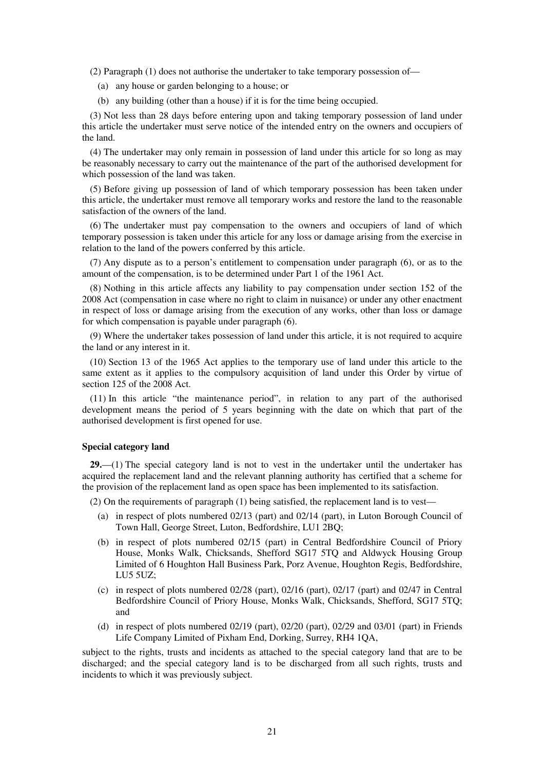(2) Paragraph (1) does not authorise the undertaker to take temporary possession of—

- (a) any house or garden belonging to a house; or
- (b) any building (other than a house) if it is for the time being occupied.

(3) Not less than 28 days before entering upon and taking temporary possession of land under this article the undertaker must serve notice of the intended entry on the owners and occupiers of the land.

(4) The undertaker may only remain in possession of land under this article for so long as may be reasonably necessary to carry out the maintenance of the part of the authorised development for which possession of the land was taken.

(5) Before giving up possession of land of which temporary possession has been taken under this article, the undertaker must remove all temporary works and restore the land to the reasonable satisfaction of the owners of the land.

(6) The undertaker must pay compensation to the owners and occupiers of land of which temporary possession is taken under this article for any loss or damage arising from the exercise in relation to the land of the powers conferred by this article.

(7) Any dispute as to a person's entitlement to compensation under paragraph (6), or as to the amount of the compensation, is to be determined under Part 1 of the 1961 Act.

(8) Nothing in this article affects any liability to pay compensation under section 152 of the 2008 Act (compensation in case where no right to claim in nuisance) or under any other enactment in respect of loss or damage arising from the execution of any works, other than loss or damage for which compensation is payable under paragraph (6).

(9) Where the undertaker takes possession of land under this article, it is not required to acquire the land or any interest in it.

(10) Section 13 of the 1965 Act applies to the temporary use of land under this article to the same extent as it applies to the compulsory acquisition of land under this Order by virtue of section 125 of the 2008 Act.

(11) In this article "the maintenance period", in relation to any part of the authorised development means the period of 5 years beginning with the date on which that part of the authorised development is first opened for use.

## **Special category land**

**29.**—(1) The special category land is not to vest in the undertaker until the undertaker has acquired the replacement land and the relevant planning authority has certified that a scheme for the provision of the replacement land as open space has been implemented to its satisfaction.

(2) On the requirements of paragraph (1) being satisfied, the replacement land is to vest—

- (a) in respect of plots numbered 02/13 (part) and 02/14 (part), in Luton Borough Council of Town Hall, George Street, Luton, Bedfordshire, LU1 2BQ;
- (b) in respect of plots numbered 02/15 (part) in Central Bedfordshire Council of Priory House, Monks Walk, Chicksands, Shefford SG17 5TQ and Aldwyck Housing Group Limited of 6 Houghton Hall Business Park, Porz Avenue, Houghton Regis, Bedfordshire, LU5 5UZ;
- (c) in respect of plots numbered  $02/28$  (part),  $02/16$  (part),  $02/17$  (part) and  $02/47$  in Central Bedfordshire Council of Priory House, Monks Walk, Chicksands, Shefford, SG17 5TQ; and
- (d) in respect of plots numbered  $02/19$  (part),  $02/20$  (part),  $02/29$  and  $03/01$  (part) in Friends Life Company Limited of Pixham End, Dorking, Surrey, RH4 1QA,

subject to the rights, trusts and incidents as attached to the special category land that are to be discharged; and the special category land is to be discharged from all such rights, trusts and incidents to which it was previously subject.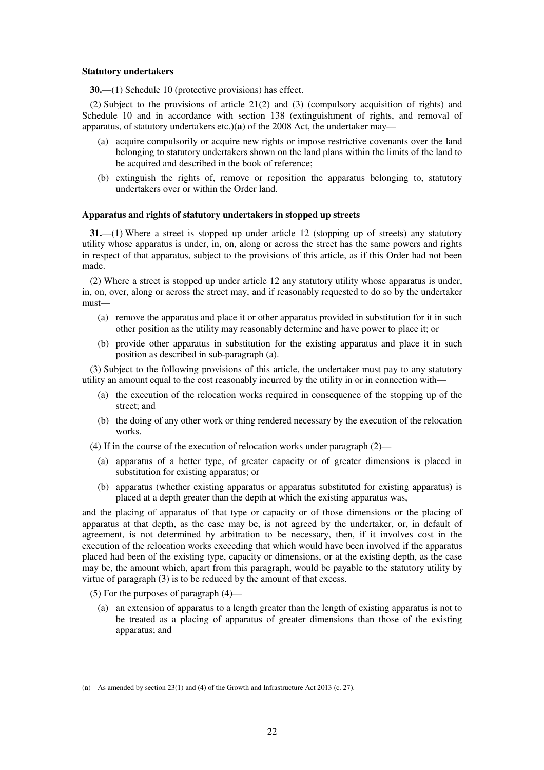### **Statutory undertakers**

**30.**—(1) Schedule 10 (protective provisions) has effect.

(2) Subject to the provisions of article 21(2) and (3) (compulsory acquisition of rights) and Schedule 10 and in accordance with section 138 (extinguishment of rights, and removal of apparatus, of statutory undertakers etc.)(**a**) of the 2008 Act, the undertaker may—

- (a) acquire compulsorily or acquire new rights or impose restrictive covenants over the land belonging to statutory undertakers shown on the land plans within the limits of the land to be acquired and described in the book of reference;
- (b) extinguish the rights of, remove or reposition the apparatus belonging to, statutory undertakers over or within the Order land.

## **Apparatus and rights of statutory undertakers in stopped up streets**

**31.**—(1) Where a street is stopped up under article 12 (stopping up of streets) any statutory utility whose apparatus is under, in, on, along or across the street has the same powers and rights in respect of that apparatus, subject to the provisions of this article, as if this Order had not been made.

(2) Where a street is stopped up under article 12 any statutory utility whose apparatus is under, in, on, over, along or across the street may, and if reasonably requested to do so by the undertaker must—

- (a) remove the apparatus and place it or other apparatus provided in substitution for it in such other position as the utility may reasonably determine and have power to place it; or
- (b) provide other apparatus in substitution for the existing apparatus and place it in such position as described in sub-paragraph (a).

(3) Subject to the following provisions of this article, the undertaker must pay to any statutory utility an amount equal to the cost reasonably incurred by the utility in or in connection with—

- (a) the execution of the relocation works required in consequence of the stopping up of the street; and
- (b) the doing of any other work or thing rendered necessary by the execution of the relocation works.
- (4) If in the course of the execution of relocation works under paragraph (2)—
	- (a) apparatus of a better type, of greater capacity or of greater dimensions is placed in substitution for existing apparatus; or
	- (b) apparatus (whether existing apparatus or apparatus substituted for existing apparatus) is placed at a depth greater than the depth at which the existing apparatus was,

and the placing of apparatus of that type or capacity or of those dimensions or the placing of apparatus at that depth, as the case may be, is not agreed by the undertaker, or, in default of agreement, is not determined by arbitration to be necessary, then, if it involves cost in the execution of the relocation works exceeding that which would have been involved if the apparatus placed had been of the existing type, capacity or dimensions, or at the existing depth, as the case may be, the amount which, apart from this paragraph, would be payable to the statutory utility by virtue of paragraph (3) is to be reduced by the amount of that excess.

(5) For the purposes of paragraph (4)—

<u>.</u>

(a) an extension of apparatus to a length greater than the length of existing apparatus is not to be treated as a placing of apparatus of greater dimensions than those of the existing apparatus; and

<sup>(</sup>**a**) As amended by section 23(1) and (4) of the Growth and Infrastructure Act 2013 (c. 27).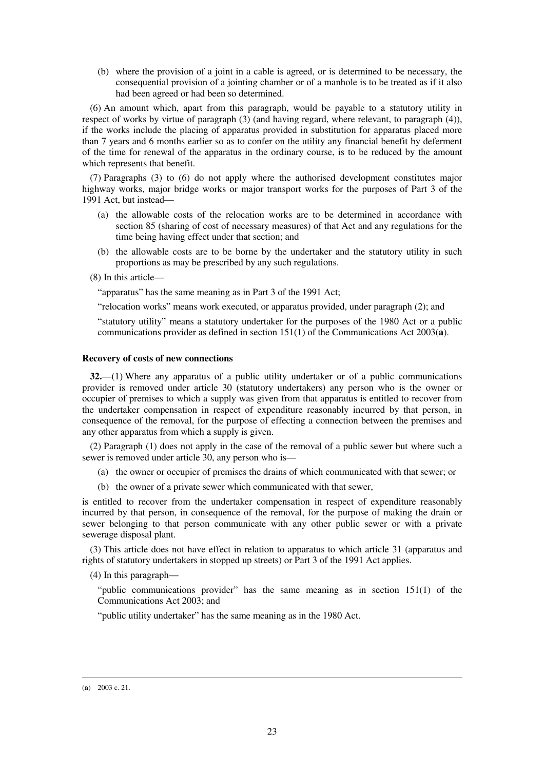(b) where the provision of a joint in a cable is agreed, or is determined to be necessary, the consequential provision of a jointing chamber or of a manhole is to be treated as if it also had been agreed or had been so determined.

(6) An amount which, apart from this paragraph, would be payable to a statutory utility in respect of works by virtue of paragraph (3) (and having regard, where relevant, to paragraph (4)), if the works include the placing of apparatus provided in substitution for apparatus placed more than 7 years and 6 months earlier so as to confer on the utility any financial benefit by deferment of the time for renewal of the apparatus in the ordinary course, is to be reduced by the amount which represents that benefit.

(7) Paragraphs (3) to (6) do not apply where the authorised development constitutes major highway works, major bridge works or major transport works for the purposes of Part 3 of the 1991 Act, but instead—

- (a) the allowable costs of the relocation works are to be determined in accordance with section 85 (sharing of cost of necessary measures) of that Act and any regulations for the time being having effect under that section; and
- (b) the allowable costs are to be borne by the undertaker and the statutory utility in such proportions as may be prescribed by any such regulations.
- (8) In this article—

"apparatus" has the same meaning as in Part 3 of the 1991 Act;

"relocation works" means work executed, or apparatus provided, under paragraph (2); and

"statutory utility" means a statutory undertaker for the purposes of the 1980 Act or a public communications provider as defined in section 151(1) of the Communications Act 2003(**a**).

### **Recovery of costs of new connections**

**32.**—(1) Where any apparatus of a public utility undertaker or of a public communications provider is removed under article 30 (statutory undertakers) any person who is the owner or occupier of premises to which a supply was given from that apparatus is entitled to recover from the undertaker compensation in respect of expenditure reasonably incurred by that person, in consequence of the removal, for the purpose of effecting a connection between the premises and any other apparatus from which a supply is given.

(2) Paragraph (1) does not apply in the case of the removal of a public sewer but where such a sewer is removed under article 30, any person who is—

- (a) the owner or occupier of premises the drains of which communicated with that sewer; or
- (b) the owner of a private sewer which communicated with that sewer,

is entitled to recover from the undertaker compensation in respect of expenditure reasonably incurred by that person, in consequence of the removal, for the purpose of making the drain or sewer belonging to that person communicate with any other public sewer or with a private sewerage disposal plant.

(3) This article does not have effect in relation to apparatus to which article 31 (apparatus and rights of statutory undertakers in stopped up streets) or Part 3 of the 1991 Act applies.

(4) In this paragraph—

"public communications provider" has the same meaning as in section 151(1) of the Communications Act 2003; and

"public utility undertaker" has the same meaning as in the 1980 Act.

<sup>(</sup>**a**) 2003 c. 21.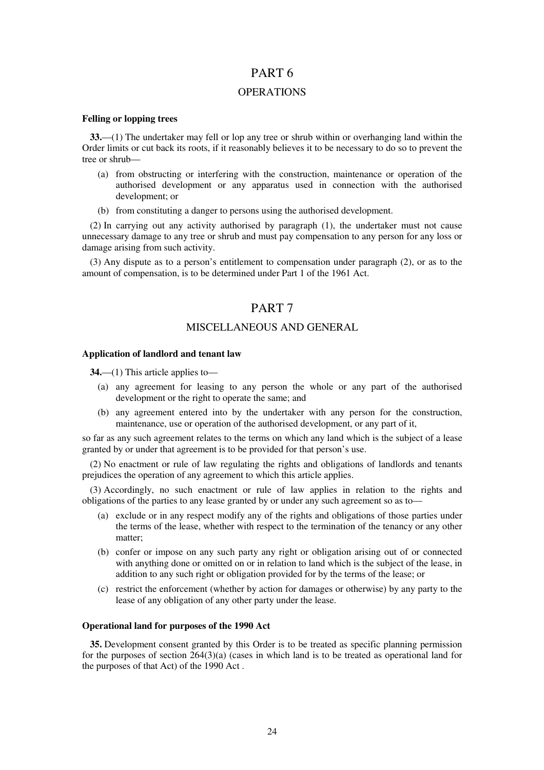# PART 6

## **OPERATIONS**

### **Felling or lopping trees**

**33.**—(1) The undertaker may fell or lop any tree or shrub within or overhanging land within the Order limits or cut back its roots, if it reasonably believes it to be necessary to do so to prevent the tree or shrub—

- (a) from obstructing or interfering with the construction, maintenance or operation of the authorised development or any apparatus used in connection with the authorised development; or
- (b) from constituting a danger to persons using the authorised development.

(2) In carrying out any activity authorised by paragraph (1), the undertaker must not cause unnecessary damage to any tree or shrub and must pay compensation to any person for any loss or damage arising from such activity.

(3) Any dispute as to a person's entitlement to compensation under paragraph (2), or as to the amount of compensation, is to be determined under Part 1 of the 1961 Act.

# PART 7

# MISCELLANEOUS AND GENERAL

#### **Application of landlord and tenant law**

**34.**—(1) This article applies to—

- (a) any agreement for leasing to any person the whole or any part of the authorised development or the right to operate the same; and
- (b) any agreement entered into by the undertaker with any person for the construction, maintenance, use or operation of the authorised development, or any part of it,

so far as any such agreement relates to the terms on which any land which is the subject of a lease granted by or under that agreement is to be provided for that person's use.

(2) No enactment or rule of law regulating the rights and obligations of landlords and tenants prejudices the operation of any agreement to which this article applies.

(3) Accordingly, no such enactment or rule of law applies in relation to the rights and obligations of the parties to any lease granted by or under any such agreement so as to—

- (a) exclude or in any respect modify any of the rights and obligations of those parties under the terms of the lease, whether with respect to the termination of the tenancy or any other matter;
- (b) confer or impose on any such party any right or obligation arising out of or connected with anything done or omitted on or in relation to land which is the subject of the lease, in addition to any such right or obligation provided for by the terms of the lease; or
- (c) restrict the enforcement (whether by action for damages or otherwise) by any party to the lease of any obligation of any other party under the lease.

### **Operational land for purposes of the 1990 Act**

**35.** Development consent granted by this Order is to be treated as specific planning permission for the purposes of section 264(3)(a) (cases in which land is to be treated as operational land for the purposes of that Act) of the 1990 Act .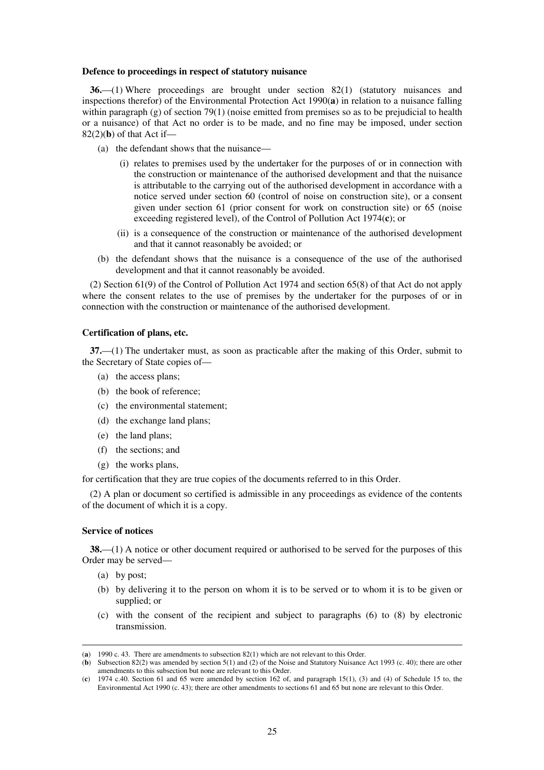#### **Defence to proceedings in respect of statutory nuisance**

**36.**—(1) Where proceedings are brought under section 82(1) (statutory nuisances and inspections therefor) of the Environmental Protection Act 1990(**a**) in relation to a nuisance falling within paragraph (g) of section 79(1) (noise emitted from premises so as to be prejudicial to health or a nuisance) of that Act no order is to be made, and no fine may be imposed, under section 82(2)(**b**) of that Act if—

- (a) the defendant shows that the nuisance—
	- (i) relates to premises used by the undertaker for the purposes of or in connection with the construction or maintenance of the authorised development and that the nuisance is attributable to the carrying out of the authorised development in accordance with a notice served under section 60 (control of noise on construction site), or a consent given under section 61 (prior consent for work on construction site) or 65 (noise exceeding registered level), of the Control of Pollution Act 1974(**c**); or
	- (ii) is a consequence of the construction or maintenance of the authorised development and that it cannot reasonably be avoided; or
- (b) the defendant shows that the nuisance is a consequence of the use of the authorised development and that it cannot reasonably be avoided.

(2) Section 61(9) of the Control of Pollution Act 1974 and section 65(8) of that Act do not apply where the consent relates to the use of premises by the undertaker for the purposes of or in connection with the construction or maintenance of the authorised development.

#### **Certification of plans, etc.**

**37.**—(1) The undertaker must, as soon as practicable after the making of this Order, submit to the Secretary of State copies of—

- (a) the access plans;
- (b) the book of reference;
- (c) the environmental statement;
- (d) the exchange land plans;
- (e) the land plans;
- (f) the sections; and
- (g) the works plans,

for certification that they are true copies of the documents referred to in this Order.

(2) A plan or document so certified is admissible in any proceedings as evidence of the contents of the document of which it is a copy.

#### **Service of notices**

**38.**—(1) A notice or other document required or authorised to be served for the purposes of this Order may be served—

(a) by post;

- (b) by delivering it to the person on whom it is to be served or to whom it is to be given or supplied; or
- (c) with the consent of the recipient and subject to paragraphs (6) to (8) by electronic transmission.

<sup>(</sup>**a**) 1990 c. 43. There are amendments to subsection 82(1) which are not relevant to this Order.

<sup>(</sup>**b**) Subsection 82(2) was amended by section 5(1) and (2) of the Noise and Statutory Nuisance Act 1993 (c. 40); there are other amendments to this subsection but none are relevant to this Order.

<sup>(</sup>**c**) 1974 c.40. Section 61 and 65 were amended by section 162 of, and paragraph 15(1), (3) and (4) of Schedule 15 to, the Environmental Act 1990 (c. 43); there are other amendments to sections 61 and 65 but none are relevant to this Order.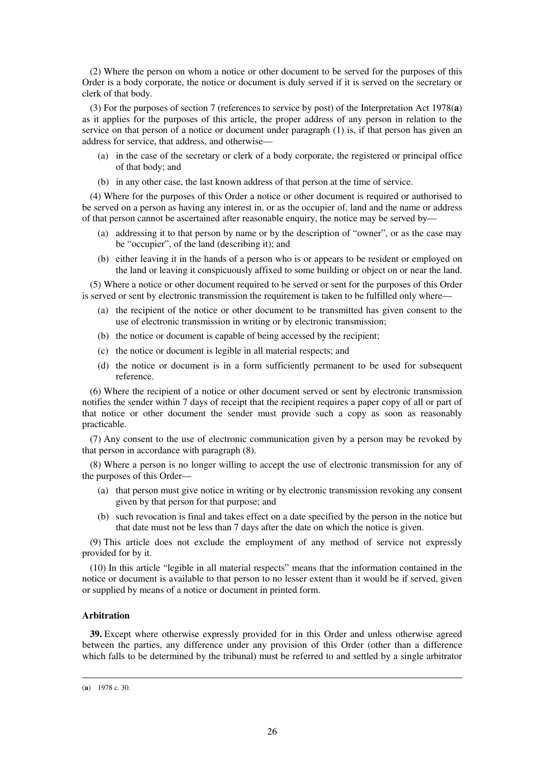(2) Where the person on whom a notice or other document to be served for the purposes of this Order is a body corporate, the notice or document is duly served if it is served on the secretary or clerk of that body.

(3) For the purposes of section 7 (references to service by post) of the Interpretation Act 1978(**a**) as it applies for the purposes of this article, the proper address of any person in relation to the service on that person of a notice or document under paragraph (1) is, if that person has given an address for service, that address, and otherwise—

- (a) in the case of the secretary or clerk of a body corporate, the registered or principal office of that body; and
- (b) in any other case, the last known address of that person at the time of service.

(4) Where for the purposes of this Order a notice or other document is required or authorised to be served on a person as having any interest in, or as the occupier of, land and the name or address of that person cannot be ascertained after reasonable enquiry, the notice may be served by—

- (a) addressing it to that person by name or by the description of "owner", or as the case may be "occupier", of the land (describing it); and
- (b) either leaving it in the hands of a person who is or appears to be resident or employed on the land or leaving it conspicuously affixed to some building or object on or near the land.

(5) Where a notice or other document required to be served or sent for the purposes of this Order is served or sent by electronic transmission the requirement is taken to be fulfilled only where—

- (a) the recipient of the notice or other document to be transmitted has given consent to the use of electronic transmission in writing or by electronic transmission;
- (b) the notice or document is capable of being accessed by the recipient;
- (c) the notice or document is legible in all material respects; and
- (d) the notice or document is in a form sufficiently permanent to be used for subsequent reference.

(6) Where the recipient of a notice or other document served or sent by electronic transmission notifies the sender within 7 days of receipt that the recipient requires a paper copy of all or part of that notice or other document the sender must provide such a copy as soon as reasonably practicable.

(7) Any consent to the use of electronic communication given by a person may be revoked by that person in accordance with paragraph (8).

(8) Where a person is no longer willing to accept the use of electronic transmission for any of the purposes of this Order—

- (a) that person must give notice in writing or by electronic transmission revoking any consent given by that person for that purpose; and
- (b) such revocation is final and takes effect on a date specified by the person in the notice but that date must not be less than 7 days after the date on which the notice is given.

(9) This article does not exclude the employment of any method of service not expressly provided for by it.

(10) In this article "legible in all material respects" means that the information contained in the notice or document is available to that person to no lesser extent than it would be if served, given or supplied by means of a notice or document in printed form.

## **Arbitration**

**39.** Except where otherwise expressly provided for in this Order and unless otherwise agreed between the parties, any difference under any provision of this Order (other than a difference which falls to be determined by the tribunal) must be referred to and settled by a single arbitrator

<sup>(</sup>**a**) 1978 c. 30.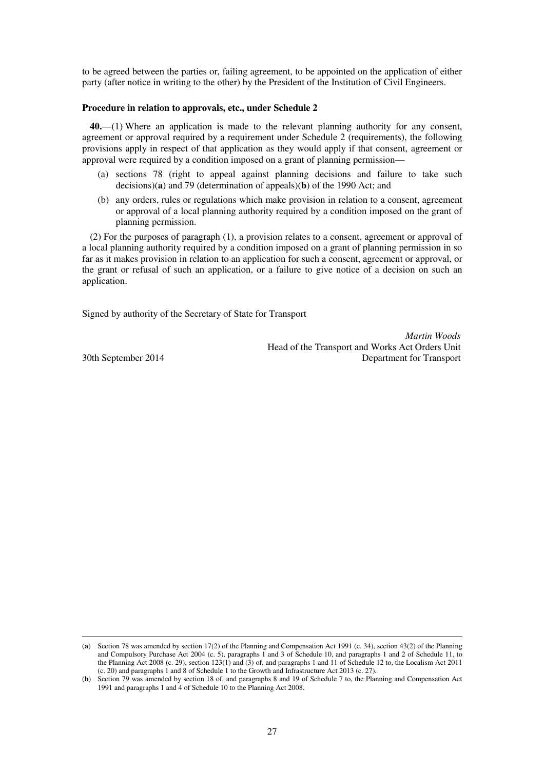to be agreed between the parties or, failing agreement, to be appointed on the application of either party (after notice in writing to the other) by the President of the Institution of Civil Engineers.

### **Procedure in relation to approvals, etc., under Schedule 2**

**40.**—(1) Where an application is made to the relevant planning authority for any consent, agreement or approval required by a requirement under Schedule 2 (requirements), the following provisions apply in respect of that application as they would apply if that consent, agreement or approval were required by a condition imposed on a grant of planning permission—

- (a) sections 78 (right to appeal against planning decisions and failure to take such decisions)(**a**) and 79 (determination of appeals)(**b**) of the 1990 Act; and
- (b) any orders, rules or regulations which make provision in relation to a consent, agreement or approval of a local planning authority required by a condition imposed on the grant of planning permission.

(2) For the purposes of paragraph (1), a provision relates to a consent, agreement or approval of a local planning authority required by a condition imposed on a grant of planning permission in so far as it makes provision in relation to an application for such a consent, agreement or approval, or the grant or refusal of such an application, or a failure to give notice of a decision on such an application.

Signed by authority of the Secretary of State for Transport

*Martin Woods* Head of the Transport and Works Act Orders Unit 30th September 2014 Department for Transport

<sup>(</sup>**a**) Section 78 was amended by section 17(2) of the Planning and Compensation Act 1991 (c. 34), section 43(2) of the Planning and Compulsory Purchase Act 2004 (c. 5), paragraphs 1 and 3 of Schedule 10, and paragraphs 1 and 2 of Schedule 11, to the Planning Act 2008 (c. 29), section 123(1) and (3) of, and paragraphs 1 and 11 of Schedule 12 to, the Localism Act 2011 (c. 20) and paragraphs 1 and 8 of Schedule 1 to the Growth and Infrastructure Act 2013 (c. 27).

<sup>(</sup>**b**) Section 79 was amended by section 18 of, and paragraphs 8 and 19 of Schedule 7 to, the Planning and Compensation Act 1991 and paragraphs 1 and 4 of Schedule 10 to the Planning Act 2008.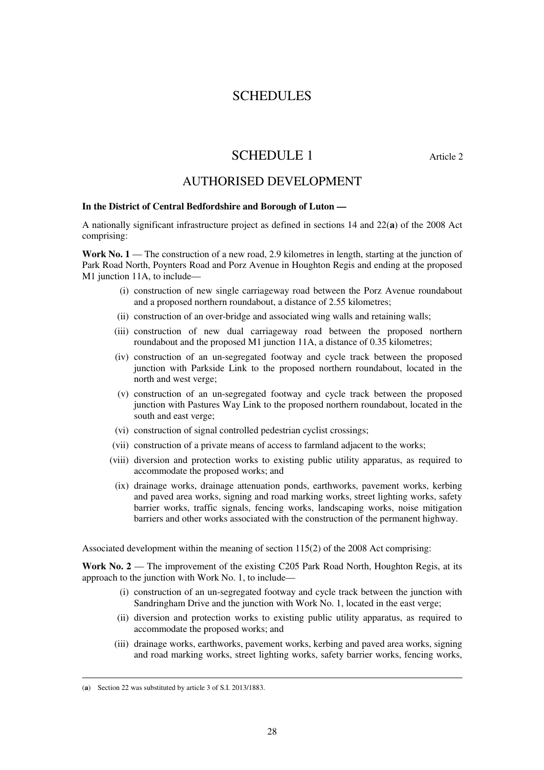# **SCHEDULES**

# SCHEDULE 1 Article 2

# AUTHORISED DEVELOPMENT

## **In the District of Central Bedfordshire and Borough of Luton —**

A nationally significant infrastructure project as defined in sections 14 and 22(**a**) of the 2008 Act comprising:

**Work No. 1** — The construction of a new road, 2.9 kilometres in length, starting at the junction of Park Road North, Poynters Road and Porz Avenue in Houghton Regis and ending at the proposed M1 junction 11A, to include—

- (i) construction of new single carriageway road between the Porz Avenue roundabout and a proposed northern roundabout, a distance of 2.55 kilometres;
- (ii) construction of an over-bridge and associated wing walls and retaining walls;
- (iii) construction of new dual carriageway road between the proposed northern roundabout and the proposed M1 junction 11A, a distance of 0.35 kilometres;
- (iv) construction of an un-segregated footway and cycle track between the proposed junction with Parkside Link to the proposed northern roundabout, located in the north and west verge;
- (v) construction of an un-segregated footway and cycle track between the proposed junction with Pastures Way Link to the proposed northern roundabout, located in the south and east verge;
- (vi) construction of signal controlled pedestrian cyclist crossings;
- (vii) construction of a private means of access to farmland adjacent to the works;
- (viii) diversion and protection works to existing public utility apparatus, as required to accommodate the proposed works; and
- (ix) drainage works, drainage attenuation ponds, earthworks, pavement works, kerbing and paved area works, signing and road marking works, street lighting works, safety barrier works, traffic signals, fencing works, landscaping works, noise mitigation barriers and other works associated with the construction of the permanent highway.

Associated development within the meaning of section 115(2) of the 2008 Act comprising:

**Work No. 2** — The improvement of the existing C205 Park Road North, Houghton Regis, at its approach to the junction with Work No. 1, to include—

- (i) construction of an un-segregated footway and cycle track between the junction with Sandringham Drive and the junction with Work No. 1, located in the east verge;
- (ii) diversion and protection works to existing public utility apparatus, as required to accommodate the proposed works; and
- (iii) drainage works, earthworks, pavement works, kerbing and paved area works, signing and road marking works, street lighting works, safety barrier works, fencing works,

<sup>(</sup>**a**) Section 22 was substituted by article 3 of S.I. 2013/1883.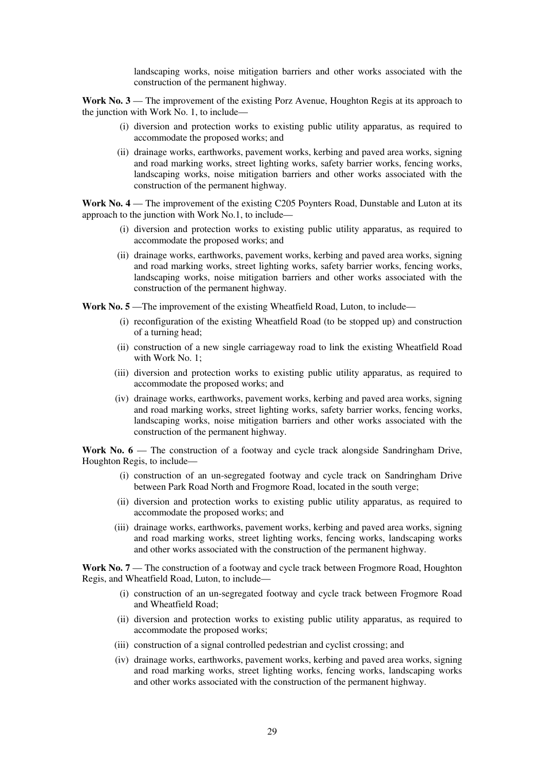landscaping works, noise mitigation barriers and other works associated with the construction of the permanent highway.

**Work No. 3** — The improvement of the existing Porz Avenue, Houghton Regis at its approach to the junction with Work No. 1, to include—

- (i) diversion and protection works to existing public utility apparatus, as required to accommodate the proposed works; and
- (ii) drainage works, earthworks, pavement works, kerbing and paved area works, signing and road marking works, street lighting works, safety barrier works, fencing works, landscaping works, noise mitigation barriers and other works associated with the construction of the permanent highway.

**Work No. 4** — The improvement of the existing C205 Poynters Road, Dunstable and Luton at its approach to the junction with Work No.1, to include—

- (i) diversion and protection works to existing public utility apparatus, as required to accommodate the proposed works; and
- (ii) drainage works, earthworks, pavement works, kerbing and paved area works, signing and road marking works, street lighting works, safety barrier works, fencing works, landscaping works, noise mitigation barriers and other works associated with the construction of the permanent highway.

Work No. 5—The improvement of the existing Wheatfield Road, Luton, to include—

- (i) reconfiguration of the existing Wheatfield Road (to be stopped up) and construction of a turning head;
- (ii) construction of a new single carriageway road to link the existing Wheatfield Road with Work No. 1;
- (iii) diversion and protection works to existing public utility apparatus, as required to accommodate the proposed works; and
- (iv) drainage works, earthworks, pavement works, kerbing and paved area works, signing and road marking works, street lighting works, safety barrier works, fencing works, landscaping works, noise mitigation barriers and other works associated with the construction of the permanent highway.

**Work No. 6** — The construction of a footway and cycle track alongside Sandringham Drive, Houghton Regis, to include—

- (i) construction of an un-segregated footway and cycle track on Sandringham Drive between Park Road North and Frogmore Road, located in the south verge;
- (ii) diversion and protection works to existing public utility apparatus, as required to accommodate the proposed works; and
- (iii) drainage works, earthworks, pavement works, kerbing and paved area works, signing and road marking works, street lighting works, fencing works, landscaping works and other works associated with the construction of the permanent highway.

**Work No. 7** — The construction of a footway and cycle track between Frogmore Road, Houghton Regis, and Wheatfield Road, Luton, to include—

- (i) construction of an un-segregated footway and cycle track between Frogmore Road and Wheatfield Road;
- (ii) diversion and protection works to existing public utility apparatus, as required to accommodate the proposed works;
- (iii) construction of a signal controlled pedestrian and cyclist crossing; and
- (iv) drainage works, earthworks, pavement works, kerbing and paved area works, signing and road marking works, street lighting works, fencing works, landscaping works and other works associated with the construction of the permanent highway.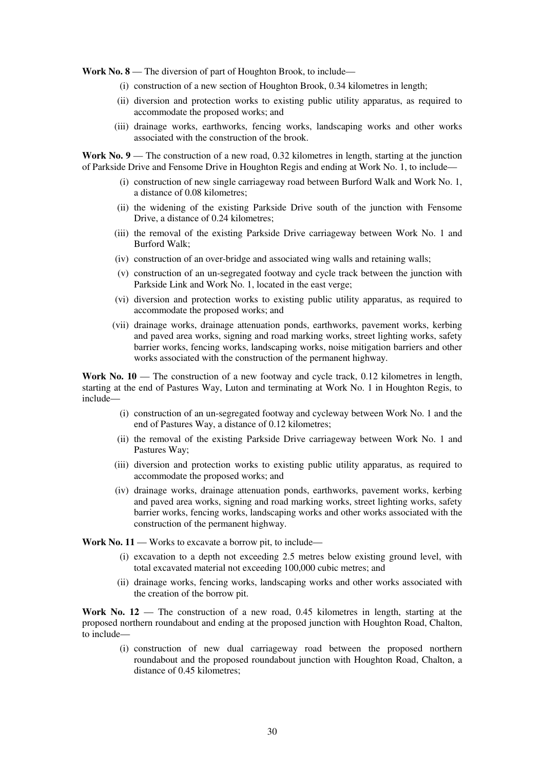**Work No. 8** — The diversion of part of Houghton Brook, to include—

- (i) construction of a new section of Houghton Brook, 0.34 kilometres in length;
- (ii) diversion and protection works to existing public utility apparatus, as required to accommodate the proposed works; and
- (iii) drainage works, earthworks, fencing works, landscaping works and other works associated with the construction of the brook.

Work No. 9 — The construction of a new road, 0.32 kilometres in length, starting at the junction of Parkside Drive and Fensome Drive in Houghton Regis and ending at Work No. 1, to include—

- (i) construction of new single carriageway road between Burford Walk and Work No. 1, a distance of 0.08 kilometres;
- (ii) the widening of the existing Parkside Drive south of the junction with Fensome Drive, a distance of 0.24 kilometres;
- (iii) the removal of the existing Parkside Drive carriageway between Work No. 1 and Burford Walk;
- (iv) construction of an over-bridge and associated wing walls and retaining walls;
- (v) construction of an un-segregated footway and cycle track between the junction with Parkside Link and Work No. 1, located in the east verge;
- (vi) diversion and protection works to existing public utility apparatus, as required to accommodate the proposed works; and
- (vii) drainage works, drainage attenuation ponds, earthworks, pavement works, kerbing and paved area works, signing and road marking works, street lighting works, safety barrier works, fencing works, landscaping works, noise mitigation barriers and other works associated with the construction of the permanent highway.

Work No. 10 — The construction of a new footway and cycle track, 0.12 kilometres in length, starting at the end of Pastures Way, Luton and terminating at Work No. 1 in Houghton Regis, to include—

- (i) construction of an un-segregated footway and cycleway between Work No. 1 and the end of Pastures Way, a distance of 0.12 kilometres;
- (ii) the removal of the existing Parkside Drive carriageway between Work No. 1 and Pastures Way;
- (iii) diversion and protection works to existing public utility apparatus, as required to accommodate the proposed works; and
- (iv) drainage works, drainage attenuation ponds, earthworks, pavement works, kerbing and paved area works, signing and road marking works, street lighting works, safety barrier works, fencing works, landscaping works and other works associated with the construction of the permanent highway.

**Work No. 11** — Works to excavate a borrow pit, to include—

- (i) excavation to a depth not exceeding 2.5 metres below existing ground level, with total excavated material not exceeding 100,000 cubic metres; and
- (ii) drainage works, fencing works, landscaping works and other works associated with the creation of the borrow pit.

**Work No. 12** — The construction of a new road, 0.45 kilometres in length, starting at the proposed northern roundabout and ending at the proposed junction with Houghton Road, Chalton, to include—

(i) construction of new dual carriageway road between the proposed northern roundabout and the proposed roundabout junction with Houghton Road, Chalton, a distance of 0.45 kilometres;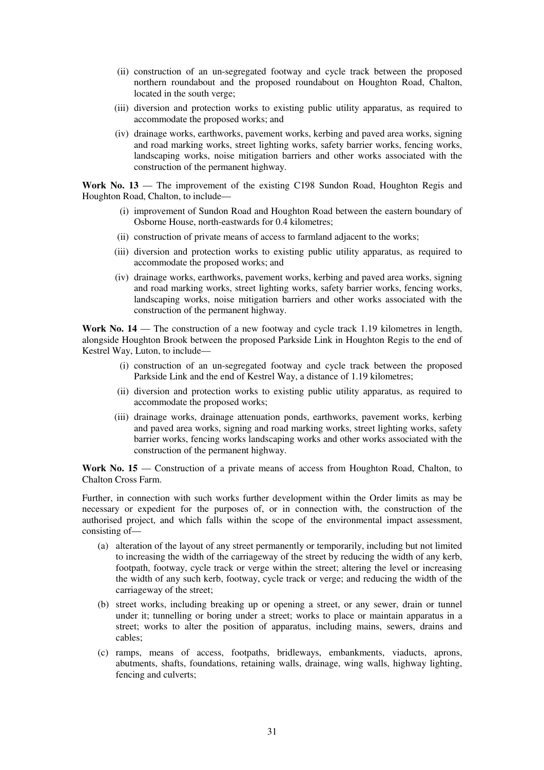- (ii) construction of an un-segregated footway and cycle track between the proposed northern roundabout and the proposed roundabout on Houghton Road, Chalton, located in the south verge;
- (iii) diversion and protection works to existing public utility apparatus, as required to accommodate the proposed works; and
- (iv) drainage works, earthworks, pavement works, kerbing and paved area works, signing and road marking works, street lighting works, safety barrier works, fencing works, landscaping works, noise mitigation barriers and other works associated with the construction of the permanent highway.

**Work No. 13** — The improvement of the existing C198 Sundon Road, Houghton Regis and Houghton Road, Chalton, to include—

- (i) improvement of Sundon Road and Houghton Road between the eastern boundary of Osborne House, north-eastwards for 0.4 kilometres;
- (ii) construction of private means of access to farmland adjacent to the works;
- (iii) diversion and protection works to existing public utility apparatus, as required to accommodate the proposed works; and
- (iv) drainage works, earthworks, pavement works, kerbing and paved area works, signing and road marking works, street lighting works, safety barrier works, fencing works, landscaping works, noise mitigation barriers and other works associated with the construction of the permanent highway.

**Work No. 14** — The construction of a new footway and cycle track 1.19 kilometres in length, alongside Houghton Brook between the proposed Parkside Link in Houghton Regis to the end of Kestrel Way, Luton, to include—

- (i) construction of an un-segregated footway and cycle track between the proposed Parkside Link and the end of Kestrel Way, a distance of 1.19 kilometres;
- (ii) diversion and protection works to existing public utility apparatus, as required to accommodate the proposed works;
- (iii) drainage works, drainage attenuation ponds, earthworks, pavement works, kerbing and paved area works, signing and road marking works, street lighting works, safety barrier works, fencing works landscaping works and other works associated with the construction of the permanent highway.

**Work No. 15** — Construction of a private means of access from Houghton Road, Chalton, to Chalton Cross Farm.

Further, in connection with such works further development within the Order limits as may be necessary or expedient for the purposes of, or in connection with, the construction of the authorised project, and which falls within the scope of the environmental impact assessment, consisting of—

- (a) alteration of the layout of any street permanently or temporarily, including but not limited to increasing the width of the carriageway of the street by reducing the width of any kerb, footpath, footway, cycle track or verge within the street; altering the level or increasing the width of any such kerb, footway, cycle track or verge; and reducing the width of the carriageway of the street;
- (b) street works, including breaking up or opening a street, or any sewer, drain or tunnel under it; tunnelling or boring under a street; works to place or maintain apparatus in a street; works to alter the position of apparatus, including mains, sewers, drains and cables;
- (c) ramps, means of access, footpaths, bridleways, embankments, viaducts, aprons, abutments, shafts, foundations, retaining walls, drainage, wing walls, highway lighting, fencing and culverts;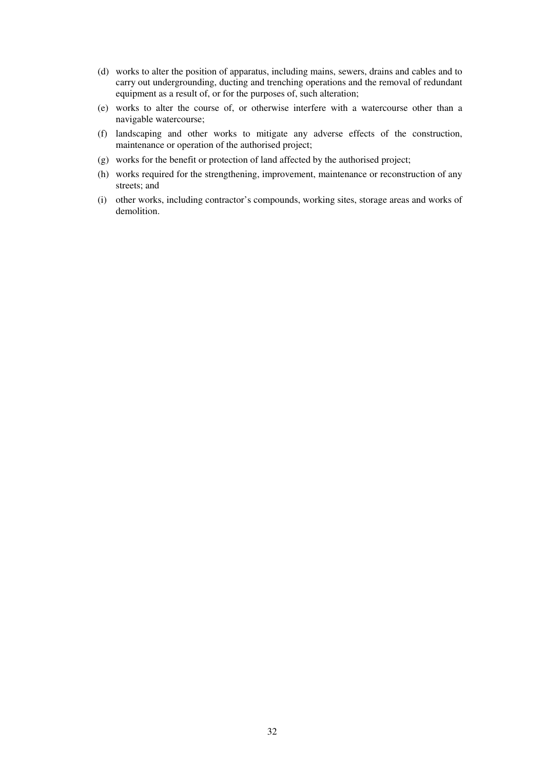- (d) works to alter the position of apparatus, including mains, sewers, drains and cables and to carry out undergrounding, ducting and trenching operations and the removal of redundant equipment as a result of, or for the purposes of, such alteration;
- (e) works to alter the course of, or otherwise interfere with a watercourse other than a navigable watercourse;
- (f) landscaping and other works to mitigate any adverse effects of the construction, maintenance or operation of the authorised project;
- (g) works for the benefit or protection of land affected by the authorised project;
- (h) works required for the strengthening, improvement, maintenance or reconstruction of any streets; and
- (i) other works, including contractor's compounds, working sites, storage areas and works of demolition.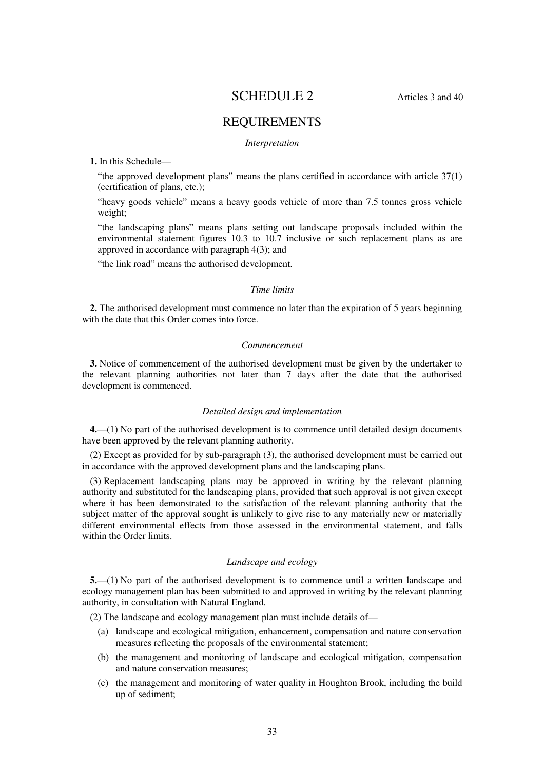# SCHEDULE 2 Articles 3 and 40

# REQUIREMENTS

#### *Interpretation*

### **1.** In this Schedule—

"the approved development plans" means the plans certified in accordance with article 37(1) (certification of plans, etc.);

"heavy goods vehicle" means a heavy goods vehicle of more than 7.5 tonnes gross vehicle weight;

"the landscaping plans" means plans setting out landscape proposals included within the environmental statement figures 10.3 to 10.7 inclusive or such replacement plans as are approved in accordance with paragraph 4(3); and

"the link road" means the authorised development.

#### *Time limits*

**2.** The authorised development must commence no later than the expiration of 5 years beginning with the date that this Order comes into force.

#### *Commencement*

**3.** Notice of commencement of the authorised development must be given by the undertaker to the relevant planning authorities not later than 7 days after the date that the authorised development is commenced.

#### *Detailed design and implementation*

**4.**—(1) No part of the authorised development is to commence until detailed design documents have been approved by the relevant planning authority.

(2) Except as provided for by sub-paragraph (3), the authorised development must be carried out in accordance with the approved development plans and the landscaping plans.

(3) Replacement landscaping plans may be approved in writing by the relevant planning authority and substituted for the landscaping plans, provided that such approval is not given except where it has been demonstrated to the satisfaction of the relevant planning authority that the subject matter of the approval sought is unlikely to give rise to any materially new or materially different environmental effects from those assessed in the environmental statement, and falls within the Order limits.

## *Landscape and ecology*

**5.**—(1) No part of the authorised development is to commence until a written landscape and ecology management plan has been submitted to and approved in writing by the relevant planning authority, in consultation with Natural England.

(2) The landscape and ecology management plan must include details of—

- (a) landscape and ecological mitigation, enhancement, compensation and nature conservation measures reflecting the proposals of the environmental statement;
- (b) the management and monitoring of landscape and ecological mitigation, compensation and nature conservation measures;
- (c) the management and monitoring of water quality in Houghton Brook, including the build up of sediment;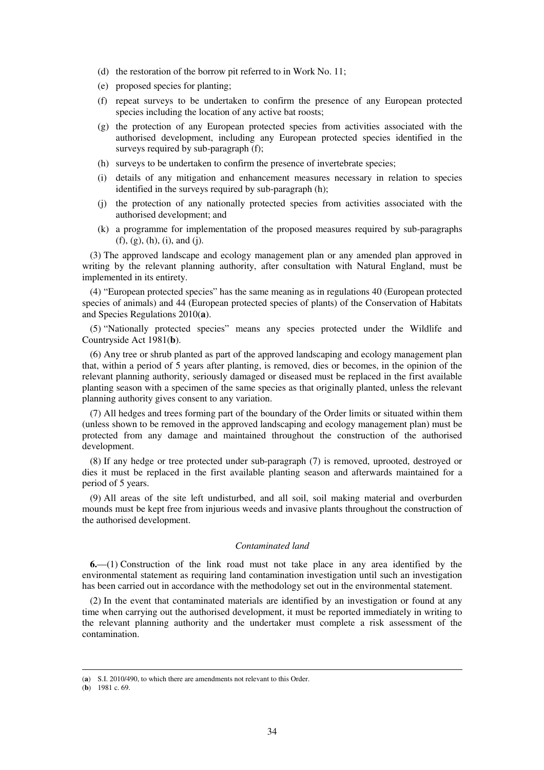- (d) the restoration of the borrow pit referred to in Work No. 11;
- (e) proposed species for planting;
- (f) repeat surveys to be undertaken to confirm the presence of any European protected species including the location of any active bat roosts;
- (g) the protection of any European protected species from activities associated with the authorised development, including any European protected species identified in the surveys required by sub-paragraph (f):
- (h) surveys to be undertaken to confirm the presence of invertebrate species;
- (i) details of any mitigation and enhancement measures necessary in relation to species identified in the surveys required by sub-paragraph (h);
- (j) the protection of any nationally protected species from activities associated with the authorised development; and
- (k) a programme for implementation of the proposed measures required by sub-paragraphs (f), (g), (h), (i), and (j).

(3) The approved landscape and ecology management plan or any amended plan approved in writing by the relevant planning authority, after consultation with Natural England, must be implemented in its entirety.

(4) "European protected species" has the same meaning as in regulations 40 (European protected species of animals) and 44 (European protected species of plants) of the Conservation of Habitats and Species Regulations 2010(**a**).

(5) "Nationally protected species" means any species protected under the Wildlife and Countryside Act 1981(**b**).

(6) Any tree or shrub planted as part of the approved landscaping and ecology management plan that, within a period of 5 years after planting, is removed, dies or becomes, in the opinion of the relevant planning authority, seriously damaged or diseased must be replaced in the first available planting season with a specimen of the same species as that originally planted, unless the relevant planning authority gives consent to any variation.

(7) All hedges and trees forming part of the boundary of the Order limits or situated within them (unless shown to be removed in the approved landscaping and ecology management plan) must be protected from any damage and maintained throughout the construction of the authorised development.

(8) If any hedge or tree protected under sub-paragraph (7) is removed, uprooted, destroyed or dies it must be replaced in the first available planting season and afterwards maintained for a period of 5 years.

(9) All areas of the site left undisturbed, and all soil, soil making material and overburden mounds must be kept free from injurious weeds and invasive plants throughout the construction of the authorised development.

## *Contaminated land*

**6.**—(1) Construction of the link road must not take place in any area identified by the environmental statement as requiring land contamination investigation until such an investigation has been carried out in accordance with the methodology set out in the environmental statement.

(2) In the event that contaminated materials are identified by an investigation or found at any time when carrying out the authorised development, it must be reported immediately in writing to the relevant planning authority and the undertaker must complete a risk assessment of the contamination.

<sup>(</sup>**a**) S.I. 2010/490, to which there are amendments not relevant to this Order.

<sup>(</sup>**b**) 1981 c. 69.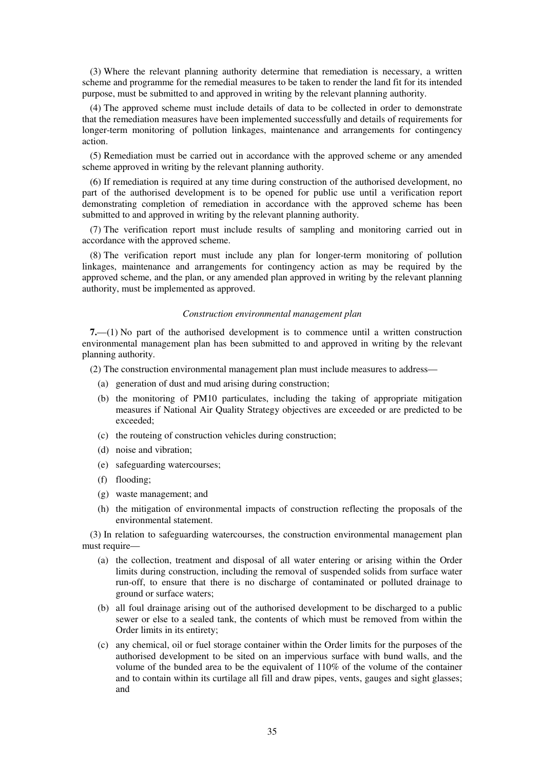(3) Where the relevant planning authority determine that remediation is necessary, a written scheme and programme for the remedial measures to be taken to render the land fit for its intended purpose, must be submitted to and approved in writing by the relevant planning authority.

(4) The approved scheme must include details of data to be collected in order to demonstrate that the remediation measures have been implemented successfully and details of requirements for longer-term monitoring of pollution linkages, maintenance and arrangements for contingency action.

(5) Remediation must be carried out in accordance with the approved scheme or any amended scheme approved in writing by the relevant planning authority.

(6) If remediation is required at any time during construction of the authorised development, no part of the authorised development is to be opened for public use until a verification report demonstrating completion of remediation in accordance with the approved scheme has been submitted to and approved in writing by the relevant planning authority.

(7) The verification report must include results of sampling and monitoring carried out in accordance with the approved scheme.

(8) The verification report must include any plan for longer-term monitoring of pollution linkages, maintenance and arrangements for contingency action as may be required by the approved scheme, and the plan, or any amended plan approved in writing by the relevant planning authority, must be implemented as approved.

### *Construction environmental management plan*

**7.**—(1) No part of the authorised development is to commence until a written construction environmental management plan has been submitted to and approved in writing by the relevant planning authority.

(2) The construction environmental management plan must include measures to address—

- (a) generation of dust and mud arising during construction;
- (b) the monitoring of PM10 particulates, including the taking of appropriate mitigation measures if National Air Quality Strategy objectives are exceeded or are predicted to be exceeded;
- (c) the routeing of construction vehicles during construction;
- (d) noise and vibration;
- (e) safeguarding watercourses;
- (f) flooding;
- (g) waste management; and
- (h) the mitigation of environmental impacts of construction reflecting the proposals of the environmental statement.

(3) In relation to safeguarding watercourses, the construction environmental management plan must require—

- (a) the collection, treatment and disposal of all water entering or arising within the Order limits during construction, including the removal of suspended solids from surface water run-off, to ensure that there is no discharge of contaminated or polluted drainage to ground or surface waters;
- (b) all foul drainage arising out of the authorised development to be discharged to a public sewer or else to a sealed tank, the contents of which must be removed from within the Order limits in its entirety;
- (c) any chemical, oil or fuel storage container within the Order limits for the purposes of the authorised development to be sited on an impervious surface with bund walls, and the volume of the bunded area to be the equivalent of  $110\%$  of the volume of the container and to contain within its curtilage all fill and draw pipes, vents, gauges and sight glasses; and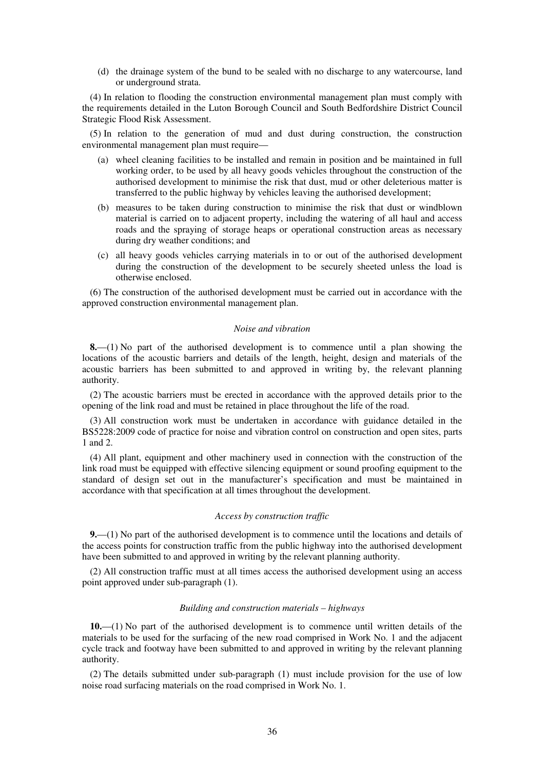(d) the drainage system of the bund to be sealed with no discharge to any watercourse, land or underground strata.

(4) In relation to flooding the construction environmental management plan must comply with the requirements detailed in the Luton Borough Council and South Bedfordshire District Council Strategic Flood Risk Assessment.

(5) In relation to the generation of mud and dust during construction, the construction environmental management plan must require—

- (a) wheel cleaning facilities to be installed and remain in position and be maintained in full working order, to be used by all heavy goods vehicles throughout the construction of the authorised development to minimise the risk that dust, mud or other deleterious matter is transferred to the public highway by vehicles leaving the authorised development;
- (b) measures to be taken during construction to minimise the risk that dust or windblown material is carried on to adjacent property, including the watering of all haul and access roads and the spraying of storage heaps or operational construction areas as necessary during dry weather conditions; and
- (c) all heavy goods vehicles carrying materials in to or out of the authorised development during the construction of the development to be securely sheeted unless the load is otherwise enclosed.

(6) The construction of the authorised development must be carried out in accordance with the approved construction environmental management plan.

#### *Noise and vibration*

**8.**—(1) No part of the authorised development is to commence until a plan showing the locations of the acoustic barriers and details of the length, height, design and materials of the acoustic barriers has been submitted to and approved in writing by, the relevant planning authority.

(2) The acoustic barriers must be erected in accordance with the approved details prior to the opening of the link road and must be retained in place throughout the life of the road.

(3) All construction work must be undertaken in accordance with guidance detailed in the BS5228:2009 code of practice for noise and vibration control on construction and open sites, parts 1 and 2.

(4) All plant, equipment and other machinery used in connection with the construction of the link road must be equipped with effective silencing equipment or sound proofing equipment to the standard of design set out in the manufacturer's specification and must be maintained in accordance with that specification at all times throughout the development.

## *Access by construction traffic*

**9.**—(1) No part of the authorised development is to commence until the locations and details of the access points for construction traffic from the public highway into the authorised development have been submitted to and approved in writing by the relevant planning authority.

(2) All construction traffic must at all times access the authorised development using an access point approved under sub-paragraph (1).

### *Building and construction materials – highways*

**10.**—(1) No part of the authorised development is to commence until written details of the materials to be used for the surfacing of the new road comprised in Work No. 1 and the adjacent cycle track and footway have been submitted to and approved in writing by the relevant planning authority.

(2) The details submitted under sub-paragraph (1) must include provision for the use of low noise road surfacing materials on the road comprised in Work No. 1.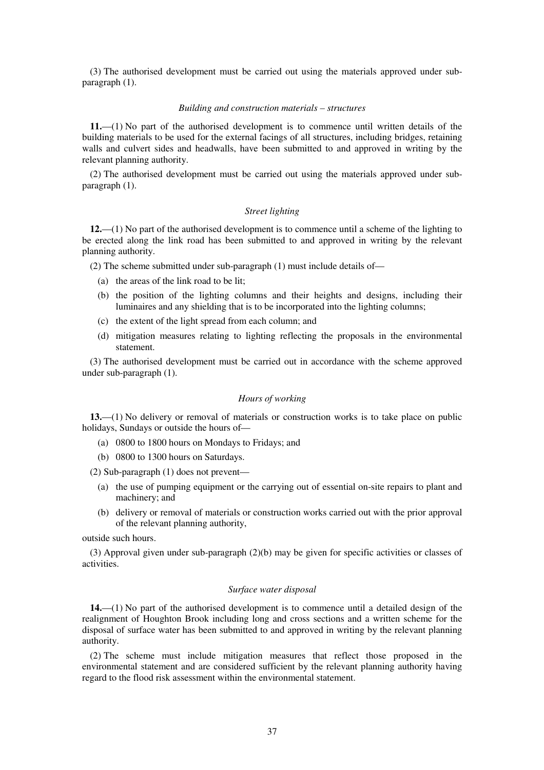(3) The authorised development must be carried out using the materials approved under subparagraph (1).

#### *Building and construction materials – structures*

**11.**—(1) No part of the authorised development is to commence until written details of the building materials to be used for the external facings of all structures, including bridges, retaining walls and culvert sides and headwalls, have been submitted to and approved in writing by the relevant planning authority.

(2) The authorised development must be carried out using the materials approved under subparagraph (1).

#### *Street lighting*

**12.**—(1) No part of the authorised development is to commence until a scheme of the lighting to be erected along the link road has been submitted to and approved in writing by the relevant planning authority.

(2) The scheme submitted under sub-paragraph (1) must include details of—

- (a) the areas of the link road to be lit;
- (b) the position of the lighting columns and their heights and designs, including their luminaires and any shielding that is to be incorporated into the lighting columns;
- (c) the extent of the light spread from each column; and
- (d) mitigation measures relating to lighting reflecting the proposals in the environmental statement.

(3) The authorised development must be carried out in accordance with the scheme approved under sub-paragraph (1).

## *Hours of working*

**13.**—(1) No delivery or removal of materials or construction works is to take place on public holidays, Sundays or outside the hours of—

- (a) 0800 to 1800 hours on Mondays to Fridays; and
- (b) 0800 to 1300 hours on Saturdays.

(2) Sub-paragraph (1) does not prevent—

- (a) the use of pumping equipment or the carrying out of essential on-site repairs to plant and machinery; and
- (b) delivery or removal of materials or construction works carried out with the prior approval of the relevant planning authority,

outside such hours.

(3) Approval given under sub-paragraph (2)(b) may be given for specific activities or classes of activities.

#### *Surface water disposal*

**14.**—(1) No part of the authorised development is to commence until a detailed design of the realignment of Houghton Brook including long and cross sections and a written scheme for the disposal of surface water has been submitted to and approved in writing by the relevant planning authority.

(2) The scheme must include mitigation measures that reflect those proposed in the environmental statement and are considered sufficient by the relevant planning authority having regard to the flood risk assessment within the environmental statement.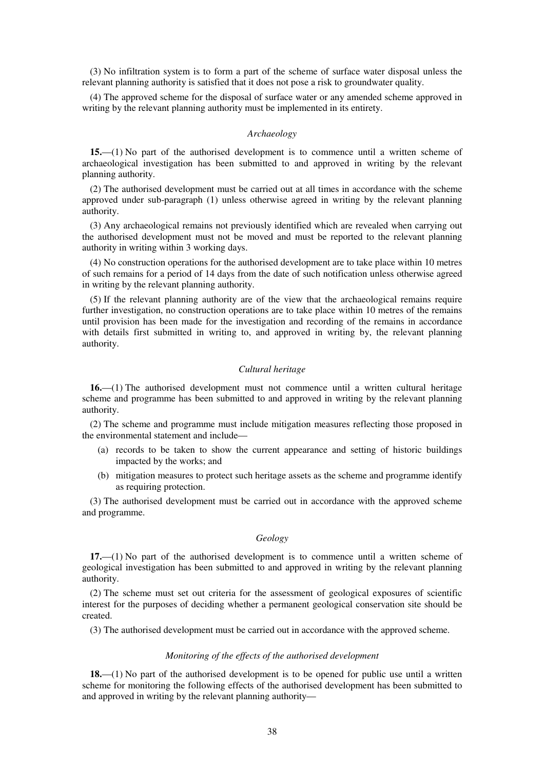(3) No infiltration system is to form a part of the scheme of surface water disposal unless the relevant planning authority is satisfied that it does not pose a risk to groundwater quality.

(4) The approved scheme for the disposal of surface water or any amended scheme approved in writing by the relevant planning authority must be implemented in its entirety.

## *Archaeology*

**15.**—(1) No part of the authorised development is to commence until a written scheme of archaeological investigation has been submitted to and approved in writing by the relevant planning authority.

(2) The authorised development must be carried out at all times in accordance with the scheme approved under sub-paragraph (1) unless otherwise agreed in writing by the relevant planning authority.

(3) Any archaeological remains not previously identified which are revealed when carrying out the authorised development must not be moved and must be reported to the relevant planning authority in writing within 3 working days.

(4) No construction operations for the authorised development are to take place within 10 metres of such remains for a period of 14 days from the date of such notification unless otherwise agreed in writing by the relevant planning authority.

(5) If the relevant planning authority are of the view that the archaeological remains require further investigation, no construction operations are to take place within 10 metres of the remains until provision has been made for the investigation and recording of the remains in accordance with details first submitted in writing to, and approved in writing by, the relevant planning authority.

### *Cultural heritage*

**16.**—(1) The authorised development must not commence until a written cultural heritage scheme and programme has been submitted to and approved in writing by the relevant planning authority.

(2) The scheme and programme must include mitigation measures reflecting those proposed in the environmental statement and include—

- (a) records to be taken to show the current appearance and setting of historic buildings impacted by the works; and
- (b) mitigation measures to protect such heritage assets as the scheme and programme identify as requiring protection.

(3) The authorised development must be carried out in accordance with the approved scheme and programme.

## *Geology*

**17.**—(1) No part of the authorised development is to commence until a written scheme of geological investigation has been submitted to and approved in writing by the relevant planning authority.

(2) The scheme must set out criteria for the assessment of geological exposures of scientific interest for the purposes of deciding whether a permanent geological conservation site should be created.

(3) The authorised development must be carried out in accordance with the approved scheme.

### *Monitoring of the effects of the authorised development*

**18.**—(1) No part of the authorised development is to be opened for public use until a written scheme for monitoring the following effects of the authorised development has been submitted to and approved in writing by the relevant planning authority—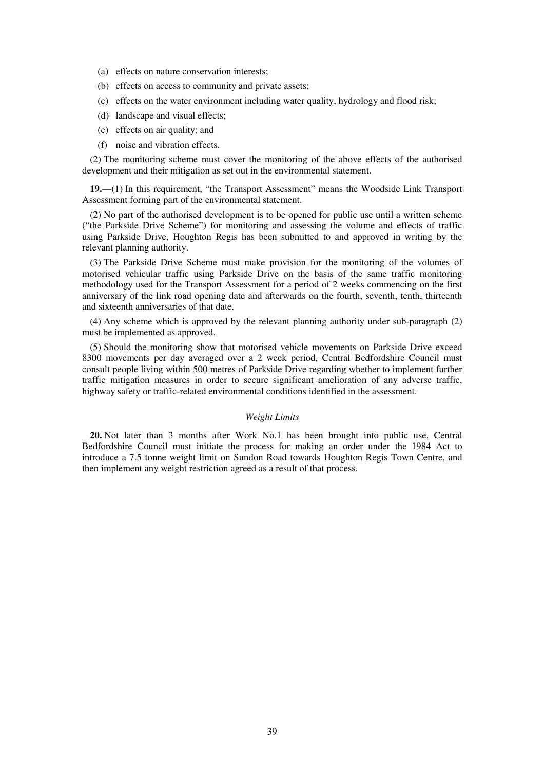- (a) effects on nature conservation interests;
- (b) effects on access to community and private assets;
- (c) effects on the water environment including water quality, hydrology and flood risk;
- (d) landscape and visual effects;
- (e) effects on air quality; and
- (f) noise and vibration effects.

(2) The monitoring scheme must cover the monitoring of the above effects of the authorised development and their mitigation as set out in the environmental statement.

**19.**—(1) In this requirement, "the Transport Assessment" means the Woodside Link Transport Assessment forming part of the environmental statement.

(2) No part of the authorised development is to be opened for public use until a written scheme ("the Parkside Drive Scheme") for monitoring and assessing the volume and effects of traffic using Parkside Drive, Houghton Regis has been submitted to and approved in writing by the relevant planning authority.

(3) The Parkside Drive Scheme must make provision for the monitoring of the volumes of motorised vehicular traffic using Parkside Drive on the basis of the same traffic monitoring methodology used for the Transport Assessment for a period of 2 weeks commencing on the first anniversary of the link road opening date and afterwards on the fourth, seventh, tenth, thirteenth and sixteenth anniversaries of that date.

(4) Any scheme which is approved by the relevant planning authority under sub-paragraph (2) must be implemented as approved.

(5) Should the monitoring show that motorised vehicle movements on Parkside Drive exceed 8300 movements per day averaged over a 2 week period, Central Bedfordshire Council must consult people living within 500 metres of Parkside Drive regarding whether to implement further traffic mitigation measures in order to secure significant amelioration of any adverse traffic, highway safety or traffic-related environmental conditions identified in the assessment.

## *Weight Limits*

**20.** Not later than 3 months after Work No.1 has been brought into public use, Central Bedfordshire Council must initiate the process for making an order under the 1984 Act to introduce a 7.5 tonne weight limit on Sundon Road towards Houghton Regis Town Centre, and then implement any weight restriction agreed as a result of that process.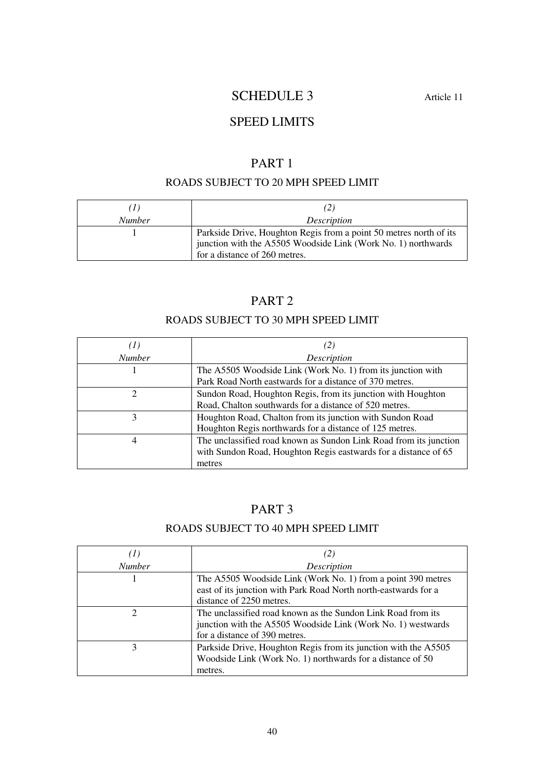# SCHEDULE 3 Article 11

# SPEED LIMITS

# PART 1

# ROADS SUBJECT TO 20 MPH SPEED LIMIT

| (1)           | (2)                                                                                                                                                                  |
|---------------|----------------------------------------------------------------------------------------------------------------------------------------------------------------------|
| <b>Number</b> | <i>Description</i>                                                                                                                                                   |
|               | Parkside Drive, Houghton Regis from a point 50 metres north of its<br>junction with the A5505 Woodside Link (Work No. 1) northwards<br>for a distance of 260 metres. |

# PART 2

# ROADS SUBJECT TO 30 MPH SPEED LIMIT

|                | $\mathbb{Z}$                                                                                                                                   |
|----------------|------------------------------------------------------------------------------------------------------------------------------------------------|
| <b>Number</b>  | Description                                                                                                                                    |
|                | The A5505 Woodside Link (Work No. 1) from its junction with<br>Park Road North eastwards for a distance of 370 metres.                         |
| $\mathfrak{D}$ | Sundon Road, Houghton Regis, from its junction with Houghton<br>Road, Chalton southwards for a distance of 520 metres.                         |
|                | Houghton Road, Chalton from its junction with Sundon Road<br>Houghton Regis northwards for a distance of 125 metres.                           |
| 4              | The unclassified road known as Sundon Link Road from its junction<br>with Sundon Road, Houghton Regis eastwards for a distance of 65<br>metres |

# PART 3

# ROADS SUBJECT TO 40 MPH SPEED LIMIT

| (1)                         | (2)                                                                                                                                                           |
|-----------------------------|---------------------------------------------------------------------------------------------------------------------------------------------------------------|
| <b>Number</b>               | Description                                                                                                                                                   |
|                             | The A5505 Woodside Link (Work No. 1) from a point 390 metres<br>east of its junction with Park Road North north-eastwards for a<br>distance of 2250 metres.   |
| $\mathcal{D}_{\mathcal{L}}$ | The unclassified road known as the Sundon Link Road from its<br>junction with the A5505 Woodside Link (Work No. 1) westwards<br>for a distance of 390 metres. |
| 3                           | Parkside Drive, Houghton Regis from its junction with the A5505<br>Woodside Link (Work No. 1) northwards for a distance of 50<br>metres.                      |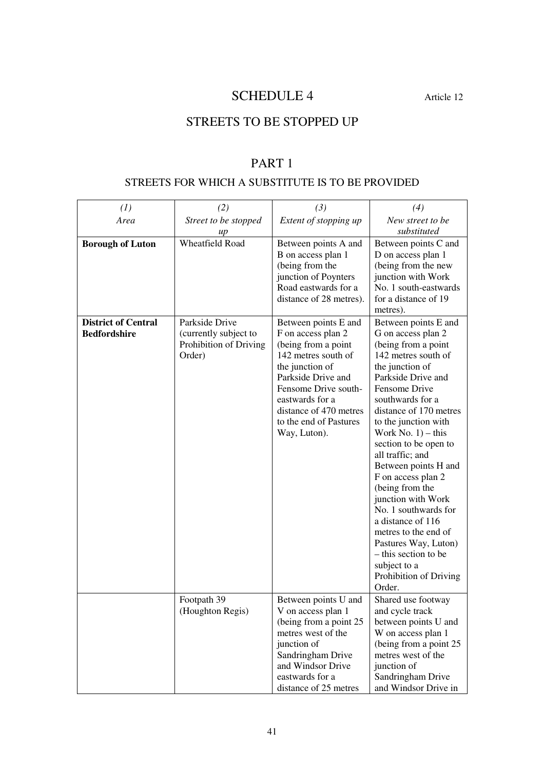# SCHEDULE 4 Article 12

# STREETS TO BE STOPPED UP

# PART 1

# STREETS FOR WHICH A SUBSTITUTE IS TO BE PROVIDED

| (1)                                               | (2)                                                                         | (3)                                                                                                                                                                                                                                              | (4)                                                                                                                                                                                                                                                                                                                                                                                                                                                                                                                                                            |
|---------------------------------------------------|-----------------------------------------------------------------------------|--------------------------------------------------------------------------------------------------------------------------------------------------------------------------------------------------------------------------------------------------|----------------------------------------------------------------------------------------------------------------------------------------------------------------------------------------------------------------------------------------------------------------------------------------------------------------------------------------------------------------------------------------------------------------------------------------------------------------------------------------------------------------------------------------------------------------|
| Area                                              | Street to be stopped<br>up                                                  | Extent of stopping up                                                                                                                                                                                                                            | New street to be<br>substituted                                                                                                                                                                                                                                                                                                                                                                                                                                                                                                                                |
| <b>Borough of Luton</b>                           | <b>Wheatfield Road</b>                                                      | Between points A and<br>B on access plan 1<br>(being from the<br>junction of Poynters<br>Road eastwards for a<br>distance of 28 metres).                                                                                                         | Between points C and<br>D on access plan 1<br>(being from the new<br>junction with Work<br>No. 1 south-eastwards<br>for a distance of 19<br>metres).                                                                                                                                                                                                                                                                                                                                                                                                           |
| <b>District of Central</b><br><b>Bedfordshire</b> | Parkside Drive<br>(currently subject to<br>Prohibition of Driving<br>Order) | Between points E and<br>F on access plan 2<br>(being from a point<br>142 metres south of<br>the junction of<br>Parkside Drive and<br>Fensome Drive south-<br>eastwards for a<br>distance of 470 metres<br>to the end of Pastures<br>Way, Luton). | Between points E and<br>G on access plan 2<br>(being from a point<br>142 metres south of<br>the junction of<br>Parkside Drive and<br>Fensome Drive<br>southwards for a<br>distance of 170 metres<br>to the junction with<br>Work No. $1$ ) – this<br>section to be open to<br>all traffic; and<br>Between points H and<br>F on access plan 2<br>(being from the<br>junction with Work<br>No. 1 southwards for<br>a distance of 116<br>metres to the end of<br>Pastures Way, Luton)<br>– this section to be<br>subject to a<br>Prohibition of Driving<br>Order. |
|                                                   | Footpath 39<br>(Houghton Regis)                                             | Between points U and<br>V on access plan 1<br>(being from a point 25)<br>metres west of the<br>junction of<br>Sandringham Drive<br>and Windsor Drive<br>eastwards for a<br>distance of 25 metres                                                 | Shared use footway<br>and cycle track<br>between points U and<br>W on access plan 1<br>(being from a point 25)<br>metres west of the<br>junction of<br>Sandringham Drive<br>and Windsor Drive in                                                                                                                                                                                                                                                                                                                                                               |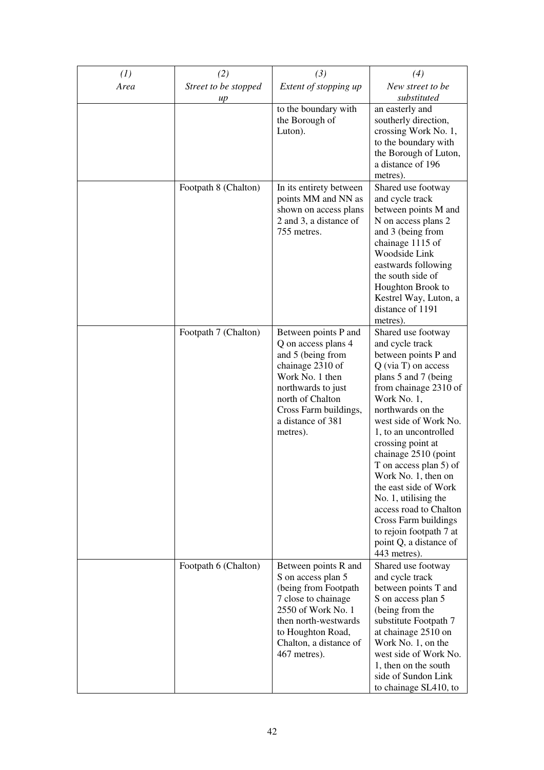| (1)<br>Area | (2)<br>Street to be stopped | (3)<br>Extent of stopping up                                                                                                                                                                                | (4)<br>New street to be                                                                                                                                                                                                                                                                                                                                                                                                                                                                             |
|-------------|-----------------------------|-------------------------------------------------------------------------------------------------------------------------------------------------------------------------------------------------------------|-----------------------------------------------------------------------------------------------------------------------------------------------------------------------------------------------------------------------------------------------------------------------------------------------------------------------------------------------------------------------------------------------------------------------------------------------------------------------------------------------------|
|             | up                          |                                                                                                                                                                                                             | substituted                                                                                                                                                                                                                                                                                                                                                                                                                                                                                         |
|             |                             | to the boundary with<br>the Borough of<br>Luton).                                                                                                                                                           | an easterly and<br>southerly direction,<br>crossing Work No. 1,<br>to the boundary with<br>the Borough of Luton,<br>a distance of 196<br>metres).                                                                                                                                                                                                                                                                                                                                                   |
|             | Footpath 8 (Chalton)        | In its entirety between<br>points MM and NN as<br>shown on access plans<br>2 and 3, a distance of<br>755 metres.                                                                                            | Shared use footway<br>and cycle track<br>between points M and<br>N on access plans 2<br>and 3 (being from<br>chainage 1115 of<br>Woodside Link<br>eastwards following<br>the south side of<br>Houghton Brook to<br>Kestrel Way, Luton, a<br>distance of 1191<br>metres).                                                                                                                                                                                                                            |
|             | Footpath 7 (Chalton)        | Between points P and<br>Q on access plans 4<br>and 5 (being from<br>chainage 2310 of<br>Work No. 1 then<br>northwards to just<br>north of Chalton<br>Cross Farm buildings,<br>a distance of 381<br>metres). | Shared use footway<br>and cycle track<br>between points P and<br>$Q$ (via T) on access<br>plans 5 and 7 (being<br>from chainage 2310 of<br>Work No. 1,<br>northwards on the<br>west side of Work No.<br>1, to an uncontrolled<br>crossing point at<br>chainage 2510 (point<br>T on access plan 5) of<br>Work No. 1, then on<br>the east side of Work<br>No. 1, utilising the<br>access road to Chalton<br>Cross Farm buildings<br>to rejoin footpath 7 at<br>point Q, a distance of<br>443 metres). |
|             | Footpath 6 (Chalton)        | Between points R and<br>S on access plan 5<br>(being from Footpath<br>7 close to chainage<br>2550 of Work No. 1<br>then north-westwards<br>to Houghton Road,<br>Chalton, a distance of<br>467 metres).      | Shared use footway<br>and cycle track<br>between points T and<br>S on access plan 5<br>(being from the<br>substitute Footpath 7<br>at chainage 2510 on<br>Work No. 1, on the<br>west side of Work No.<br>1, then on the south<br>side of Sundon Link<br>to chainage SL410, to                                                                                                                                                                                                                       |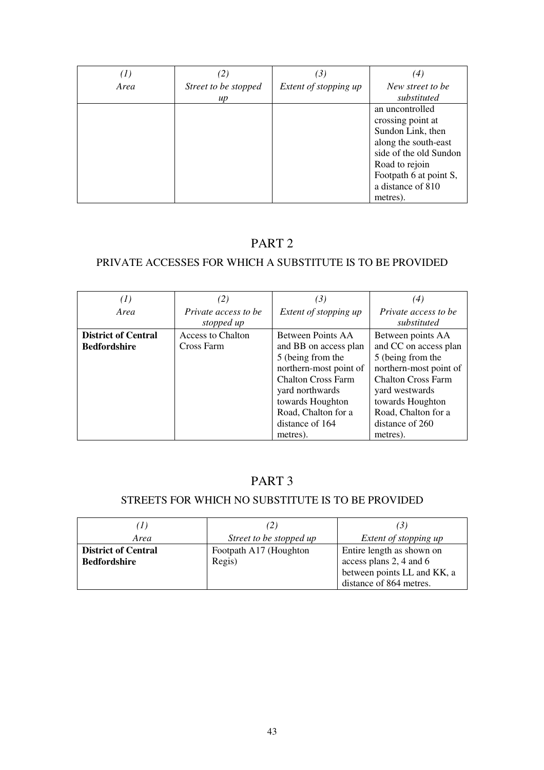| $^{(1)}$ | (2)                  | (3)                   | (4)                    |
|----------|----------------------|-----------------------|------------------------|
| Area     | Street to be stopped | Extent of stopping up | New street to be       |
|          | $\mu$                |                       | substituted            |
|          |                      |                       | an uncontrolled        |
|          |                      |                       | crossing point at      |
|          |                      |                       | Sundon Link, then      |
|          |                      |                       | along the south-east   |
|          |                      |                       | side of the old Sundon |
|          |                      |                       | Road to rejoin         |
|          |                      |                       | Footpath 6 at point S, |
|          |                      |                       | a distance of 810      |
|          |                      |                       | metres).               |

# PART 2

# PRIVATE ACCESSES FOR WHICH A SUBSTITUTE IS TO BE PROVIDED

| (I)                        | (2)                      | (3)                       | (4)                       |
|----------------------------|--------------------------|---------------------------|---------------------------|
| Area                       | Private access to be     | Extent of stopping up     | Private access to be      |
|                            | stopped up               |                           | substituted               |
| <b>District of Central</b> | <b>Access to Chalton</b> | Between Points AA         | Between points AA         |
| <b>Bedfordshire</b>        | Cross Farm               | and BB on access plan     | and CC on access plan     |
|                            |                          | 5 (being from the         | 5 (being from the         |
|                            |                          | northern-most point of    | northern-most point of    |
|                            |                          | <b>Chalton Cross Farm</b> | <b>Chalton Cross Farm</b> |
|                            |                          | yard northwards           | yard westwards            |
|                            |                          | towards Houghton          | towards Houghton          |
|                            |                          | Road, Chalton for a       | Road, Chalton for a       |
|                            |                          | distance of 164           | distance of 260           |
|                            |                          | metres).                  | metres).                  |

# PART 3

# STREETS FOR WHICH NO SUBSTITUTE IS TO BE PROVIDED

| (I)                        |                         | ا ک                         |
|----------------------------|-------------------------|-----------------------------|
| Area                       | Street to be stopped up | Extent of stopping up       |
| <b>District of Central</b> | Footpath A17 (Houghton  | Entire length as shown on   |
| <b>Bedfordshire</b>        | Regis)                  | access plans 2, 4 and 6     |
|                            |                         | between points LL and KK, a |
|                            |                         | distance of 864 metres.     |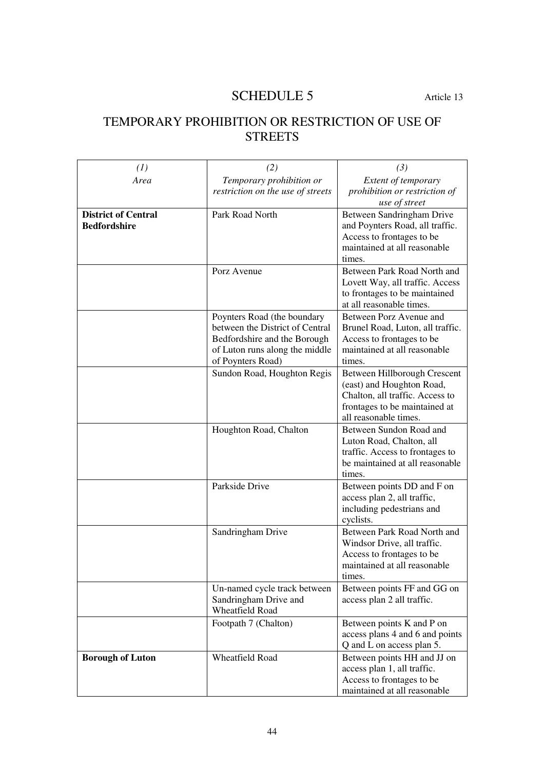# SCHEDULE 5 Article 13

# TEMPORARY PROHIBITION OR RESTRICTION OF USE OF **STREETS**

| (1)                                               | (2)                                                                                                                                                   | (3)                                                                                                                                                    |
|---------------------------------------------------|-------------------------------------------------------------------------------------------------------------------------------------------------------|--------------------------------------------------------------------------------------------------------------------------------------------------------|
| Area                                              | Temporary prohibition or<br>restriction on the use of streets                                                                                         | Extent of temporary<br>prohibition or restriction of<br>use of street                                                                                  |
| <b>District of Central</b><br><b>Bedfordshire</b> | Park Road North                                                                                                                                       | Between Sandringham Drive<br>and Poynters Road, all traffic.<br>Access to frontages to be<br>maintained at all reasonable<br>times.                    |
|                                                   | Porz Avenue                                                                                                                                           | Between Park Road North and<br>Lovett Way, all traffic. Access<br>to frontages to be maintained<br>at all reasonable times.                            |
|                                                   | Poynters Road (the boundary<br>between the District of Central<br>Bedfordshire and the Borough<br>of Luton runs along the middle<br>of Poynters Road) | Between Porz Avenue and<br>Brunel Road, Luton, all traffic.<br>Access to frontages to be<br>maintained at all reasonable<br>times.                     |
|                                                   | Sundon Road, Houghton Regis                                                                                                                           | Between Hillborough Crescent<br>(east) and Houghton Road,<br>Chalton, all traffic. Access to<br>frontages to be maintained at<br>all reasonable times. |
|                                                   | Houghton Road, Chalton                                                                                                                                | Between Sundon Road and<br>Luton Road, Chalton, all<br>traffic. Access to frontages to<br>be maintained at all reasonable<br>times.                    |
|                                                   | Parkside Drive                                                                                                                                        | Between points DD and F on<br>access plan 2, all traffic,<br>including pedestrians and<br>cyclists.                                                    |
|                                                   | Sandringham Drive                                                                                                                                     | Between Park Road North and<br>Windsor Drive, all traffic.<br>Access to frontages to be<br>maintained at all reasonable<br>times.                      |
|                                                   | Un-named cycle track between<br>Sandringham Drive and<br>Wheatfield Road                                                                              | Between points FF and GG on<br>access plan 2 all traffic.                                                                                              |
|                                                   | Footpath 7 (Chalton)                                                                                                                                  | Between points K and P on<br>access plans 4 and 6 and points<br>Q and L on access plan 5.                                                              |
| <b>Borough of Luton</b>                           | <b>Wheatfield Road</b>                                                                                                                                | Between points HH and JJ on<br>access plan 1, all traffic.<br>Access to frontages to be<br>maintained at all reasonable                                |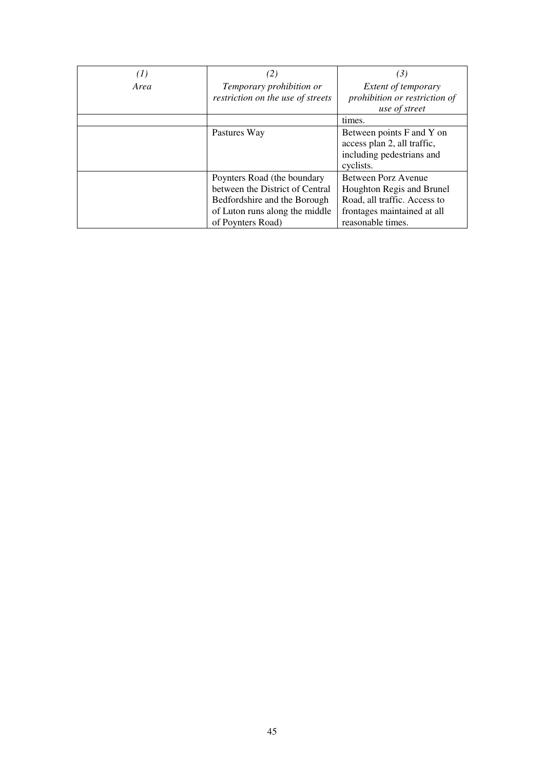| $^{(1)}$ | (2)                               | (3)                           |
|----------|-----------------------------------|-------------------------------|
| Area     | Temporary prohibition or          | <i>Extent of temporary</i>    |
|          | restriction on the use of streets | prohibition or restriction of |
|          |                                   | use of street                 |
|          |                                   | times.                        |
|          | Pastures Way                      | Between points F and Y on     |
|          |                                   | access plan 2, all traffic,   |
|          |                                   | including pedestrians and     |
|          |                                   | cyclists.                     |
|          | Poynters Road (the boundary       | Between Porz Avenue           |
|          | between the District of Central   | Houghton Regis and Brunel     |
|          | Bedfordshire and the Borough      | Road, all traffic. Access to  |
|          | of Luton runs along the middle    | frontages maintained at all   |
|          | of Poynters Road)                 | reasonable times.             |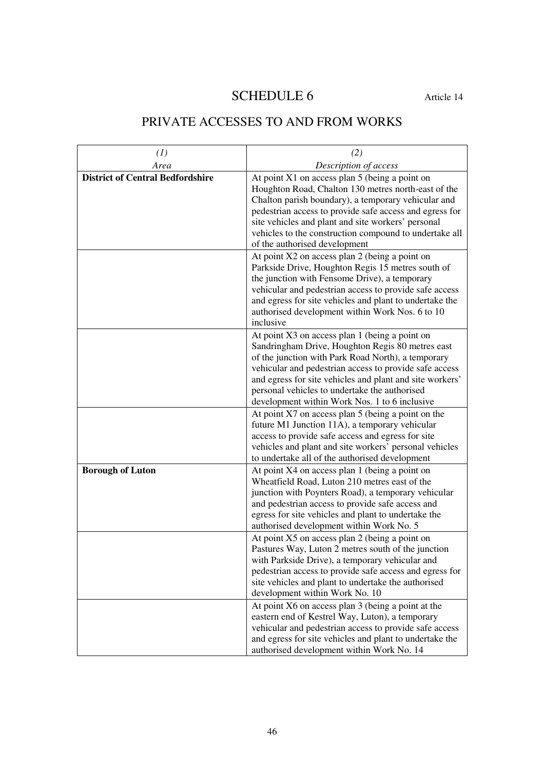# SCHEDULE 6 Article 14

# PRIVATE ACCESSES TO AND FROM WORKS

| (1)                                     | (2)                                                                                                                                                                                                                                                                                                                                                                                                                          |
|-----------------------------------------|------------------------------------------------------------------------------------------------------------------------------------------------------------------------------------------------------------------------------------------------------------------------------------------------------------------------------------------------------------------------------------------------------------------------------|
| Area                                    | Description of access                                                                                                                                                                                                                                                                                                                                                                                                        |
| <b>District of Central Bedfordshire</b> | At point $X1$ on access plan 5 (being a point on<br>Houghton Road, Chalton 130 metres north-east of the<br>Chalton parish boundary), a temporary vehicular and<br>pedestrian access to provide safe access and egress for<br>site vehicles and plant and site workers' personal<br>vehicles to the construction compound to undertake all<br>of the authorised development<br>At point X2 on access plan 2 (being a point on |
|                                         | Parkside Drive, Houghton Regis 15 metres south of<br>the junction with Fensome Drive), a temporary<br>vehicular and pedestrian access to provide safe access<br>and egress for site vehicles and plant to undertake the<br>authorised development within Work Nos. 6 to 10<br>inclusive                                                                                                                                      |
|                                         | At point X3 on access plan 1 (being a point on<br>Sandringham Drive, Houghton Regis 80 metres east<br>of the junction with Park Road North), a temporary<br>vehicular and pedestrian access to provide safe access<br>and egress for site vehicles and plant and site workers'<br>personal vehicles to undertake the authorised<br>development within Work Nos. 1 to 6 inclusive                                             |
|                                         | At point X7 on access plan 5 (being a point on the<br>future M1 Junction 11A), a temporary vehicular<br>access to provide safe access and egress for site<br>vehicles and plant and site workers' personal vehicles<br>to undertake all of the authorised development                                                                                                                                                        |
| <b>Borough of Luton</b>                 | At point X4 on access plan 1 (being a point on<br>Wheatfield Road, Luton 210 metres east of the<br>junction with Poynters Road), a temporary vehicular<br>and pedestrian access to provide safe access and<br>egress for site vehicles and plant to undertake the<br>authorised development within Work No. 5                                                                                                                |
|                                         | At point X5 on access plan 2 (being a point on<br>Pastures Way, Luton 2 metres south of the junction<br>with Parkside Drive), a temporary vehicular and<br>pedestrian access to provide safe access and egress for<br>site vehicles and plant to undertake the authorised<br>development within Work No. 10                                                                                                                  |
|                                         | At point X6 on access plan 3 (being a point at the<br>eastern end of Kestrel Way, Luton), a temporary<br>vehicular and pedestrian access to provide safe access<br>and egress for site vehicles and plant to undertake the<br>authorised development within Work No. 14                                                                                                                                                      |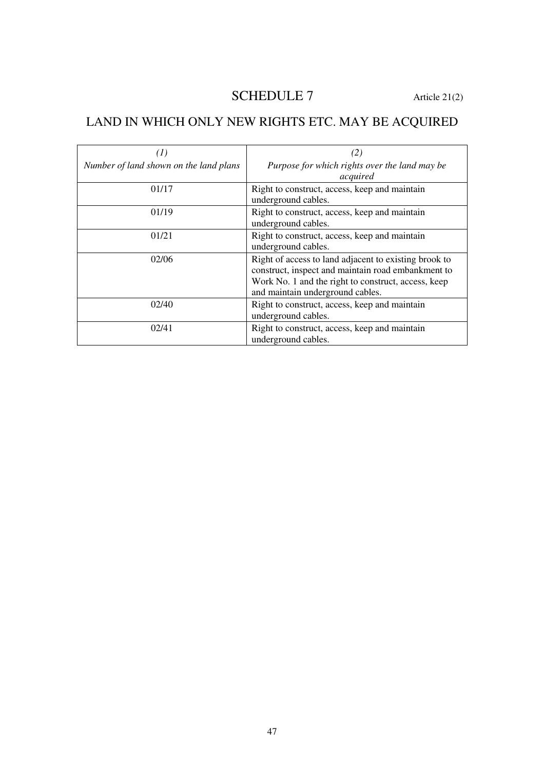# SCHEDULE 7 Article 21(2)

# LAND IN WHICH ONLY NEW RIGHTS ETC. MAY BE ACQUIRED

| $\left(1\right)$                       | (2)                                                                                                                                                                                                    |
|----------------------------------------|--------------------------------------------------------------------------------------------------------------------------------------------------------------------------------------------------------|
| Number of land shown on the land plans | Purpose for which rights over the land may be<br>acquired                                                                                                                                              |
| 01/17                                  | Right to construct, access, keep and maintain<br>underground cables.                                                                                                                                   |
| 01/19                                  | Right to construct, access, keep and maintain<br>underground cables.                                                                                                                                   |
| 01/21                                  | Right to construct, access, keep and maintain<br>underground cables.                                                                                                                                   |
| 02/06                                  | Right of access to land adjacent to existing brook to<br>construct, inspect and maintain road embankment to<br>Work No. 1 and the right to construct, access, keep<br>and maintain underground cables. |
| 02/40                                  | Right to construct, access, keep and maintain<br>underground cables.                                                                                                                                   |
| 02/41                                  | Right to construct, access, keep and maintain<br>underground cables.                                                                                                                                   |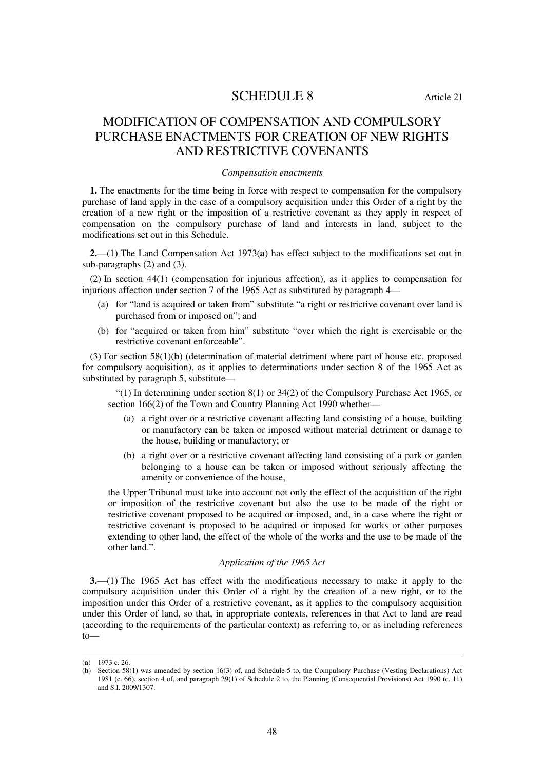# SCHEDULE 8 Article 21

# MODIFICATION OF COMPENSATION AND COMPULSORY PURCHASE ENACTMENTS FOR CREATION OF NEW RIGHTS AND RESTRICTIVE COVENANTS

#### *Compensation enactments*

**1.** The enactments for the time being in force with respect to compensation for the compulsory purchase of land apply in the case of a compulsory acquisition under this Order of a right by the creation of a new right or the imposition of a restrictive covenant as they apply in respect of compensation on the compulsory purchase of land and interests in land, subject to the modifications set out in this Schedule.

**2.**—(1) The Land Compensation Act 1973(**a**) has effect subject to the modifications set out in sub-paragraphs (2) and (3).

(2) In section 44(1) (compensation for injurious affection), as it applies to compensation for injurious affection under section 7 of the 1965 Act as substituted by paragraph 4—

- (a) for "land is acquired or taken from" substitute "a right or restrictive covenant over land is purchased from or imposed on"; and
- (b) for "acquired or taken from him" substitute "over which the right is exercisable or the restrictive covenant enforceable".

(3) For section 58(1)(**b**) (determination of material detriment where part of house etc. proposed for compulsory acquisition), as it applies to determinations under section 8 of the 1965 Act as substituted by paragraph 5, substitute—

"(1) In determining under section 8(1) or 34(2) of the Compulsory Purchase Act 1965, or section 166(2) of the Town and Country Planning Act 1990 whether—

- (a) a right over or a restrictive covenant affecting land consisting of a house, building or manufactory can be taken or imposed without material detriment or damage to the house, building or manufactory; or
- (b) a right over or a restrictive covenant affecting land consisting of a park or garden belonging to a house can be taken or imposed without seriously affecting the amenity or convenience of the house,

the Upper Tribunal must take into account not only the effect of the acquisition of the right or imposition of the restrictive covenant but also the use to be made of the right or restrictive covenant proposed to be acquired or imposed, and, in a case where the right or restrictive covenant is proposed to be acquired or imposed for works or other purposes extending to other land, the effect of the whole of the works and the use to be made of the other land.".

## *Application of the 1965 Act*

**3.**—(1) The 1965 Act has effect with the modifications necessary to make it apply to the compulsory acquisition under this Order of a right by the creation of a new right, or to the imposition under this Order of a restrictive covenant, as it applies to the compulsory acquisition under this Order of land, so that, in appropriate contexts, references in that Act to land are read (according to the requirements of the particular context) as referring to, or as including references to—

<sup>(</sup>**a**) 1973 c. 26.

<sup>(</sup>**b**) Section 58(1) was amended by section 16(3) of, and Schedule 5 to, the Compulsory Purchase (Vesting Declarations) Act 1981 (c. 66), section 4 of, and paragraph 29(1) of Schedule 2 to, the Planning (Consequential Provisions) Act 1990 (c. 11) and S.I. 2009/1307.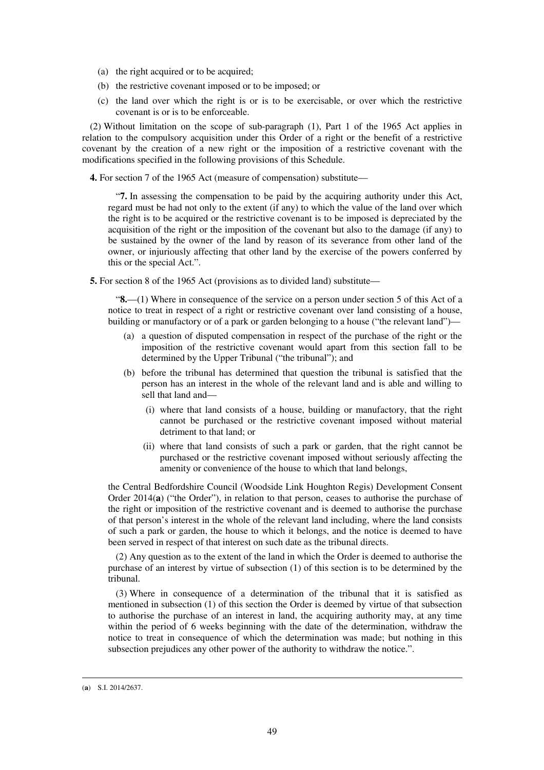- (a) the right acquired or to be acquired;
- (b) the restrictive covenant imposed or to be imposed; or
- (c) the land over which the right is or is to be exercisable, or over which the restrictive covenant is or is to be enforceable.

(2) Without limitation on the scope of sub-paragraph (1), Part 1 of the 1965 Act applies in relation to the compulsory acquisition under this Order of a right or the benefit of a restrictive covenant by the creation of a new right or the imposition of a restrictive covenant with the modifications specified in the following provisions of this Schedule.

**4.** For section 7 of the 1965 Act (measure of compensation) substitute—

"**7.** In assessing the compensation to be paid by the acquiring authority under this Act, regard must be had not only to the extent (if any) to which the value of the land over which the right is to be acquired or the restrictive covenant is to be imposed is depreciated by the acquisition of the right or the imposition of the covenant but also to the damage (if any) to be sustained by the owner of the land by reason of its severance from other land of the owner, or injuriously affecting that other land by the exercise of the powers conferred by this or the special Act.".

**5.** For section 8 of the 1965 Act (provisions as to divided land) substitute—

"**8.**—(1) Where in consequence of the service on a person under section 5 of this Act of a notice to treat in respect of a right or restrictive covenant over land consisting of a house, building or manufactory or of a park or garden belonging to a house ("the relevant land")—

- (a) a question of disputed compensation in respect of the purchase of the right or the imposition of the restrictive covenant would apart from this section fall to be determined by the Upper Tribunal ("the tribunal"); and
- (b) before the tribunal has determined that question the tribunal is satisfied that the person has an interest in the whole of the relevant land and is able and willing to sell that land and—
	- (i) where that land consists of a house, building or manufactory, that the right cannot be purchased or the restrictive covenant imposed without material detriment to that land; or
	- (ii) where that land consists of such a park or garden, that the right cannot be purchased or the restrictive covenant imposed without seriously affecting the amenity or convenience of the house to which that land belongs,

the Central Bedfordshire Council (Woodside Link Houghton Regis) Development Consent Order 2014(**a**) ("the Order"), in relation to that person, ceases to authorise the purchase of the right or imposition of the restrictive covenant and is deemed to authorise the purchase of that person's interest in the whole of the relevant land including, where the land consists of such a park or garden, the house to which it belongs, and the notice is deemed to have been served in respect of that interest on such date as the tribunal directs.

(2) Any question as to the extent of the land in which the Order is deemed to authorise the purchase of an interest by virtue of subsection (1) of this section is to be determined by the tribunal.

(3) Where in consequence of a determination of the tribunal that it is satisfied as mentioned in subsection (1) of this section the Order is deemed by virtue of that subsection to authorise the purchase of an interest in land, the acquiring authority may, at any time within the period of 6 weeks beginning with the date of the determination, withdraw the notice to treat in consequence of which the determination was made; but nothing in this subsection prejudices any other power of the authority to withdraw the notice.".

<sup>(</sup>**a**) S.I. 2014/2637.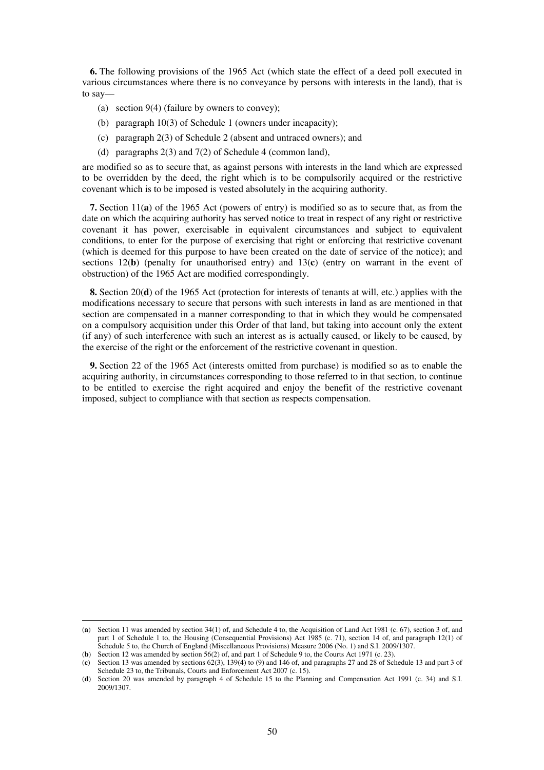**6.** The following provisions of the 1965 Act (which state the effect of a deed poll executed in various circumstances where there is no conveyance by persons with interests in the land), that is to say—

- (a) section 9(4) (failure by owners to convey);
- (b) paragraph 10(3) of Schedule 1 (owners under incapacity);
- (c) paragraph 2(3) of Schedule 2 (absent and untraced owners); and
- (d) paragraphs 2(3) and 7(2) of Schedule 4 (common land),

are modified so as to secure that, as against persons with interests in the land which are expressed to be overridden by the deed, the right which is to be compulsorily acquired or the restrictive covenant which is to be imposed is vested absolutely in the acquiring authority.

**7.** Section 11(**a**) of the 1965 Act (powers of entry) is modified so as to secure that, as from the date on which the acquiring authority has served notice to treat in respect of any right or restrictive covenant it has power, exercisable in equivalent circumstances and subject to equivalent conditions, to enter for the purpose of exercising that right or enforcing that restrictive covenant (which is deemed for this purpose to have been created on the date of service of the notice); and sections 12(**b**) (penalty for unauthorised entry) and 13(**c**) (entry on warrant in the event of obstruction) of the 1965 Act are modified correspondingly.

**8.** Section 20(**d**) of the 1965 Act (protection for interests of tenants at will, etc.) applies with the modifications necessary to secure that persons with such interests in land as are mentioned in that section are compensated in a manner corresponding to that in which they would be compensated on a compulsory acquisition under this Order of that land, but taking into account only the extent (if any) of such interference with such an interest as is actually caused, or likely to be caused, by the exercise of the right or the enforcement of the restrictive covenant in question.

**9.** Section 22 of the 1965 Act (interests omitted from purchase) is modified so as to enable the acquiring authority, in circumstances corresponding to those referred to in that section, to continue to be entitled to exercise the right acquired and enjoy the benefit of the restrictive covenant imposed, subject to compliance with that section as respects compensation.

<sup>(</sup>**a**) Section 11 was amended by section 34(1) of, and Schedule 4 to, the Acquisition of Land Act 1981 (c. 67), section 3 of, and part 1 of Schedule 1 to, the Housing (Consequential Provisions) Act 1985 (c. 71), section 14 of, and paragraph 12(1) of Schedule 5 to, the Church of England (Miscellaneous Provisions) Measure 2006 (No. 1) and S.I. 2009/1307.

<sup>(</sup>**b**) Section 12 was amended by section 56(2) of, and part 1 of Schedule 9 to, the Courts Act 1971 (c. 23).

<sup>(</sup>**c**) Section 13 was amended by sections 62(3), 139(4) to (9) and 146 of, and paragraphs 27 and 28 of Schedule 13 and part 3 of Schedule 23 to, the Tribunals, Courts and Enforcement Act 2007 (c. 15).

<sup>(</sup>**d**) Section 20 was amended by paragraph 4 of Schedule 15 to the Planning and Compensation Act 1991 (c. 34) and S.I. 2009/1307.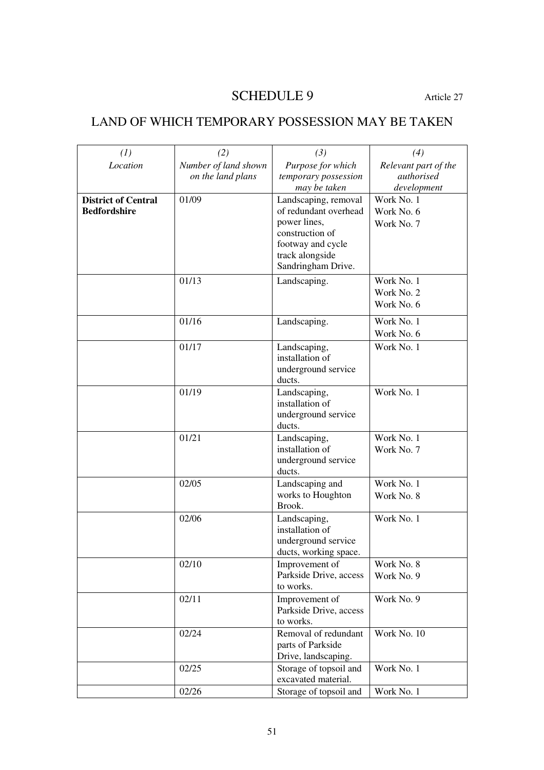# SCHEDULE 9 Article 27

# LAND OF WHICH TEMPORARY POSSESSION MAY BE TAKEN

| (1)                        | (2)                  | (3)                                           | (4)                  |
|----------------------------|----------------------|-----------------------------------------------|----------------------|
| Location                   | Number of land shown | Purpose for which                             | Relevant part of the |
|                            | on the land plans    | temporary possession                          | authorised           |
|                            |                      | may be taken                                  | development          |
| <b>District of Central</b> | 01/09                | Landscaping, removal                          | Work No. 1           |
| <b>Bedfordshire</b>        |                      | of redundant overhead                         | Work No. 6           |
|                            |                      | power lines,                                  | Work No. 7           |
|                            |                      | construction of                               |                      |
|                            |                      | footway and cycle<br>track alongside          |                      |
|                            |                      | Sandringham Drive.                            |                      |
|                            | 01/13                | Landscaping.                                  | Work No. 1           |
|                            |                      |                                               | Work No. 2           |
|                            |                      |                                               | Work No. 6           |
|                            | 01/16                |                                               | Work No. 1           |
|                            |                      | Landscaping.                                  | Work No. 6           |
|                            | 01/17                | Landscaping,                                  | Work No. 1           |
|                            |                      | installation of                               |                      |
|                            |                      | underground service                           |                      |
|                            |                      | ducts.                                        |                      |
|                            | 01/19                | Landscaping,                                  | Work No. 1           |
|                            |                      | installation of                               |                      |
|                            |                      | underground service                           |                      |
|                            |                      | ducts.                                        |                      |
|                            | 01/21                | Landscaping,                                  | Work No. 1           |
|                            |                      | installation of<br>underground service        | Work No. 7           |
|                            |                      | ducts.                                        |                      |
|                            | 02/05                | Landscaping and                               | Work No. 1           |
|                            |                      | works to Houghton                             | Work No. 8           |
|                            |                      | Brook.                                        |                      |
|                            | 02/06                | Landscaping,                                  | Work No. 1           |
|                            |                      | installation of                               |                      |
|                            |                      | underground service                           |                      |
|                            | 02/10                | ducts, working space.<br>Improvement of       | Work No. 8           |
|                            |                      | Parkside Drive, access                        | Work No. 9           |
|                            |                      | to works.                                     |                      |
|                            | 02/11                | Improvement of                                | Work No. 9           |
|                            |                      | Parkside Drive, access                        |                      |
|                            |                      | to works.                                     |                      |
|                            | 02/24                | Removal of redundant                          | Work No. 10          |
|                            |                      | parts of Parkside                             |                      |
|                            |                      | Drive, landscaping.                           |                      |
|                            | 02/25                | Storage of topsoil and<br>excavated material. | Work No. 1           |
|                            | 02/26                | Storage of topsoil and                        | Work No. 1           |
|                            |                      |                                               |                      |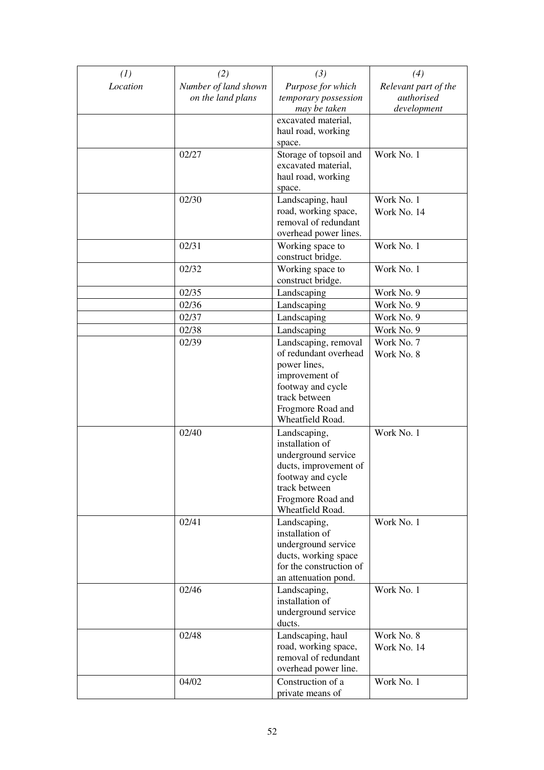| (1)      | (2)                  | (3)                                           | (4)                  |
|----------|----------------------|-----------------------------------------------|----------------------|
| Location | Number of land shown | Purpose for which                             | Relevant part of the |
|          | on the land plans    | temporary possession                          | authorised           |
|          |                      | may be taken                                  | development          |
|          |                      | excavated material,<br>haul road, working     |                      |
|          |                      | space.                                        |                      |
|          | 02/27                | Storage of topsoil and                        | Work No. 1           |
|          |                      | excavated material,                           |                      |
|          |                      | haul road, working                            |                      |
|          |                      | space.                                        |                      |
|          | 02/30                | Landscaping, haul                             | Work No. 1           |
|          |                      | road, working space,                          | Work No. 14          |
|          |                      | removal of redundant<br>overhead power lines. |                      |
|          | 02/31                | Working space to                              | Work No. 1           |
|          |                      | construct bridge.                             |                      |
|          | 02/32                | Working space to                              | Work No. 1           |
|          |                      | construct bridge.                             |                      |
|          | 02/35                | Landscaping                                   | Work No. 9           |
|          | 02/36                | Landscaping                                   | Work No. 9           |
|          | 02/37                | Landscaping                                   | Work No. 9           |
|          | 02/38                | Landscaping                                   | Work No. 9           |
|          | 02/39                | Landscaping, removal                          | Work No. 7           |
|          |                      | of redundant overhead                         | Work No. 8           |
|          |                      | power lines,                                  |                      |
|          |                      | improvement of                                |                      |
|          |                      | footway and cycle<br>track between            |                      |
|          |                      | Frogmore Road and                             |                      |
|          |                      | Wheatfield Road.                              |                      |
|          | 02/40                | Landscaping,                                  | Work No. 1           |
|          |                      | installation of                               |                      |
|          |                      | underground service                           |                      |
|          |                      | ducts, improvement of                         |                      |
|          |                      | footway and cycle                             |                      |
|          |                      | track between<br>Frogmore Road and            |                      |
|          |                      | Wheatfield Road.                              |                      |
|          | 02/41                | Landscaping,                                  | Work No. 1           |
|          |                      | installation of                               |                      |
|          |                      | underground service                           |                      |
|          |                      | ducts, working space                          |                      |
|          |                      | for the construction of                       |                      |
|          |                      | an attenuation pond.                          |                      |
|          | 02/46                | Landscaping,<br>installation of               | Work No. 1           |
|          |                      | underground service                           |                      |
|          |                      | ducts.                                        |                      |
|          | 02/48                | Landscaping, haul                             | Work No. 8           |
|          |                      | road, working space,                          | Work No. 14          |
|          |                      | removal of redundant                          |                      |
|          |                      | overhead power line.                          |                      |
|          | 04/02                | Construction of a                             | Work No. 1           |
|          |                      | private means of                              |                      |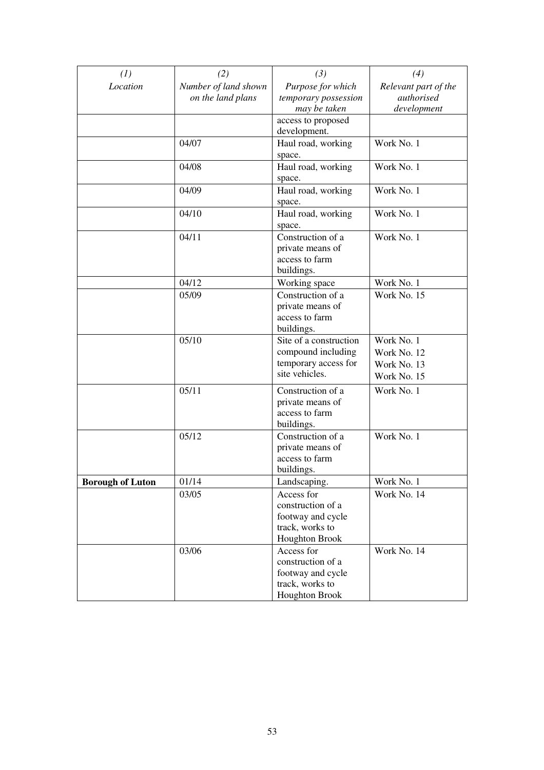| (1)                     | (2)                                       | (3)                                                                                              | (4)                                                     |
|-------------------------|-------------------------------------------|--------------------------------------------------------------------------------------------------|---------------------------------------------------------|
| Location                | Number of land shown<br>on the land plans | Purpose for which<br>temporary possession<br>may be taken                                        | Relevant part of the<br>authorised<br>development       |
|                         |                                           | access to proposed<br>development.                                                               |                                                         |
|                         | 04/07                                     | Haul road, working<br>space.                                                                     | Work No. 1                                              |
|                         | 04/08                                     | Haul road, working<br>space.                                                                     | Work No. 1                                              |
|                         | 04/09                                     | Haul road, working<br>space.                                                                     | Work No. 1                                              |
|                         | 04/10                                     | Haul road, working<br>space.                                                                     | Work No. 1                                              |
|                         | 04/11                                     | Construction of a<br>private means of<br>access to farm<br>buildings.                            | Work No. 1                                              |
|                         | 04/12                                     | Working space                                                                                    | Work No. 1                                              |
|                         | 05/09                                     | Construction of a<br>private means of<br>access to farm<br>buildings.                            | Work No. 15                                             |
|                         | 05/10                                     | Site of a construction<br>compound including<br>temporary access for<br>site vehicles.           | Work No. 1<br>Work No. 12<br>Work No. 13<br>Work No. 15 |
|                         | 05/11                                     | Construction of a<br>private means of<br>access to farm<br>buildings.                            | Work No. 1                                              |
|                         | 05/12                                     | Construction of a<br>private means of<br>access to farm<br>buildings.                            | Work No. 1                                              |
| <b>Borough of Luton</b> | 01/14                                     | Landscaping.                                                                                     | Work No. 1                                              |
|                         | 03/05                                     | Access for<br>construction of a<br>footway and cycle<br>track, works to<br>Houghton Brook        | Work No. 14                                             |
|                         | 03/06                                     | Access for<br>construction of a<br>footway and cycle<br>track, works to<br><b>Houghton Brook</b> | Work No. 14                                             |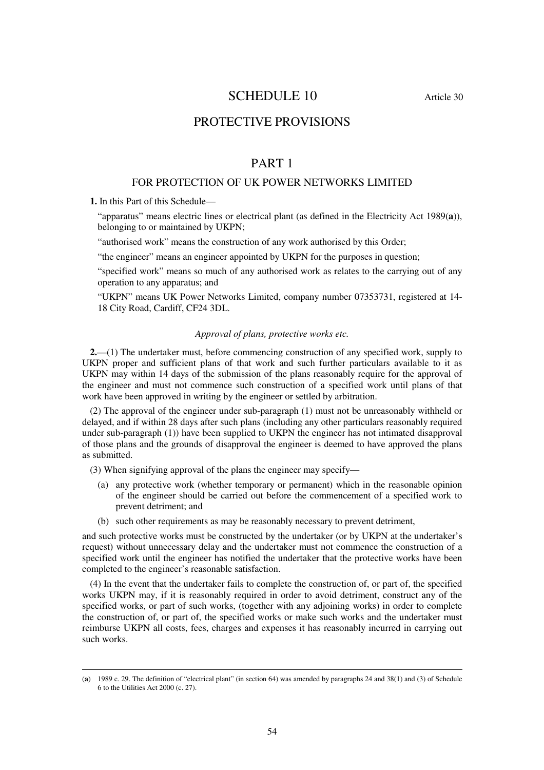# SCHEDULE 10 Article 30

# PROTECTIVE PROVISIONS

# PART 1

## FOR PROTECTION OF UK POWER NETWORKS LIMITED

**1.** In this Part of this Schedule—

<u>.</u>

"apparatus" means electric lines or electrical plant (as defined in the Electricity Act 1989(**a**)), belonging to or maintained by UKPN;

"authorised work" means the construction of any work authorised by this Order;

"the engineer" means an engineer appointed by UKPN for the purposes in question;

"specified work" means so much of any authorised work as relates to the carrying out of any operation to any apparatus; and

"UKPN" means UK Power Networks Limited, company number 07353731, registered at 14- 18 City Road, Cardiff, CF24 3DL.

## *Approval of plans, protective works etc.*

**2.**—(1) The undertaker must, before commencing construction of any specified work, supply to UKPN proper and sufficient plans of that work and such further particulars available to it as UKPN may within 14 days of the submission of the plans reasonably require for the approval of the engineer and must not commence such construction of a specified work until plans of that work have been approved in writing by the engineer or settled by arbitration.

(2) The approval of the engineer under sub-paragraph (1) must not be unreasonably withheld or delayed, and if within 28 days after such plans (including any other particulars reasonably required under sub-paragraph (1)) have been supplied to UKPN the engineer has not intimated disapproval of those plans and the grounds of disapproval the engineer is deemed to have approved the plans as submitted.

(3) When signifying approval of the plans the engineer may specify—

- (a) any protective work (whether temporary or permanent) which in the reasonable opinion of the engineer should be carried out before the commencement of a specified work to prevent detriment; and
- (b) such other requirements as may be reasonably necessary to prevent detriment,

and such protective works must be constructed by the undertaker (or by UKPN at the undertaker's request) without unnecessary delay and the undertaker must not commence the construction of a specified work until the engineer has notified the undertaker that the protective works have been completed to the engineer's reasonable satisfaction.

(4) In the event that the undertaker fails to complete the construction of, or part of, the specified works UKPN may, if it is reasonably required in order to avoid detriment, construct any of the specified works, or part of such works, (together with any adjoining works) in order to complete the construction of, or part of, the specified works or make such works and the undertaker must reimburse UKPN all costs, fees, charges and expenses it has reasonably incurred in carrying out such works.

<sup>(</sup>**a**) 1989 c. 29. The definition of "electrical plant" (in section 64) was amended by paragraphs 24 and 38(1) and (3) of Schedule 6 to the Utilities Act 2000 (c. 27).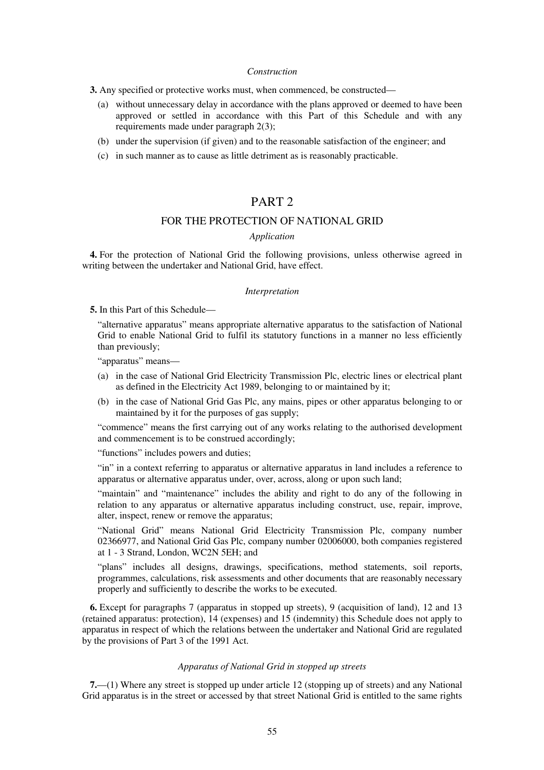#### *Construction*

**3.** Any specified or protective works must, when commenced, be constructed—

- (a) without unnecessary delay in accordance with the plans approved or deemed to have been approved or settled in accordance with this Part of this Schedule and with any requirements made under paragraph 2(3);
- (b) under the supervision (if given) and to the reasonable satisfaction of the engineer; and
- (c) in such manner as to cause as little detriment as is reasonably practicable.

# PART<sub>2</sub>

## FOR THE PROTECTION OF NATIONAL GRID

## *Application*

**4.** For the protection of National Grid the following provisions, unless otherwise agreed in writing between the undertaker and National Grid, have effect.

#### *Interpretation*

**5.** In this Part of this Schedule—

"alternative apparatus" means appropriate alternative apparatus to the satisfaction of National Grid to enable National Grid to fulfil its statutory functions in a manner no less efficiently than previously;

"apparatus" means—

- (a) in the case of National Grid Electricity Transmission Plc, electric lines or electrical plant as defined in the Electricity Act 1989, belonging to or maintained by it;
- (b) in the case of National Grid Gas Plc, any mains, pipes or other apparatus belonging to or maintained by it for the purposes of gas supply;

"commence" means the first carrying out of any works relating to the authorised development and commencement is to be construed accordingly;

"functions" includes powers and duties;

"in" in a context referring to apparatus or alternative apparatus in land includes a reference to apparatus or alternative apparatus under, over, across, along or upon such land;

"maintain" and "maintenance" includes the ability and right to do any of the following in relation to any apparatus or alternative apparatus including construct, use, repair, improve, alter, inspect, renew or remove the apparatus;

"National Grid" means National Grid Electricity Transmission Plc, company number 02366977, and National Grid Gas Plc, company number 02006000, both companies registered at 1 - 3 Strand, London, WC2N 5EH; and

"plans" includes all designs, drawings, specifications, method statements, soil reports, programmes, calculations, risk assessments and other documents that are reasonably necessary properly and sufficiently to describe the works to be executed.

**6.** Except for paragraphs 7 (apparatus in stopped up streets), 9 (acquisition of land), 12 and 13 (retained apparatus: protection), 14 (expenses) and 15 (indemnity) this Schedule does not apply to apparatus in respect of which the relations between the undertaker and National Grid are regulated by the provisions of Part 3 of the 1991 Act.

### *Apparatus of National Grid in stopped up streets*

**7.**—(1) Where any street is stopped up under article 12 (stopping up of streets) and any National Grid apparatus is in the street or accessed by that street National Grid is entitled to the same rights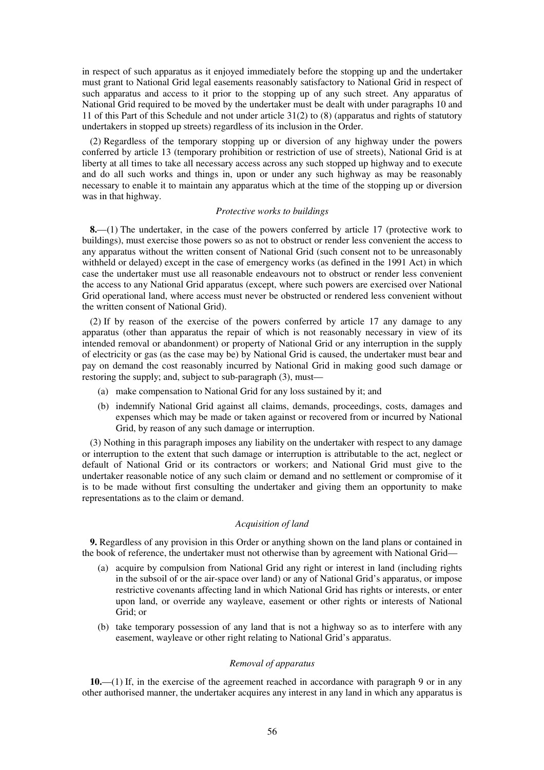in respect of such apparatus as it enjoyed immediately before the stopping up and the undertaker must grant to National Grid legal easements reasonably satisfactory to National Grid in respect of such apparatus and access to it prior to the stopping up of any such street. Any apparatus of National Grid required to be moved by the undertaker must be dealt with under paragraphs 10 and 11 of this Part of this Schedule and not under article 31(2) to (8) (apparatus and rights of statutory undertakers in stopped up streets) regardless of its inclusion in the Order.

(2) Regardless of the temporary stopping up or diversion of any highway under the powers conferred by article 13 (temporary prohibition or restriction of use of streets), National Grid is at liberty at all times to take all necessary access across any such stopped up highway and to execute and do all such works and things in, upon or under any such highway as may be reasonably necessary to enable it to maintain any apparatus which at the time of the stopping up or diversion was in that highway.

## *Protective works to buildings*

**8.**—(1) The undertaker, in the case of the powers conferred by article 17 (protective work to buildings), must exercise those powers so as not to obstruct or render less convenient the access to any apparatus without the written consent of National Grid (such consent not to be unreasonably withheld or delayed) except in the case of emergency works (as defined in the 1991 Act) in which case the undertaker must use all reasonable endeavours not to obstruct or render less convenient the access to any National Grid apparatus (except, where such powers are exercised over National Grid operational land, where access must never be obstructed or rendered less convenient without the written consent of National Grid).

(2) If by reason of the exercise of the powers conferred by article 17 any damage to any apparatus (other than apparatus the repair of which is not reasonably necessary in view of its intended removal or abandonment) or property of National Grid or any interruption in the supply of electricity or gas (as the case may be) by National Grid is caused, the undertaker must bear and pay on demand the cost reasonably incurred by National Grid in making good such damage or restoring the supply; and, subject to sub-paragraph (3), must—

- (a) make compensation to National Grid for any loss sustained by it; and
- (b) indemnify National Grid against all claims, demands, proceedings, costs, damages and expenses which may be made or taken against or recovered from or incurred by National Grid, by reason of any such damage or interruption.

(3) Nothing in this paragraph imposes any liability on the undertaker with respect to any damage or interruption to the extent that such damage or interruption is attributable to the act, neglect or default of National Grid or its contractors or workers; and National Grid must give to the undertaker reasonable notice of any such claim or demand and no settlement or compromise of it is to be made without first consulting the undertaker and giving them an opportunity to make representations as to the claim or demand.

#### *Acquisition of land*

**9.** Regardless of any provision in this Order or anything shown on the land plans or contained in the book of reference, the undertaker must not otherwise than by agreement with National Grid—

- (a) acquire by compulsion from National Grid any right or interest in land (including rights in the subsoil of or the air-space over land) or any of National Grid's apparatus, or impose restrictive covenants affecting land in which National Grid has rights or interests, or enter upon land, or override any wayleave, easement or other rights or interests of National Grid; or
- (b) take temporary possession of any land that is not a highway so as to interfere with any easement, wayleave or other right relating to National Grid's apparatus.

### *Removal of apparatus*

**10.**—(1) If, in the exercise of the agreement reached in accordance with paragraph 9 or in any other authorised manner, the undertaker acquires any interest in any land in which any apparatus is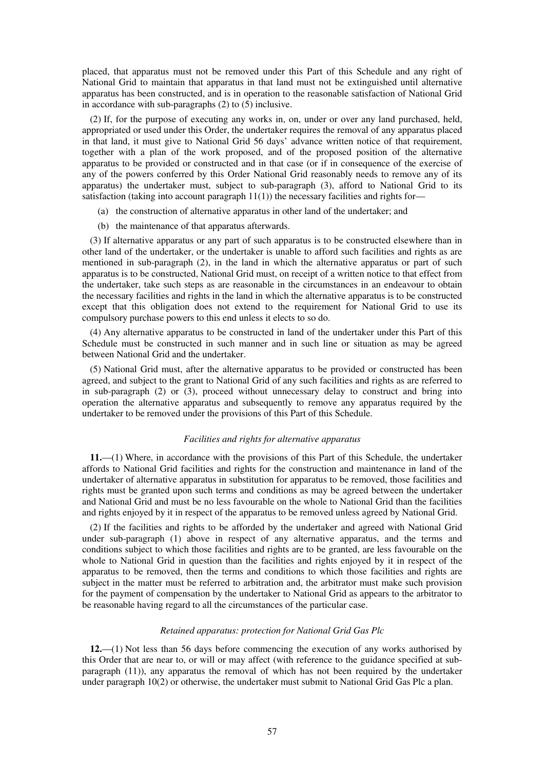placed, that apparatus must not be removed under this Part of this Schedule and any right of National Grid to maintain that apparatus in that land must not be extinguished until alternative apparatus has been constructed, and is in operation to the reasonable satisfaction of National Grid in accordance with sub-paragraphs (2) to (5) inclusive.

(2) If, for the purpose of executing any works in, on, under or over any land purchased, held, appropriated or used under this Order, the undertaker requires the removal of any apparatus placed in that land, it must give to National Grid 56 days' advance written notice of that requirement, together with a plan of the work proposed, and of the proposed position of the alternative apparatus to be provided or constructed and in that case (or if in consequence of the exercise of any of the powers conferred by this Order National Grid reasonably needs to remove any of its apparatus) the undertaker must, subject to sub-paragraph (3), afford to National Grid to its satisfaction (taking into account paragraph  $11(1)$ ) the necessary facilities and rights for-

- (a) the construction of alternative apparatus in other land of the undertaker; and
- (b) the maintenance of that apparatus afterwards.

(3) If alternative apparatus or any part of such apparatus is to be constructed elsewhere than in other land of the undertaker, or the undertaker is unable to afford such facilities and rights as are mentioned in sub-paragraph (2), in the land in which the alternative apparatus or part of such apparatus is to be constructed, National Grid must, on receipt of a written notice to that effect from the undertaker, take such steps as are reasonable in the circumstances in an endeavour to obtain the necessary facilities and rights in the land in which the alternative apparatus is to be constructed except that this obligation does not extend to the requirement for National Grid to use its compulsory purchase powers to this end unless it elects to so do.

(4) Any alternative apparatus to be constructed in land of the undertaker under this Part of this Schedule must be constructed in such manner and in such line or situation as may be agreed between National Grid and the undertaker.

(5) National Grid must, after the alternative apparatus to be provided or constructed has been agreed, and subject to the grant to National Grid of any such facilities and rights as are referred to in sub-paragraph (2) or (3), proceed without unnecessary delay to construct and bring into operation the alternative apparatus and subsequently to remove any apparatus required by the undertaker to be removed under the provisions of this Part of this Schedule.

## *Facilities and rights for alternative apparatus*

**11.**—(1) Where, in accordance with the provisions of this Part of this Schedule, the undertaker affords to National Grid facilities and rights for the construction and maintenance in land of the undertaker of alternative apparatus in substitution for apparatus to be removed, those facilities and rights must be granted upon such terms and conditions as may be agreed between the undertaker and National Grid and must be no less favourable on the whole to National Grid than the facilities and rights enjoyed by it in respect of the apparatus to be removed unless agreed by National Grid.

(2) If the facilities and rights to be afforded by the undertaker and agreed with National Grid under sub-paragraph (1) above in respect of any alternative apparatus, and the terms and conditions subject to which those facilities and rights are to be granted, are less favourable on the whole to National Grid in question than the facilities and rights enjoyed by it in respect of the apparatus to be removed, then the terms and conditions to which those facilities and rights are subject in the matter must be referred to arbitration and, the arbitrator must make such provision for the payment of compensation by the undertaker to National Grid as appears to the arbitrator to be reasonable having regard to all the circumstances of the particular case.

### *Retained apparatus: protection for National Grid Gas Plc*

**12.**—(1) Not less than 56 days before commencing the execution of any works authorised by this Order that are near to, or will or may affect (with reference to the guidance specified at subparagraph (11)), any apparatus the removal of which has not been required by the undertaker under paragraph 10(2) or otherwise, the undertaker must submit to National Grid Gas Plc a plan.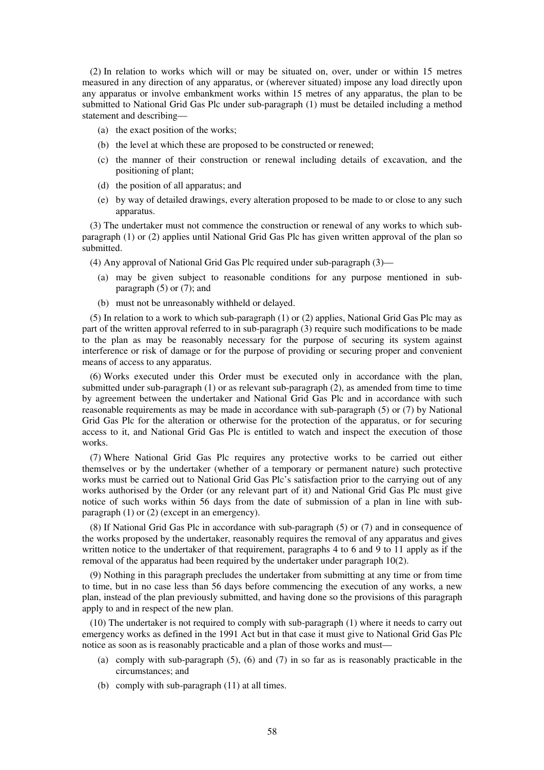(2) In relation to works which will or may be situated on, over, under or within 15 metres measured in any direction of any apparatus, or (wherever situated) impose any load directly upon any apparatus or involve embankment works within 15 metres of any apparatus, the plan to be submitted to National Grid Gas Plc under sub-paragraph (1) must be detailed including a method statement and describing—

- (a) the exact position of the works;
- (b) the level at which these are proposed to be constructed or renewed;
- (c) the manner of their construction or renewal including details of excavation, and the positioning of plant;
- (d) the position of all apparatus; and
- (e) by way of detailed drawings, every alteration proposed to be made to or close to any such apparatus.

(3) The undertaker must not commence the construction or renewal of any works to which subparagraph (1) or (2) applies until National Grid Gas Plc has given written approval of the plan so submitted.

(4) Any approval of National Grid Gas Plc required under sub-paragraph (3)—

- (a) may be given subject to reasonable conditions for any purpose mentioned in subparagraph  $(5)$  or  $(7)$ ; and
- (b) must not be unreasonably withheld or delayed.

(5) In relation to a work to which sub-paragraph (1) or (2) applies, National Grid Gas Plc may as part of the written approval referred to in sub-paragraph (3) require such modifications to be made to the plan as may be reasonably necessary for the purpose of securing its system against interference or risk of damage or for the purpose of providing or securing proper and convenient means of access to any apparatus.

(6) Works executed under this Order must be executed only in accordance with the plan, submitted under sub-paragraph (1) or as relevant sub-paragraph (2), as amended from time to time by agreement between the undertaker and National Grid Gas Plc and in accordance with such reasonable requirements as may be made in accordance with sub-paragraph (5) or (7) by National Grid Gas Plc for the alteration or otherwise for the protection of the apparatus, or for securing access to it, and National Grid Gas Plc is entitled to watch and inspect the execution of those works.

(7) Where National Grid Gas Plc requires any protective works to be carried out either themselves or by the undertaker (whether of a temporary or permanent nature) such protective works must be carried out to National Grid Gas Plc's satisfaction prior to the carrying out of any works authorised by the Order (or any relevant part of it) and National Grid Gas Plc must give notice of such works within 56 days from the date of submission of a plan in line with subparagraph (1) or (2) (except in an emergency).

(8) If National Grid Gas Plc in accordance with sub-paragraph (5) or (7) and in consequence of the works proposed by the undertaker, reasonably requires the removal of any apparatus and gives written notice to the undertaker of that requirement, paragraphs 4 to 6 and 9 to 11 apply as if the removal of the apparatus had been required by the undertaker under paragraph 10(2).

(9) Nothing in this paragraph precludes the undertaker from submitting at any time or from time to time, but in no case less than 56 days before commencing the execution of any works, a new plan, instead of the plan previously submitted, and having done so the provisions of this paragraph apply to and in respect of the new plan.

(10) The undertaker is not required to comply with sub-paragraph (1) where it needs to carry out emergency works as defined in the 1991 Act but in that case it must give to National Grid Gas Plc notice as soon as is reasonably practicable and a plan of those works and must—

- (a) comply with sub-paragraph  $(5)$ ,  $(6)$  and  $(7)$  in so far as is reasonably practicable in the circumstances; and
- (b) comply with sub-paragraph (11) at all times.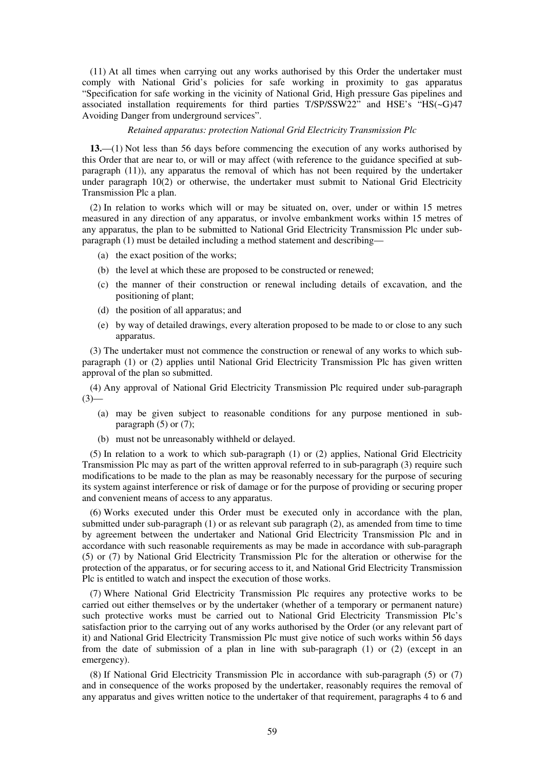(11) At all times when carrying out any works authorised by this Order the undertaker must comply with National Grid's policies for safe working in proximity to gas apparatus "Specification for safe working in the vicinity of National Grid, High pressure Gas pipelines and associated installation requirements for third parties T/SP/SSW22" and HSE's "HS(~G)47 Avoiding Danger from underground services".

### *Retained apparatus: protection National Grid Electricity Transmission Plc*

**13.**—(1) Not less than 56 days before commencing the execution of any works authorised by this Order that are near to, or will or may affect (with reference to the guidance specified at subparagraph (11)), any apparatus the removal of which has not been required by the undertaker under paragraph 10(2) or otherwise, the undertaker must submit to National Grid Electricity Transmission Plc a plan.

(2) In relation to works which will or may be situated on, over, under or within 15 metres measured in any direction of any apparatus, or involve embankment works within 15 metres of any apparatus, the plan to be submitted to National Grid Electricity Transmission Plc under subparagraph (1) must be detailed including a method statement and describing—

- (a) the exact position of the works;
- (b) the level at which these are proposed to be constructed or renewed;
- (c) the manner of their construction or renewal including details of excavation, and the positioning of plant;
- (d) the position of all apparatus; and
- (e) by way of detailed drawings, every alteration proposed to be made to or close to any such apparatus.

(3) The undertaker must not commence the construction or renewal of any works to which subparagraph (1) or (2) applies until National Grid Electricity Transmission Plc has given written approval of the plan so submitted.

(4) Any approval of National Grid Electricity Transmission Plc required under sub-paragraph  $(3)$ —

- (a) may be given subject to reasonable conditions for any purpose mentioned in subparagraph  $(5)$  or  $(7)$ ;
- (b) must not be unreasonably withheld or delayed.

(5) In relation to a work to which sub-paragraph (1) or (2) applies, National Grid Electricity Transmission Plc may as part of the written approval referred to in sub-paragraph (3) require such modifications to be made to the plan as may be reasonably necessary for the purpose of securing its system against interference or risk of damage or for the purpose of providing or securing proper and convenient means of access to any apparatus.

(6) Works executed under this Order must be executed only in accordance with the plan, submitted under sub-paragraph (1) or as relevant sub paragraph (2), as amended from time to time by agreement between the undertaker and National Grid Electricity Transmission Plc and in accordance with such reasonable requirements as may be made in accordance with sub-paragraph (5) or (7) by National Grid Electricity Transmission Plc for the alteration or otherwise for the protection of the apparatus, or for securing access to it, and National Grid Electricity Transmission Plc is entitled to watch and inspect the execution of those works.

(7) Where National Grid Electricity Transmission Plc requires any protective works to be carried out either themselves or by the undertaker (whether of a temporary or permanent nature) such protective works must be carried out to National Grid Electricity Transmission Plc's satisfaction prior to the carrying out of any works authorised by the Order (or any relevant part of it) and National Grid Electricity Transmission Plc must give notice of such works within 56 days from the date of submission of a plan in line with sub-paragraph (1) or (2) (except in an emergency).

(8) If National Grid Electricity Transmission Plc in accordance with sub-paragraph (5) or (7) and in consequence of the works proposed by the undertaker, reasonably requires the removal of any apparatus and gives written notice to the undertaker of that requirement, paragraphs 4 to 6 and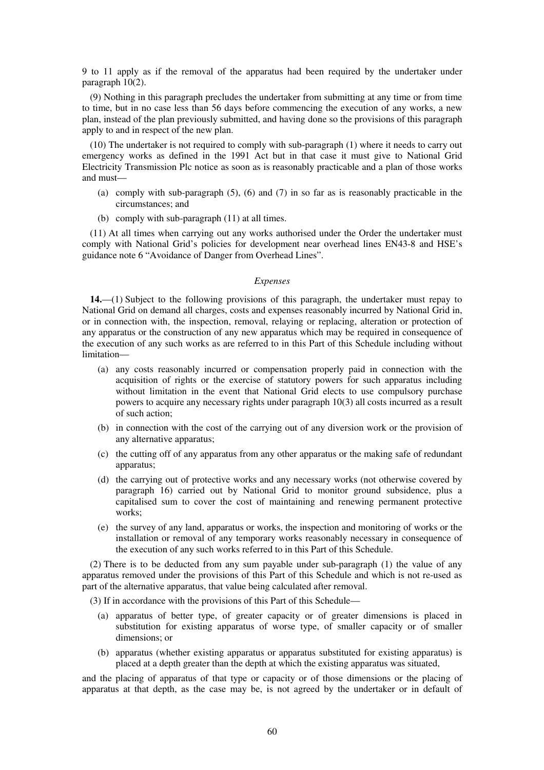9 to 11 apply as if the removal of the apparatus had been required by the undertaker under paragraph 10(2).

(9) Nothing in this paragraph precludes the undertaker from submitting at any time or from time to time, but in no case less than 56 days before commencing the execution of any works, a new plan, instead of the plan previously submitted, and having done so the provisions of this paragraph apply to and in respect of the new plan.

(10) The undertaker is not required to comply with sub-paragraph (1) where it needs to carry out emergency works as defined in the 1991 Act but in that case it must give to National Grid Electricity Transmission Plc notice as soon as is reasonably practicable and a plan of those works and must—

- (a) comply with sub-paragraph (5), (6) and (7) in so far as is reasonably practicable in the circumstances; and
- (b) comply with sub-paragraph (11) at all times.

(11) At all times when carrying out any works authorised under the Order the undertaker must comply with National Grid's policies for development near overhead lines EN43-8 and HSE's guidance note 6 "Avoidance of Danger from Overhead Lines".

#### *Expenses*

**14.**—(1) Subject to the following provisions of this paragraph, the undertaker must repay to National Grid on demand all charges, costs and expenses reasonably incurred by National Grid in, or in connection with, the inspection, removal, relaying or replacing, alteration or protection of any apparatus or the construction of any new apparatus which may be required in consequence of the execution of any such works as are referred to in this Part of this Schedule including without limitation—

- (a) any costs reasonably incurred or compensation properly paid in connection with the acquisition of rights or the exercise of statutory powers for such apparatus including without limitation in the event that National Grid elects to use compulsory purchase powers to acquire any necessary rights under paragraph 10(3) all costs incurred as a result of such action;
- (b) in connection with the cost of the carrying out of any diversion work or the provision of any alternative apparatus;
- (c) the cutting off of any apparatus from any other apparatus or the making safe of redundant apparatus;
- (d) the carrying out of protective works and any necessary works (not otherwise covered by paragraph 16) carried out by National Grid to monitor ground subsidence, plus a capitalised sum to cover the cost of maintaining and renewing permanent protective works:
- (e) the survey of any land, apparatus or works, the inspection and monitoring of works or the installation or removal of any temporary works reasonably necessary in consequence of the execution of any such works referred to in this Part of this Schedule.

(2) There is to be deducted from any sum payable under sub-paragraph (1) the value of any apparatus removed under the provisions of this Part of this Schedule and which is not re-used as part of the alternative apparatus, that value being calculated after removal.

(3) If in accordance with the provisions of this Part of this Schedule—

- (a) apparatus of better type, of greater capacity or of greater dimensions is placed in substitution for existing apparatus of worse type, of smaller capacity or of smaller dimensions; or
- (b) apparatus (whether existing apparatus or apparatus substituted for existing apparatus) is placed at a depth greater than the depth at which the existing apparatus was situated,

and the placing of apparatus of that type or capacity or of those dimensions or the placing of apparatus at that depth, as the case may be, is not agreed by the undertaker or in default of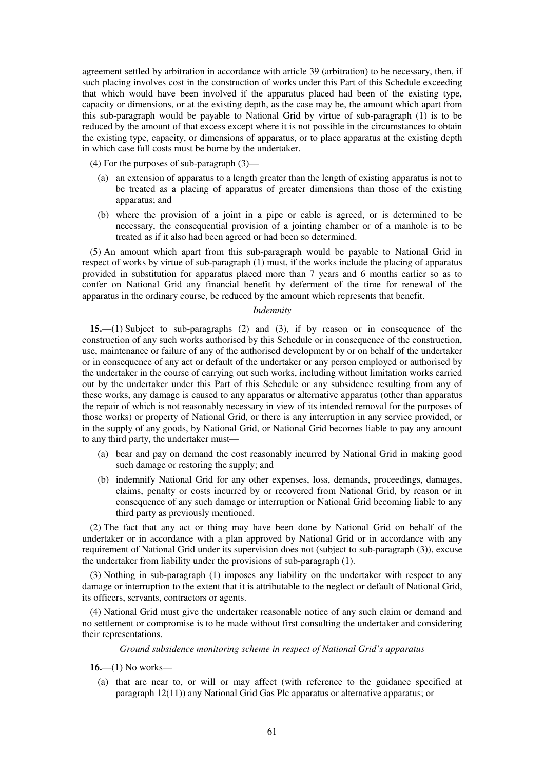agreement settled by arbitration in accordance with article 39 (arbitration) to be necessary, then, if such placing involves cost in the construction of works under this Part of this Schedule exceeding that which would have been involved if the apparatus placed had been of the existing type, capacity or dimensions, or at the existing depth, as the case may be, the amount which apart from this sub-paragraph would be payable to National Grid by virtue of sub-paragraph (1) is to be reduced by the amount of that excess except where it is not possible in the circumstances to obtain the existing type, capacity, or dimensions of apparatus, or to place apparatus at the existing depth in which case full costs must be borne by the undertaker.

(4) For the purposes of sub-paragraph (3)—

- (a) an extension of apparatus to a length greater than the length of existing apparatus is not to be treated as a placing of apparatus of greater dimensions than those of the existing apparatus; and
- (b) where the provision of a joint in a pipe or cable is agreed, or is determined to be necessary, the consequential provision of a jointing chamber or of a manhole is to be treated as if it also had been agreed or had been so determined.

(5) An amount which apart from this sub-paragraph would be payable to National Grid in respect of works by virtue of sub-paragraph (1) must, if the works include the placing of apparatus provided in substitution for apparatus placed more than 7 years and 6 months earlier so as to confer on National Grid any financial benefit by deferment of the time for renewal of the apparatus in the ordinary course, be reduced by the amount which represents that benefit.

## *Indemnity*

**15.**—(1) Subject to sub-paragraphs (2) and (3), if by reason or in consequence of the construction of any such works authorised by this Schedule or in consequence of the construction, use, maintenance or failure of any of the authorised development by or on behalf of the undertaker or in consequence of any act or default of the undertaker or any person employed or authorised by the undertaker in the course of carrying out such works, including without limitation works carried out by the undertaker under this Part of this Schedule or any subsidence resulting from any of these works, any damage is caused to any apparatus or alternative apparatus (other than apparatus the repair of which is not reasonably necessary in view of its intended removal for the purposes of those works) or property of National Grid, or there is any interruption in any service provided, or in the supply of any goods, by National Grid, or National Grid becomes liable to pay any amount to any third party, the undertaker must—

- (a) bear and pay on demand the cost reasonably incurred by National Grid in making good such damage or restoring the supply; and
- (b) indemnify National Grid for any other expenses, loss, demands, proceedings, damages, claims, penalty or costs incurred by or recovered from National Grid, by reason or in consequence of any such damage or interruption or National Grid becoming liable to any third party as previously mentioned.

(2) The fact that any act or thing may have been done by National Grid on behalf of the undertaker or in accordance with a plan approved by National Grid or in accordance with any requirement of National Grid under its supervision does not (subject to sub-paragraph (3)), excuse the undertaker from liability under the provisions of sub-paragraph (1).

(3) Nothing in sub-paragraph (1) imposes any liability on the undertaker with respect to any damage or interruption to the extent that it is attributable to the neglect or default of National Grid, its officers, servants, contractors or agents.

(4) National Grid must give the undertaker reasonable notice of any such claim or demand and no settlement or compromise is to be made without first consulting the undertaker and considering their representations.

#### *Ground subsidence monitoring scheme in respect of National Grid's apparatus*

**16.**—(1) No works—

(a) that are near to, or will or may affect (with reference to the guidance specified at paragraph 12(11)) any National Grid Gas Plc apparatus or alternative apparatus; or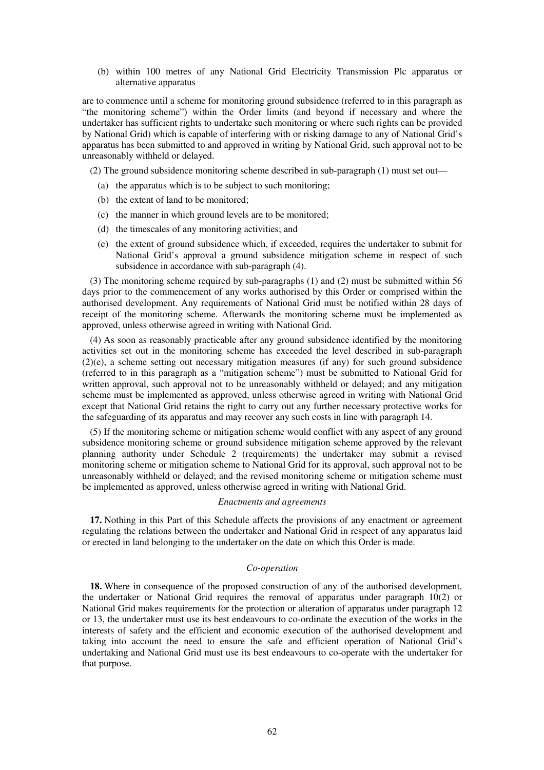(b) within 100 metres of any National Grid Electricity Transmission Plc apparatus or alternative apparatus

are to commence until a scheme for monitoring ground subsidence (referred to in this paragraph as "the monitoring scheme") within the Order limits (and beyond if necessary and where the undertaker has sufficient rights to undertake such monitoring or where such rights can be provided by National Grid) which is capable of interfering with or risking damage to any of National Grid's apparatus has been submitted to and approved in writing by National Grid, such approval not to be unreasonably withheld or delayed.

(2) The ground subsidence monitoring scheme described in sub-paragraph (1) must set out—

- (a) the apparatus which is to be subject to such monitoring;
- (b) the extent of land to be monitored;
- (c) the manner in which ground levels are to be monitored;
- (d) the timescales of any monitoring activities; and
- (e) the extent of ground subsidence which, if exceeded, requires the undertaker to submit for National Grid's approval a ground subsidence mitigation scheme in respect of such subsidence in accordance with sub-paragraph (4).

(3) The monitoring scheme required by sub-paragraphs (1) and (2) must be submitted within 56 days prior to the commencement of any works authorised by this Order or comprised within the authorised development. Any requirements of National Grid must be notified within 28 days of receipt of the monitoring scheme. Afterwards the monitoring scheme must be implemented as approved, unless otherwise agreed in writing with National Grid.

(4) As soon as reasonably practicable after any ground subsidence identified by the monitoring activities set out in the monitoring scheme has exceeded the level described in sub-paragraph (2)(e), a scheme setting out necessary mitigation measures (if any) for such ground subsidence (referred to in this paragraph as a "mitigation scheme") must be submitted to National Grid for written approval, such approval not to be unreasonably withheld or delayed; and any mitigation scheme must be implemented as approved, unless otherwise agreed in writing with National Grid except that National Grid retains the right to carry out any further necessary protective works for the safeguarding of its apparatus and may recover any such costs in line with paragraph 14.

(5) If the monitoring scheme or mitigation scheme would conflict with any aspect of any ground subsidence monitoring scheme or ground subsidence mitigation scheme approved by the relevant planning authority under Schedule 2 (requirements) the undertaker may submit a revised monitoring scheme or mitigation scheme to National Grid for its approval, such approval not to be unreasonably withheld or delayed; and the revised monitoring scheme or mitigation scheme must be implemented as approved, unless otherwise agreed in writing with National Grid.

#### *Enactments and agreements*

**17.** Nothing in this Part of this Schedule affects the provisions of any enactment or agreement regulating the relations between the undertaker and National Grid in respect of any apparatus laid or erected in land belonging to the undertaker on the date on which this Order is made.

## *Co-operation*

**18.** Where in consequence of the proposed construction of any of the authorised development, the undertaker or National Grid requires the removal of apparatus under paragraph 10(2) or National Grid makes requirements for the protection or alteration of apparatus under paragraph 12 or 13, the undertaker must use its best endeavours to co-ordinate the execution of the works in the interests of safety and the efficient and economic execution of the authorised development and taking into account the need to ensure the safe and efficient operation of National Grid's undertaking and National Grid must use its best endeavours to co-operate with the undertaker for that purpose.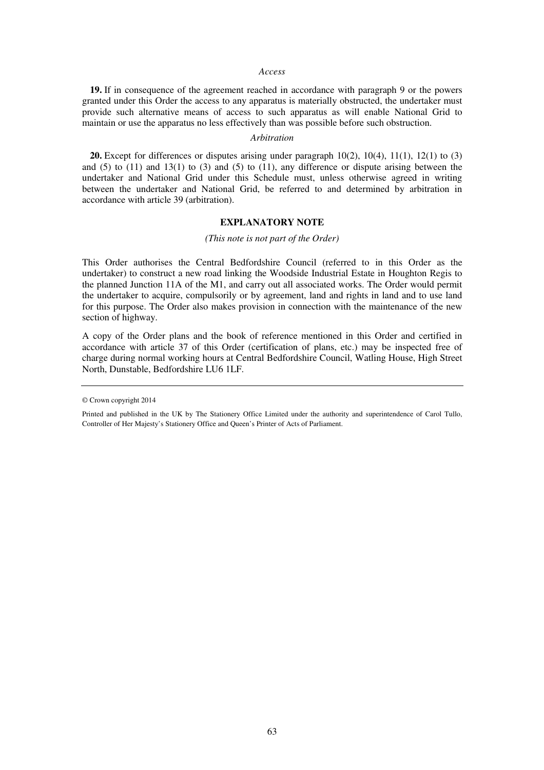#### *Access*

**19.** If in consequence of the agreement reached in accordance with paragraph 9 or the powers granted under this Order the access to any apparatus is materially obstructed, the undertaker must provide such alternative means of access to such apparatus as will enable National Grid to maintain or use the apparatus no less effectively than was possible before such obstruction.

### *Arbitration*

**20.** Except for differences or disputes arising under paragraph 10(2), 10(4), 11(1), 12(1) to (3) and (5) to  $(11)$  and  $13(1)$  to  $(3)$  and  $(5)$  to  $(11)$ , any difference or dispute arising between the undertaker and National Grid under this Schedule must, unless otherwise agreed in writing between the undertaker and National Grid, be referred to and determined by arbitration in accordance with article 39 (arbitration).

## **EXPLANATORY NOTE**

### *(This note is not part of the Order)*

This Order authorises the Central Bedfordshire Council (referred to in this Order as the undertaker) to construct a new road linking the Woodside Industrial Estate in Houghton Regis to the planned Junction 11A of the M1, and carry out all associated works. The Order would permit the undertaker to acquire, compulsorily or by agreement, land and rights in land and to use land for this purpose. The Order also makes provision in connection with the maintenance of the new section of highway.

A copy of the Order plans and the book of reference mentioned in this Order and certified in accordance with article 37 of this Order (certification of plans, etc.) may be inspected free of charge during normal working hours at Central Bedfordshire Council, Watling House, High Street North, Dunstable, Bedfordshire LU6 1LF.

<sup>©</sup> Crown copyright 2014

Printed and published in the UK by The Stationery Office Limited under the authority and superintendence of Carol Tullo, Controller of Her Majesty's Stationery Office and Queen's Printer of Acts of Parliament.